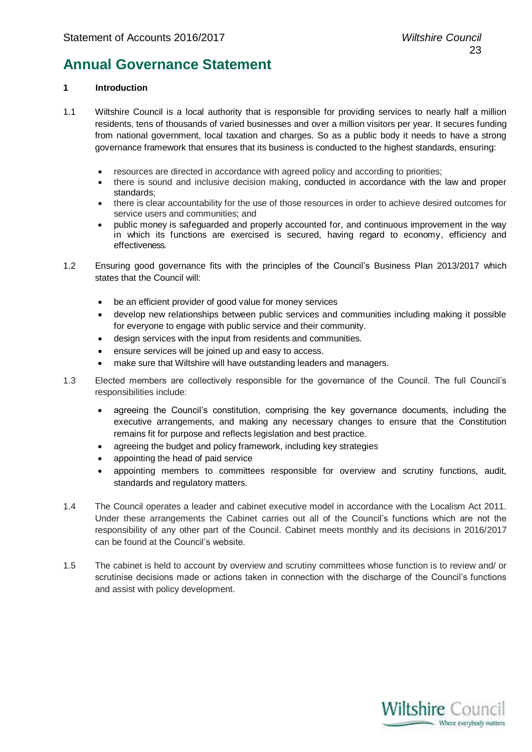### **Annual Governance Statement**

### **1 Introduction**

- 1.1 Wiltshire Council is a local authority that is responsible for providing services to nearly half a million residents, tens of thousands of varied businesses and over a million visitors per year. It secures funding from national government, local taxation and charges. So as a public body it needs to have a strong governance framework that ensures that its business is conducted to the highest standards, ensuring:
	- resources are directed in accordance with agreed policy and according to priorities;
	- there is sound and inclusive decision making, conducted in accordance with the law and proper standards;
	- there is clear accountability for the use of those resources in order to achieve desired outcomes for service users and communities; and
	- public money is safeguarded and properly accounted for, and continuous improvement in the way in which its functions are exercised is secured, having regard to economy, efficiency and effectiveness.
- 1.2 Ensuring good governance fits with the principles of the Council's Business Plan 2013/2017 which states that the Council will:
	- be an efficient provider of good value for money services
	- develop new relationships between public services and communities including making it possible for everyone to engage with public service and their community.
	- design services with the input from residents and communities.
	- ensure services will be joined up and easy to access.
	- make sure that Wiltshire will have outstanding leaders and managers.
- 1.3 Elected members are collectively responsible for the governance of the Council. The full Council's responsibilities include:
	- agreeing the Council's constitution, comprising the key governance documents, including the executive arrangements, and making any necessary changes to ensure that the Constitution remains fit for purpose and reflects legislation and best practice.
	- agreeing the budget and policy framework, including key strategies
	- appointing the head of paid service
	- appointing members to committees responsible for overview and scrutiny functions, audit, standards and regulatory matters.
- 1.4 The Council operates a leader and cabinet executive model in accordance with the Localism Act 2011. Under these arrangements the Cabinet carries out all of the Council's functions which are not the responsibility of any other part of the Council. Cabinet meets monthly and its decisions in 2016/2017 can be found at the Council's website.
- 1.5 The cabinet is held to account by overview and scrutiny committees whose function is to review and/ or scrutinise decisions made or actions taken in connection with the discharge of the Council's functions and assist with policy development.

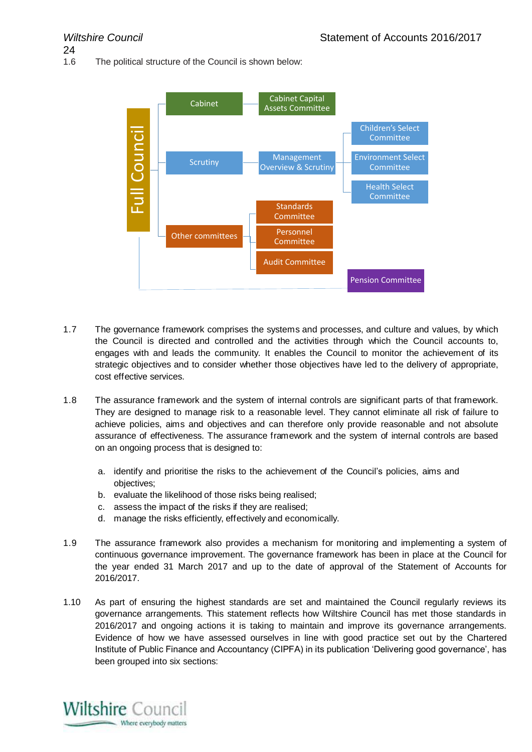24

1.6 The political structure of the Council is shown below:



- 1.7 The governance framework comprises the systems and processes, and culture and values, by which the Council is directed and controlled and the activities through which the Council accounts to, engages with and leads the community. It enables the Council to monitor the achievement of its strategic objectives and to consider whether those objectives have led to the delivery of appropriate, cost effective services.
- 1.8 The assurance framework and the system of internal controls are significant parts of that framework. They are designed to manage risk to a reasonable level. They cannot eliminate all risk of failure to achieve policies, aims and objectives and can therefore only provide reasonable and not absolute assurance of effectiveness. The assurance framework and the system of internal controls are based on an ongoing process that is designed to:
	- a. identify and prioritise the risks to the achievement of the Council's policies, aims and objectives;
	- b. evaluate the likelihood of those risks being realised;
	- c. assess the impact of the risks if they are realised;
	- d. manage the risks efficiently, effectively and economically.
- 1.9 The assurance framework also provides a mechanism for monitoring and implementing a system of continuous governance improvement. The governance framework has been in place at the Council for the year ended 31 March 2017 and up to the date of approval of the Statement of Accounts for 2016/2017.
- 1.10 As part of ensuring the highest standards are set and maintained the Council regularly reviews its governance arrangements. This statement reflects how Wiltshire Council has met those standards in 2016/2017 and ongoing actions it is taking to maintain and improve its governance arrangements. Evidence of how we have assessed ourselves in line with good practice set out by the Chartered Institute of Public Finance and Accountancy (CIPFA) in its publication 'Delivering good governance', has been grouped into six sections:

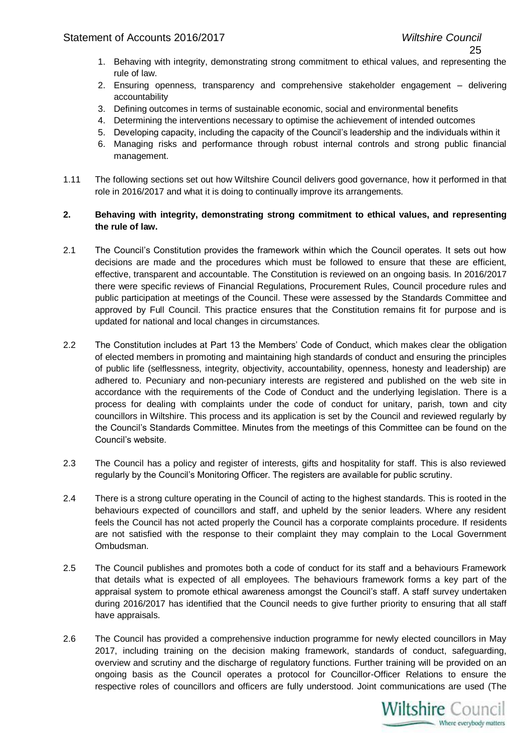- 25
- 1. Behaving with integrity, demonstrating strong commitment to ethical values, and representing the rule of law.
- 2. Ensuring openness, transparency and comprehensive stakeholder engagement delivering accountability
- 3. Defining outcomes in terms of sustainable economic, social and environmental benefits
- 4. Determining the interventions necessary to optimise the achievement of intended outcomes
- 5. Developing capacity, including the capacity of the Council's leadership and the individuals within it
- 6. Managing risks and performance through robust internal controls and strong public financial management.
- 1.11 The following sections set out how Wiltshire Council delivers good governance, how it performed in that role in 2016/2017 and what it is doing to continually improve its arrangements.

### **2. Behaving with integrity, demonstrating strong commitment to ethical values, and representing the rule of law.**

- 2.1 The Council's Constitution provides the framework within which the Council operates. It sets out how decisions are made and the procedures which must be followed to ensure that these are efficient, effective, transparent and accountable. The Constitution is reviewed on an ongoing basis. In 2016/2017 there were specific reviews of Financial Regulations, Procurement Rules, Council procedure rules and public participation at meetings of the Council. These were assessed by the Standards Committee and approved by Full Council. This practice ensures that the Constitution remains fit for purpose and is updated for national and local changes in circumstances.
- 2.2 The Constitution includes at Part 13 the Members' Code of Conduct, which makes clear the obligation of elected members in promoting and maintaining high standards of conduct and ensuring the principles of public life (selflessness, integrity, objectivity, accountability, openness, honesty and leadership) are adhered to. Pecuniary and non-pecuniary interests are registered and published on the web site in accordance with the requirements of the Code of Conduct and the underlying legislation. There is a process for dealing with complaints under the code of conduct for unitary, parish, town and city councillors in Wiltshire. This process and its application is set by the Council and reviewed regularly by the Council's Standards Committee. Minutes from the meetings of this Committee can be found on the Council's website.
- 2.3 The Council has a policy and register of interests, gifts and hospitality for staff. This is also reviewed regularly by the Council's Monitoring Officer. The registers are available for public scrutiny.
- 2.4 There is a strong culture operating in the Council of acting to the highest standards. This is rooted in the behaviours expected of councillors and staff, and upheld by the senior leaders. Where any resident feels the Council has not acted properly the Council has a corporate complaints procedure. If residents are not satisfied with the response to their complaint they may complain to the Local Government Ombudsman.
- 2.5 The Council publishes and promotes both a code of conduct for its staff and a behaviours Framework that details what is expected of all employees. The behaviours framework forms a key part of the appraisal system to promote ethical awareness amongst the Council's staff. A staff survey undertaken during 2016/2017 has identified that the Council needs to give further priority to ensuring that all staff have appraisals.
- 2.6 The Council has provided a comprehensive induction programme for newly elected councillors in May 2017, including training on the decision making framework, standards of conduct, safeguarding, overview and scrutiny and the discharge of regulatory functions. Further training will be provided on an ongoing basis as the Council operates a protocol for Councillor-Officer Relations to ensure the respective roles of councillors and officers are fully understood. Joint communications are used (The

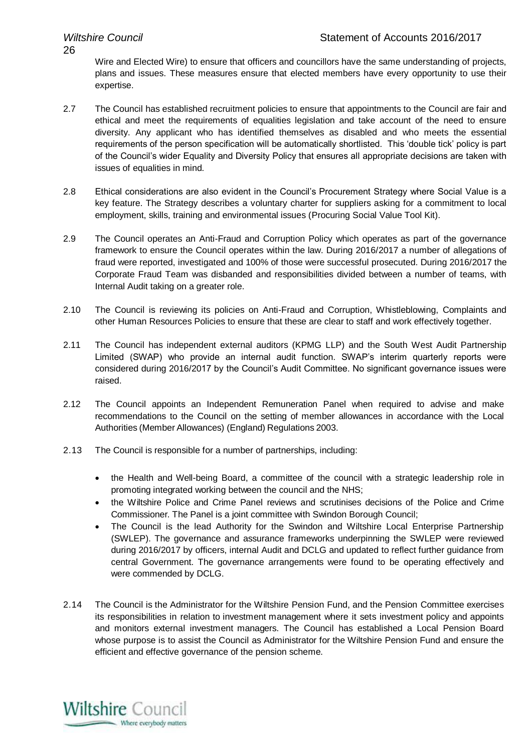Wire and Elected Wire) to ensure that officers and councillors have the same understanding of projects, plans and issues. These measures ensure that elected members have every opportunity to use their expertise.

- 2.7 The Council has established recruitment policies to ensure that appointments to the Council are fair and ethical and meet the requirements of equalities legislation and take account of the need to ensure diversity. Any applicant who has identified themselves as disabled and who meets the essential requirements of the person specification will be automatically shortlisted. This 'double tick' policy is part of the Council's wider Equality and Diversity Policy that ensures all appropriate decisions are taken with issues of equalities in mind.
- 2.8 Ethical considerations are also evident in the Council's Procurement Strategy where Social Value is a key feature. The Strategy describes a voluntary charter for suppliers asking for a commitment to local employment, skills, training and environmental issues (Procuring Social Value Tool Kit).
- 2.9 The Council operates an Anti-Fraud and Corruption Policy which operates as part of the governance framework to ensure the Council operates within the law. During 2016/2017 a number of allegations of fraud were reported, investigated and 100% of those were successful prosecuted. During 2016/2017 the Corporate Fraud Team was disbanded and responsibilities divided between a number of teams, with Internal Audit taking on a greater role.
- 2.10 The Council is reviewing its policies on Anti-Fraud and Corruption, Whistleblowing, Complaints and other Human Resources Policies to ensure that these are clear to staff and work effectively together.
- 2.11 The Council has independent external auditors (KPMG LLP) and the South West Audit Partnership Limited (SWAP) who provide an internal audit function. SWAP's interim quarterly reports were considered during 2016/2017 by the Council's Audit Committee. No significant governance issues were raised.
- 2.12 The Council appoints an Independent Remuneration Panel when required to advise and make recommendations to the Council on the setting of member allowances in accordance with the Local Authorities (Member Allowances) (England) Regulations 2003.
- 2.13 The Council is responsible for a number of partnerships, including:
	- the Health and Well-being Board, a committee of the council with a strategic leadership role in promoting integrated working between the council and the NHS;
	- the Wiltshire Police and Crime Panel reviews and scrutinises decisions of the Police and Crime Commissioner. The Panel is a joint committee with Swindon Borough Council;
	- The Council is the lead Authority for the Swindon and Wiltshire Local Enterprise Partnership (SWLEP). The governance and assurance frameworks underpinning the SWLEP were reviewed during 2016/2017 by officers, internal Audit and DCLG and updated to reflect further guidance from central Government. The governance arrangements were found to be operating effectively and were commended by DCLG.
- 2.14 The Council is the Administrator for the Wiltshire Pension Fund, and the Pension Committee exercises its responsibilities in relation to investment management where it sets investment policy and appoints and monitors external investment managers. The Council has established a Local Pension Board whose purpose is to assist the Council as Administrator for the Wiltshire Pension Fund and ensure the efficient and effective governance of the pension scheme.

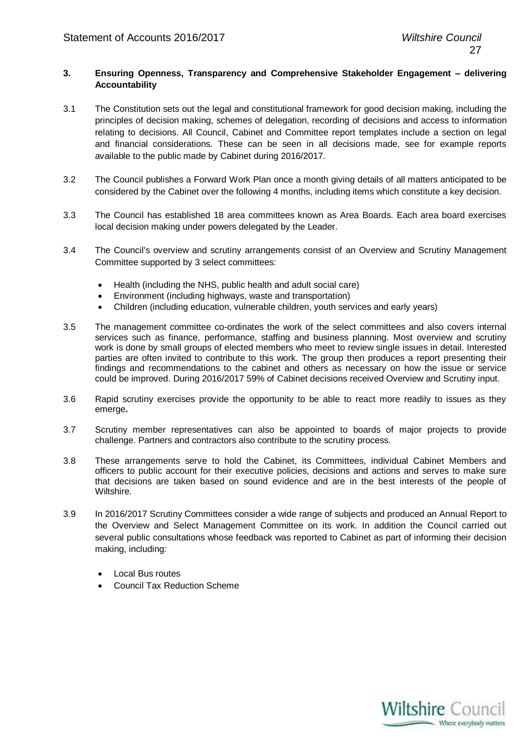### **3. Ensuring Openness, Transparency and Comprehensive Stakeholder Engagement – delivering Accountability**

- 3.1 The Constitution sets out the legal and constitutional framework for good decision making, including the principles of decision making, schemes of delegation, recording of decisions and access to information relating to decisions. All Council, Cabinet and Committee report templates include a section on legal and financial considerations. These can be seen in all decisions made, see for example reports available to the public made by Cabinet during 2016/2017.
- 3.2 The Council publishes a Forward Work Plan once a month giving details of all matters anticipated to be considered by the Cabinet over the following 4 months, including items which constitute a key decision.
- 3.3 The Council has established 18 area committees known as Area Boards. Each area board exercises local decision making under powers delegated by the Leader.
- 3.4 The Council's overview and scrutiny arrangements consist of an Overview and Scrutiny Management Committee supported by 3 select committees:
	- Health (including the NHS, public health and adult social care)
	- Environment (including highways, waste and transportation)
	- Children (including education, vulnerable children, youth services and early years)
- 3.5 The management committee co-ordinates the work of the select committees and also covers internal services such as finance, performance, staffing and business planning. Most overview and scrutiny work is done by small groups of elected members who meet to review single issues in detail. Interested parties are often invited to contribute to this work. The group then produces a report presenting their findings and recommendations to the cabinet and others as necessary on how the issue or service could be improved. During 2016/2017 59% of Cabinet decisions received Overview and Scrutiny input.
- 3.6 Rapid scrutiny exercises provide the opportunity to be able to react more readily to issues as they emerge**.**
- 3.7 Scrutiny member representatives can also be appointed to boards of major projects to provide challenge. Partners and contractors also contribute to the scrutiny process.
- 3.8 These arrangements serve to hold the Cabinet, its Committees, individual Cabinet Members and officers to public account for their executive policies, decisions and actions and serves to make sure that decisions are taken based on sound evidence and are in the best interests of the people of Wiltshire.
- 3.9 In 2016/2017 Scrutiny Committees consider a wide range of subjects and produced an Annual Report to the Overview and Select Management Committee on its work. In addition the Council carried out several public consultations whose feedback was reported to Cabinet as part of informing their decision making, including:
	- Local Bus routes
	- Council Tax Reduction Scheme

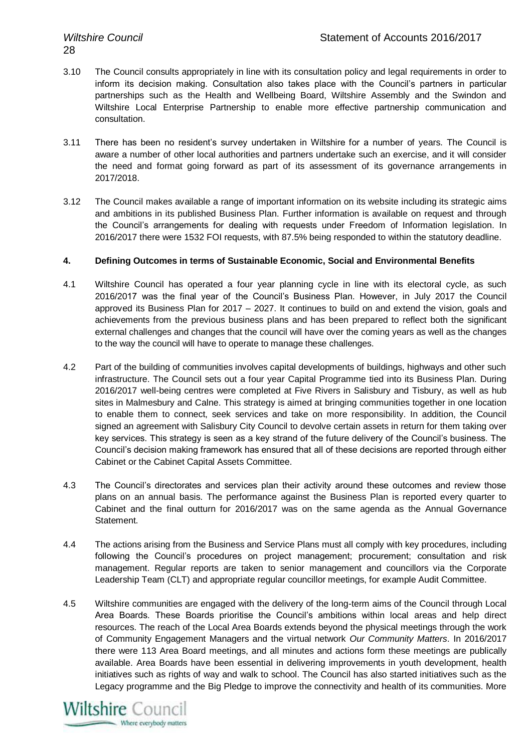- 3.10 The Council consults appropriately in line with its consultation policy and legal requirements in order to inform its decision making. Consultation also takes place with the Council's partners in particular partnerships such as the Health and Wellbeing Board, Wiltshire Assembly and the Swindon and Wiltshire Local Enterprise Partnership to enable more effective partnership communication and consultation.
- 3.11 There has been no resident's survey undertaken in Wiltshire for a number of years. The Council is aware a number of other local authorities and partners undertake such an exercise, and it will consider the need and format going forward as part of its assessment of its governance arrangements in 2017/2018.
- 3.12 The Council makes available a range of important information on its website including its strategic aims and ambitions in its published Business Plan. Further information is available on request and through the Council's arrangements for dealing with requests under Freedom of Information legislation. In 2016/2017 there were 1532 FOI requests, with 87.5% being responded to within the statutory deadline.

### **4. Defining Outcomes in terms of Sustainable Economic, Social and Environmental Benefits**

- 4.1 Wiltshire Council has operated a four year planning cycle in line with its electoral cycle, as such 2016/2017 was the final year of the Council's Business Plan. However, in July 2017 the Council approved its Business Plan for 2017 – 2027. It continues to build on and extend the vision, goals and achievements from the previous business plans and has been prepared to reflect both the significant external challenges and changes that the council will have over the coming years as well as the changes to the way the council will have to operate to manage these challenges.
- 4.2 Part of the building of communities involves capital developments of buildings, highways and other such infrastructure. The Council sets out a four year Capital Programme tied into its Business Plan. During 2016/2017 well-being centres were completed at Five Rivers in Salisbury and Tisbury, as well as hub sites in Malmesbury and Calne. This strategy is aimed at bringing communities together in one location to enable them to connect, seek services and take on more responsibility. In addition, the Council signed an agreement with Salisbury City Council to devolve certain assets in return for them taking over key services. This strategy is seen as a key strand of the future delivery of the Council's business. The Council's decision making framework has ensured that all of these decisions are reported through either Cabinet or the Cabinet Capital Assets Committee.
- 4.3 The Council's directorates and services plan their activity around these outcomes and review those plans on an annual basis. The performance against the Business Plan is reported every quarter to Cabinet and the final outturn for 2016/2017 was on the same agenda as the Annual Governance Statement.
- 4.4 The actions arising from the Business and Service Plans must all comply with key procedures, including following the Council's procedures on project management; procurement; consultation and risk management. Regular reports are taken to senior management and councillors via the Corporate Leadership Team (CLT) and appropriate regular councillor meetings, for example Audit Committee.
- 4.5 Wiltshire communities are engaged with the delivery of the long-term aims of the Council through Local Area Boards. These Boards prioritise the Council's ambitions within local areas and help direct resources. The reach of the Local Area Boards extends beyond the physical meetings through the work of Community Engagement Managers and the virtual network *Our Community Matters*. In 2016/2017 there were 113 Area Board meetings, and all minutes and actions form these meetings are publically available. Area Boards have been essential in delivering improvements in youth development, health initiatives such as rights of way and walk to school. The Council has also started initiatives such as the Legacy programme and the Big Pledge to improve the connectivity and health of its communities. More

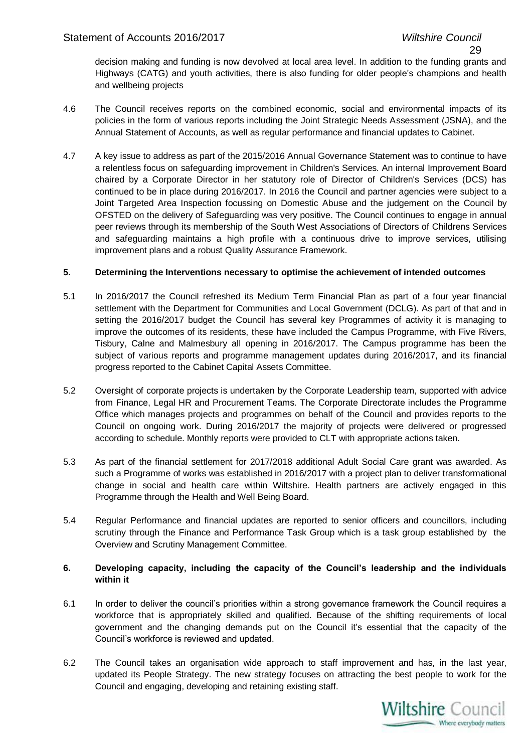decision making and funding is now devolved at local area level. In addition to the funding grants and Highways (CATG) and youth activities, there is also funding for older people's champions and health and wellbeing projects

- 4.6 The Council receives reports on the combined economic, social and environmental impacts of its policies in the form of various reports including the Joint Strategic Needs Assessment (JSNA), and the Annual Statement of Accounts, as well as regular performance and financial updates to Cabinet.
- 4.7 A key issue to address as part of the 2015/2016 Annual Governance Statement was to continue to have a relentless focus on safeguarding improvement in Children's Services. An internal Improvement Board chaired by a Corporate Director in her statutory role of Director of Children's Services (DCS) has continued to be in place during 2016/2017. In 2016 the Council and partner agencies were subject to a Joint Targeted Area Inspection focussing on Domestic Abuse and the judgement on the Council by OFSTED on the delivery of Safeguarding was very positive. The Council continues to engage in annual peer reviews through its membership of the South West Associations of Directors of Childrens Services and safeguarding maintains a high profile with a continuous drive to improve services, utilising improvement plans and a robust Quality Assurance Framework.

### **5. Determining the Interventions necessary to optimise the achievement of intended outcomes**

- 5.1 In 2016/2017 the Council refreshed its Medium Term Financial Plan as part of a four year financial settlement with the Department for Communities and Local Government (DCLG). As part of that and in setting the 2016/2017 budget the Council has several key Programmes of activity it is managing to improve the outcomes of its residents, these have included the Campus Programme, with Five Rivers, Tisbury, Calne and Malmesbury all opening in 2016/2017. The Campus programme has been the subject of various reports and programme management updates during 2016/2017, and its financial progress reported to the Cabinet Capital Assets Committee.
- 5.2 Oversight of corporate projects is undertaken by the Corporate Leadership team, supported with advice from Finance, Legal HR and Procurement Teams. The Corporate Directorate includes the Programme Office which manages projects and programmes on behalf of the Council and provides reports to the Council on ongoing work. During 2016/2017 the majority of projects were delivered or progressed according to schedule. Monthly reports were provided to CLT with appropriate actions taken.
- 5.3 As part of the financial settlement for 2017/2018 additional Adult Social Care grant was awarded. As such a Programme of works was established in 2016/2017 with a project plan to deliver transformational change in social and health care within Wiltshire. Health partners are actively engaged in this Programme through the Health and Well Being Board.
- 5.4 Regular Performance and financial updates are reported to senior officers and councillors, including scrutiny through the Finance and Performance Task Group which is a task group established by the Overview and Scrutiny Management Committee.

### **6. Developing capacity, including the capacity of the Council's leadership and the individuals within it**

- 6.1 In order to deliver the council's priorities within a strong governance framework the Council requires a workforce that is appropriately skilled and qualified. Because of the shifting requirements of local government and the changing demands put on the Council it's essential that the capacity of the Council's workforce is reviewed and updated.
- 6.2 The Council takes an organisation wide approach to staff improvement and has, in the last year, updated its People Strategy. The new strategy focuses on attracting the best people to work for the Council and engaging, developing and retaining existing staff.

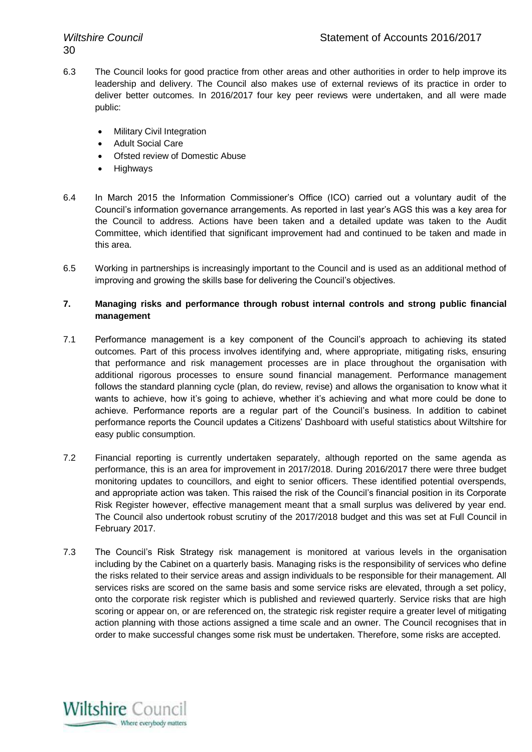- 6.3 The Council looks for good practice from other areas and other authorities in order to help improve its leadership and delivery. The Council also makes use of external reviews of its practice in order to deliver better outcomes. In 2016/2017 four key peer reviews were undertaken, and all were made public:
	- Military Civil Integration
	- Adult Social Care
	- Ofsted review of Domestic Abuse
	- **Highways**
- 6.4 In March 2015 the Information Commissioner's Office (ICO) carried out a voluntary audit of the Council's information governance arrangements. As reported in last year's AGS this was a key area for the Council to address. Actions have been taken and a detailed update was taken to the Audit Committee, which identified that significant improvement had and continued to be taken and made in this area.
- 6.5 Working in partnerships is increasingly important to the Council and is used as an additional method of improving and growing the skills base for delivering the Council's objectives.

### **7. Managing risks and performance through robust internal controls and strong public financial management**

- 7.1 Performance management is a key component of the Council's approach to achieving its stated outcomes. Part of this process involves identifying and, where appropriate, mitigating risks, ensuring that performance and risk management processes are in place throughout the organisation with additional rigorous processes to ensure sound financial management. Performance management follows the standard planning cycle (plan, do review, revise) and allows the organisation to know what it wants to achieve, how it's going to achieve, whether it's achieving and what more could be done to achieve. Performance reports are a regular part of the Council's business. In addition to cabinet performance reports the Council updates a Citizens' Dashboard with useful statistics about Wiltshire for easy public consumption.
- 7.2 Financial reporting is currently undertaken separately, although reported on the same agenda as performance, this is an area for improvement in 2017/2018. During 2016/2017 there were three budget monitoring updates to councillors, and eight to senior officers. These identified potential overspends, and appropriate action was taken. This raised the risk of the Council's financial position in its Corporate Risk Register however, effective management meant that a small surplus was delivered by year end. The Council also undertook robust scrutiny of the 2017/2018 budget and this was set at Full Council in February 2017.
- 7.3 The Council's Risk Strategy risk management is monitored at various levels in the organisation including by the Cabinet on a quarterly basis. Managing risks is the responsibility of services who define the risks related to their service areas and assign individuals to be responsible for their management. All services risks are scored on the same basis and some service risks are elevated, through a set policy, onto the corporate risk register which is published and reviewed quarterly. Service risks that are high scoring or appear on, or are referenced on, the strategic risk register require a greater level of mitigating action planning with those actions assigned a time scale and an owner. The Council recognises that in order to make successful changes some risk must be undertaken. Therefore, some risks are accepted.

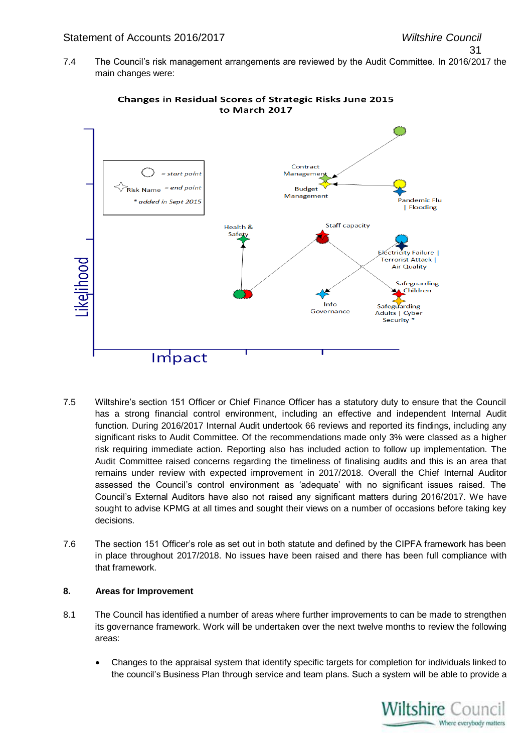### Statement of Accounts 2016/2017 *Wiltshire Council*

31

7.4 The Council's risk management arrangements are reviewed by the Audit Committee. In 2016/2017 the main changes were:



Changes in Residual Scores of Strategic Risks June 2015 to March 2017

- 7.5 Wiltshire's section 151 Officer or Chief Finance Officer has a statutory duty to ensure that the Council has a strong financial control environment, including an effective and independent Internal Audit function. During 2016/2017 Internal Audit undertook 66 reviews and reported its findings, including any significant risks to Audit Committee. Of the recommendations made only 3% were classed as a higher risk requiring immediate action. Reporting also has included action to follow up implementation. The Audit Committee raised concerns regarding the timeliness of finalising audits and this is an area that remains under review with expected improvement in 2017/2018. Overall the Chief Internal Auditor assessed the Council's control environment as 'adequate' with no significant issues raised. The Council's External Auditors have also not raised any significant matters during 2016/2017. We have sought to advise KPMG at all times and sought their views on a number of occasions before taking key decisions.
- 7.6 The section 151 Officer's role as set out in both statute and defined by the CIPFA framework has been in place throughout 2017/2018. No issues have been raised and there has been full compliance with that framework.

### **8. Areas for Improvement**

- 8.1 The Council has identified a number of areas where further improvements to can be made to strengthen its governance framework. Work will be undertaken over the next twelve months to review the following areas:
	- Changes to the appraisal system that identify specific targets for completion for individuals linked to the council's Business Plan through service and team plans. Such a system will be able to provide a

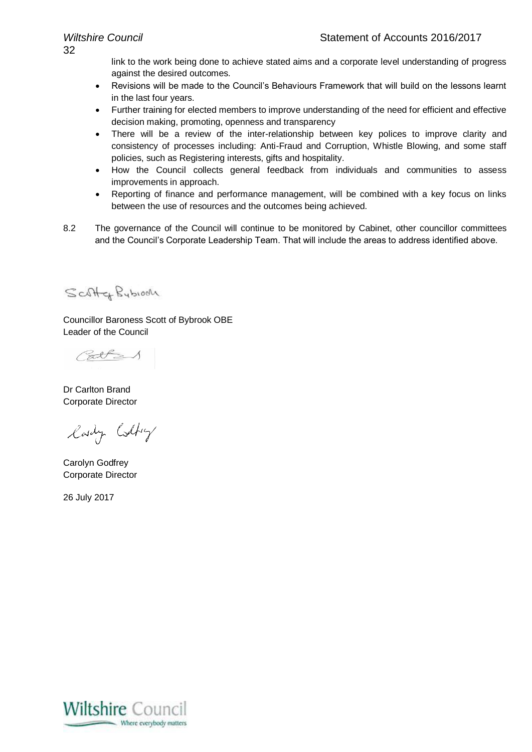link to the work being done to achieve stated aims and a corporate level understanding of progress against the desired outcomes.

- Revisions will be made to the Council's Behaviours Framework that will build on the lessons learnt in the last four years.
- Further training for elected members to improve understanding of the need for efficient and effective decision making, promoting, openness and transparency
- There will be a review of the inter-relationship between key polices to improve clarity and consistency of processes including: Anti-Fraud and Corruption, Whistle Blowing, and some staff policies, such as Registering interests, gifts and hospitality.
- How the Council collects general feedback from individuals and communities to assess improvements in approach.
- Reporting of finance and performance management, will be combined with a key focus on links between the use of resources and the outcomes being achieved.
- 8.2 The governance of the Council will continue to be monitored by Cabinet, other councillor committees and the Council's Corporate Leadership Team. That will include the areas to address identified above.

Scotter Bybioon

Councillor Baroness Scott of Bybrook OBE Leader of the Council

Palle 1

Dr Carlton Brand Corporate Director

lady Colfry

Carolyn Godfrey Corporate Director

26 July 2017

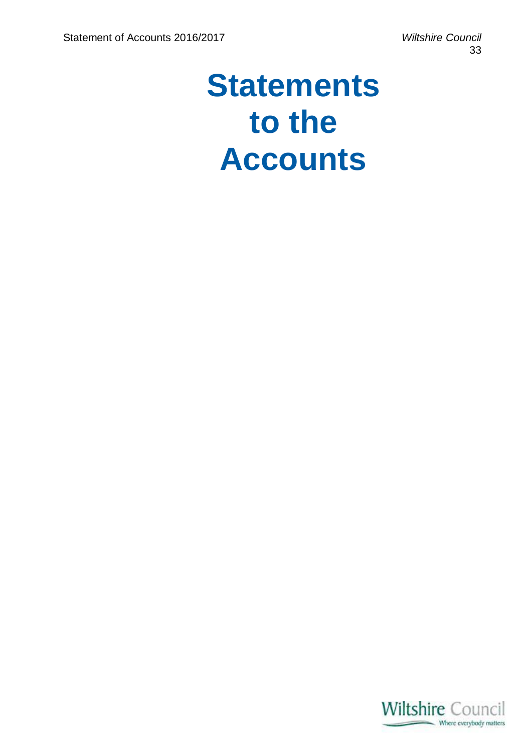## **Statements to the Accounts**

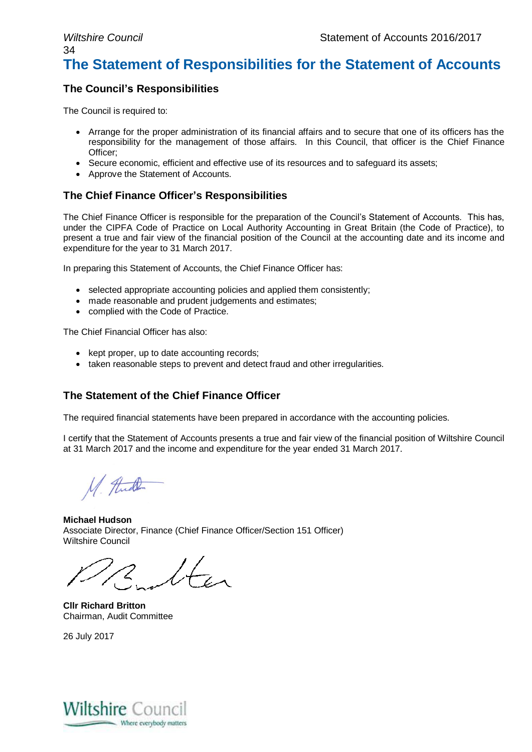### *Wiltshire Council* Statement of Accounts 2016/2017 34 **The Statement of Responsibilities for the Statement of Accounts**

### **The Council's Responsibilities**

The Council is required to:

- Arrange for the proper administration of its financial affairs and to secure that one of its officers has the responsibility for the management of those affairs. In this Council, that officer is the Chief Finance Officer;
- Secure economic, efficient and effective use of its resources and to safeguard its assets:
- Approve the Statement of Accounts.

### **The Chief Finance Officer's Responsibilities**

The Chief Finance Officer is responsible for the preparation of the Council's Statement of Accounts. This has, under the CIPFA Code of Practice on Local Authority Accounting in Great Britain (the Code of Practice), to present a true and fair view of the financial position of the Council at the accounting date and its income and expenditure for the year to 31 March 2017.

In preparing this Statement of Accounts, the Chief Finance Officer has:

- selected appropriate accounting policies and applied them consistently;
- made reasonable and prudent judgements and estimates;
- complied with the Code of Practice.

The Chief Financial Officer has also:

- kept proper, up to date accounting records;
- taken reasonable steps to prevent and detect fraud and other irregularities.

### **The Statement of the Chief Finance Officer**

The required financial statements have been prepared in accordance with the accounting policies.

I certify that the Statement of Accounts presents a true and fair view of the financial position of Wiltshire Council at 31 March 2017 and the income and expenditure for the year ended 31 March 2017.

M. And

**Michael Hudson** Associate Director, Finance (Chief Finance Officer/Section 151 Officer) Wiltshire Council

 $\sqrt{t}$ 

**Cllr Richard Britton** Chairman, Audit Committee

26 July 2017

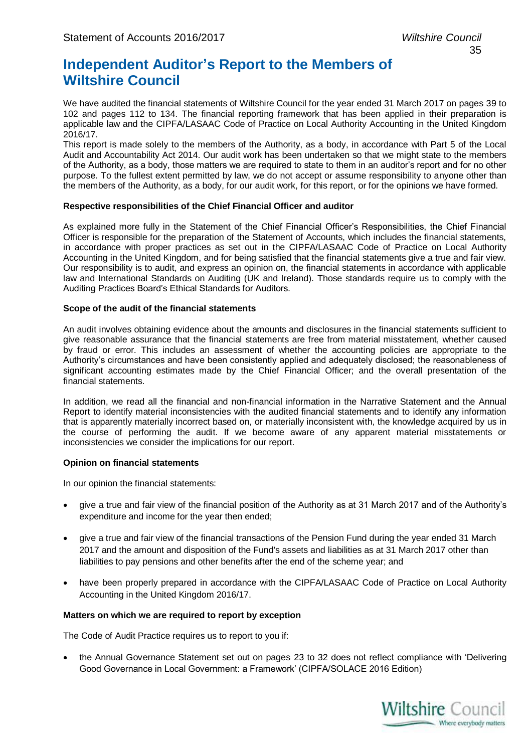### **Independent Auditor's Report to the Members of Wiltshire Council**

We have audited the financial statements of Wiltshire Council for the year ended 31 March 2017 on pages 39 to 102 and pages 112 to 134. The financial reporting framework that has been applied in their preparation is applicable law and the CIPFA/LASAAC Code of Practice on Local Authority Accounting in the United Kingdom 2016/17.

This report is made solely to the members of the Authority, as a body, in accordance with Part 5 of the Local Audit and Accountability Act 2014. Our audit work has been undertaken so that we might state to the members of the Authority, as a body, those matters we are required to state to them in an auditor's report and for no other purpose. To the fullest extent permitted by law, we do not accept or assume responsibility to anyone other than the members of the Authority, as a body, for our audit work, for this report, or for the opinions we have formed.

### **Respective responsibilities of the Chief Financial Officer and auditor**

As explained more fully in the Statement of the Chief Financial Officer's Responsibilities, the Chief Financial Officer is responsible for the preparation of the Statement of Accounts, which includes the financial statements, in accordance with proper practices as set out in the CIPFA/LASAAC Code of Practice on Local Authority Accounting in the United Kingdom, and for being satisfied that the financial statements give a true and fair view. Our responsibility is to audit, and express an opinion on, the financial statements in accordance with applicable law and International Standards on Auditing (UK and Ireland). Those standards require us to comply with the Auditing Practices Board's Ethical Standards for Auditors.

### **Scope of the audit of the financial statements**

An audit involves obtaining evidence about the amounts and disclosures in the financial statements sufficient to give reasonable assurance that the financial statements are free from material misstatement, whether caused by fraud or error. This includes an assessment of whether the accounting policies are appropriate to the Authority's circumstances and have been consistently applied and adequately disclosed; the reasonableness of significant accounting estimates made by the Chief Financial Officer; and the overall presentation of the financial statements.

In addition, we read all the financial and non-financial information in the Narrative Statement and the Annual Report to identify material inconsistencies with the audited financial statements and to identify any information that is apparently materially incorrect based on, or materially inconsistent with, the knowledge acquired by us in the course of performing the audit. If we become aware of any apparent material misstatements or inconsistencies we consider the implications for our report.

### **Opinion on financial statements**

In our opinion the financial statements:

- give a true and fair view of the financial position of the Authority as at 31 March 2017 and of the Authority's expenditure and income for the year then ended;
- give a true and fair view of the financial transactions of the Pension Fund during the year ended 31 March 2017 and the amount and disposition of the Fund's assets and liabilities as at 31 March 2017 other than liabilities to pay pensions and other benefits after the end of the scheme year; and
- have been properly prepared in accordance with the CIPFA/LASAAC Code of Practice on Local Authority Accounting in the United Kingdom 2016/17.

### **Matters on which we are required to report by exception**

The Code of Audit Practice requires us to report to you if:

 the Annual Governance Statement set out on pages 23 to 32 does not reflect compliance with 'Delivering Good Governance in Local Government: a Framework' (CIPFA/SOLACE 2016 Edition)

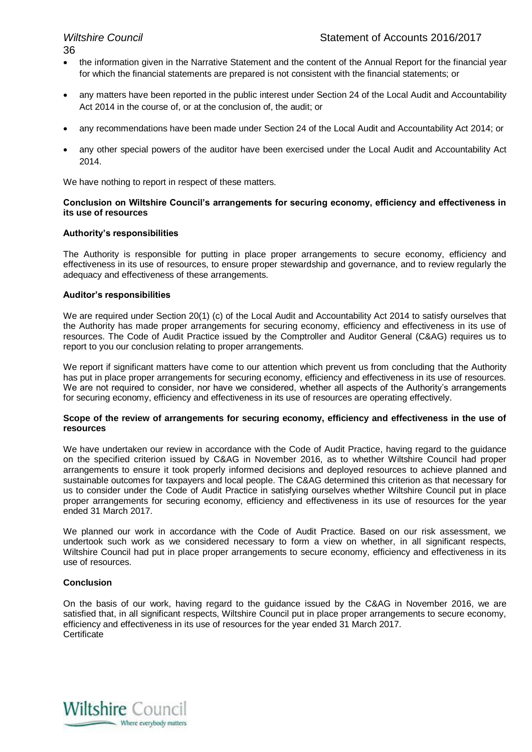- the information given in the Narrative Statement and the content of the Annual Report for the financial year for which the financial statements are prepared is not consistent with the financial statements; or
- any matters have been reported in the public interest under Section 24 of the Local Audit and Accountability Act 2014 in the course of, or at the conclusion of, the audit; or
- any recommendations have been made under Section 24 of the Local Audit and Accountability Act 2014; or
- any other special powers of the auditor have been exercised under the Local Audit and Accountability Act 2014.

We have nothing to report in respect of these matters.

### **Conclusion on Wiltshire Council's arrangements for securing economy, efficiency and effectiveness in its use of resources**

### **Authority's responsibilities**

The Authority is responsible for putting in place proper arrangements to secure economy, efficiency and effectiveness in its use of resources, to ensure proper stewardship and governance, and to review regularly the adequacy and effectiveness of these arrangements.

### **Auditor's responsibilities**

We are required under Section 20(1) (c) of the Local Audit and Accountability Act 2014 to satisfy ourselves that the Authority has made proper arrangements for securing economy, efficiency and effectiveness in its use of resources. The Code of Audit Practice issued by the Comptroller and Auditor General (C&AG) requires us to report to you our conclusion relating to proper arrangements.

We report if significant matters have come to our attention which prevent us from concluding that the Authority has put in place proper arrangements for securing economy, efficiency and effectiveness in its use of resources. We are not required to consider, nor have we considered, whether all aspects of the Authority's arrangements for securing economy, efficiency and effectiveness in its use of resources are operating effectively.

### **Scope of the review of arrangements for securing economy, efficiency and effectiveness in the use of resources**

We have undertaken our review in accordance with the Code of Audit Practice, having regard to the guidance on the specified criterion issued by C&AG in November 2016, as to whether Wiltshire Council had proper arrangements to ensure it took properly informed decisions and deployed resources to achieve planned and sustainable outcomes for taxpayers and local people. The C&AG determined this criterion as that necessary for us to consider under the Code of Audit Practice in satisfying ourselves whether Wiltshire Council put in place proper arrangements for securing economy, efficiency and effectiveness in its use of resources for the year ended 31 March 2017.

We planned our work in accordance with the Code of Audit Practice. Based on our risk assessment, we undertook such work as we considered necessary to form a view on whether, in all significant respects, Wiltshire Council had put in place proper arrangements to secure economy, efficiency and effectiveness in its use of resources.

### **Conclusion**

On the basis of our work, having regard to the guidance issued by the C&AG in November 2016, we are satisfied that, in all significant respects, Wiltshire Council put in place proper arrangements to secure economy, efficiency and effectiveness in its use of resources for the year ended 31 March 2017. **Certificate** 

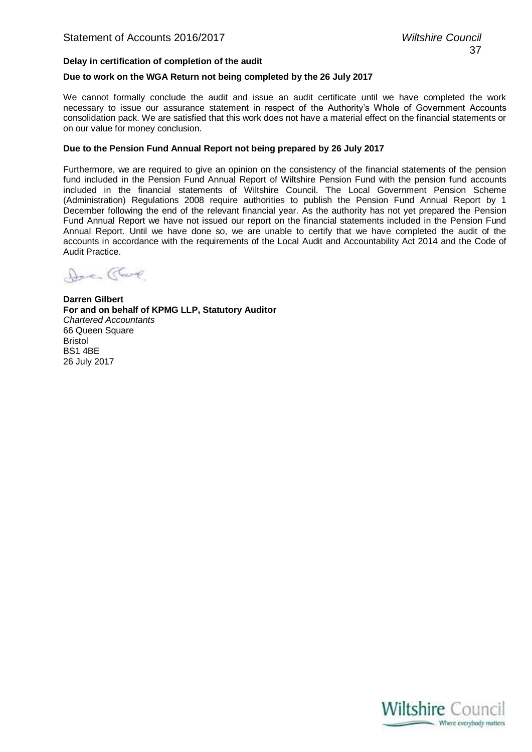### **Delay in certification of completion of the audit**

### **Due to work on the WGA Return not being completed by the 26 July 2017**

We cannot formally conclude the audit and issue an audit certificate until we have completed the work necessary to issue our assurance statement in respect of the Authority's Whole of Government Accounts consolidation pack. We are satisfied that this work does not have a material effect on the financial statements or on our value for money conclusion.

### **Due to the Pension Fund Annual Report not being prepared by 26 July 2017**

Furthermore, we are required to give an opinion on the consistency of the financial statements of the pension fund included in the Pension Fund Annual Report of Wiltshire Pension Fund with the pension fund accounts included in the financial statements of Wiltshire Council. The Local Government Pension Scheme (Administration) Regulations 2008 require authorities to publish the Pension Fund Annual Report by 1 December following the end of the relevant financial year. As the authority has not yet prepared the Pension Fund Annual Report we have not issued our report on the financial statements included in the Pension Fund Annual Report. Until we have done so, we are unable to certify that we have completed the audit of the accounts in accordance with the requirements of the Local Audit and Accountability Act 2014 and the Code of Audit Practice.

Doc Clare

**Darren Gilbert For and on behalf of KPMG LLP, Statutory Auditor** *Chartered Accountants* 66 Queen Square Bristol BS1 4BE 26 July 2017

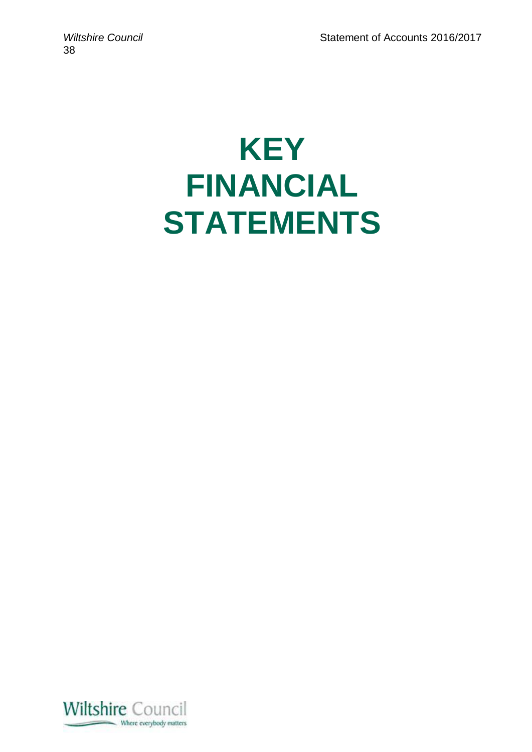# **KEY FINANCIAL STATEMENTS**

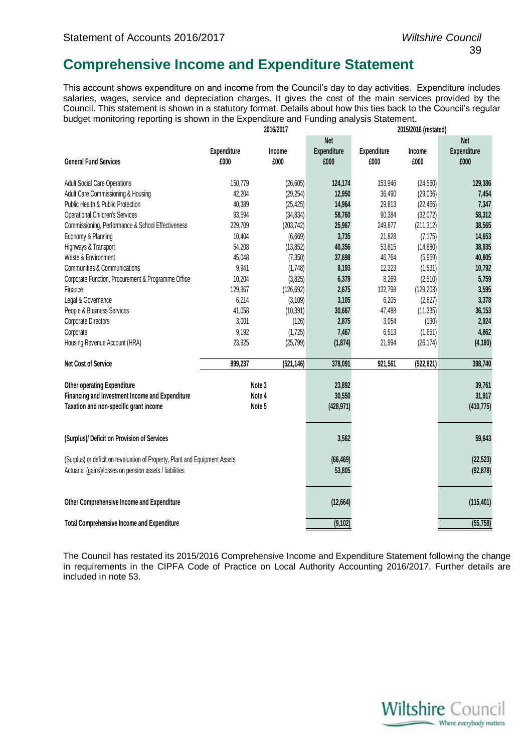### **Comprehensive Income and Expenditure Statement**

This account shows expenditure on and income from the Council's day to day activities. Expenditure includes salaries, wages, service and depreciation charges. It gives the cost of the main services provided by the Council. This statement is shown in a statutory format. Details about how this ties back to the Council's regular budget monitoring reporting is shown in the Expenditure and Funding analysis Statement.

|                                                                             |             | 2016/2017  |                    |             | 2015/2016 (restated) |             |
|-----------------------------------------------------------------------------|-------------|------------|--------------------|-------------|----------------------|-------------|
|                                                                             |             |            | <b>Net</b>         |             |                      | <b>Net</b>  |
|                                                                             | Expenditure | Income     | <b>Expenditure</b> | Expenditure | Income               | Expenditure |
| <b>General Fund Services</b>                                                | £000        | £000       | £000               | £000        | £000                 | £000        |
|                                                                             |             |            |                    |             |                      |             |
| <b>Adult Social Care Operations</b>                                         | 150,779     | (26, 605)  | 124,174            | 153,946     | (24, 560)            | 129,386     |
| Adult Care Commissioning & Housing                                          | 42,204      | (29, 254)  | 12,950             | 36,490      | (29, 036)            | 7,454       |
| Public Health & Public Protection                                           | 40,389      | (25, 425)  | 14,964             | 29,813      | (22, 466)            | 7,347       |
| <b>Operational Children's Services</b>                                      | 93,594      | (34, 834)  | 58,760             | 90,384      | (32,072)             | 58,312      |
| Commissioning, Performance & School Effectiveness                           | 229,709     | (203, 742) | 25,967             | 249,877     | (211, 312)           | 38,565      |
| Economy & Planning                                                          | 10,404      | (6,669)    | 3,735              | 21,828      | (7, 175)             | 14,653      |
| Highways & Transport                                                        | 54,208      | (13, 852)  | 40,356             | 53,815      | (14, 880)            | 38,935      |
| Waste & Environment                                                         | 45,048      | (7, 350)   | 37,698             | 46,764      | (5,959)              | 40,805      |
| Communities & Communications                                                | 9,941       | (1,748)    | 8,193              | 12,323      | (1,531)              | 10,792      |
| Corporate Function, Procurement & Programme Office                          | 10,204      | (3,825)    | 6,379              | 8,269       | (2,510)              | 5,759       |
| Finance                                                                     | 129,367     | (126, 692) | 2,675              | 132,798     | (129, 203)           | 3,595       |
| Legal & Governance                                                          | 6,214       | (3, 109)   | 3,105              | 6,205       | (2,827)              | 3,378       |
| People & Business Services                                                  | 41,058      | (10, 391)  | 30,667             | 47,488      | (11, 335)            | 36,153      |
| Corporate Directors                                                         | 3,001       | (126)      | 2,875              | 3,054       | (130)                | 2,924       |
| Corporate                                                                   | 9,192       | (1, 725)   | 7,467              | 6,513       | (1,651)              | 4,862       |
| Housing Revenue Account (HRA)                                               | 23,925      | (25, 799)  | (1, 874)           | 21,994      | (26, 174)            | (4, 180)    |
|                                                                             |             |            |                    |             |                      |             |
| <b>Net Cost of Service</b>                                                  | 899,237     | (521, 146) | 378,091            | 921,561     | (522, 821)           | 398,740     |
|                                                                             |             |            |                    |             |                      |             |
| Other operating Expenditure                                                 |             | Note 3     | 23,892             |             |                      | 39,761      |
| Financing and Investment Income and Expenditure                             |             | Note 4     | 30,550             |             |                      | 31,917      |
| Taxation and non-specific grant income                                      |             | Note 5     | (428, 971)         |             |                      | (410, 775)  |
|                                                                             |             |            |                    |             |                      |             |
| (Surplus)/ Deficit on Provision of Services                                 |             |            | 3,562              |             |                      | 59,643      |
| (Surplus) or deficit on revaluation of Property, Plant and Equipment Assets |             |            | (66, 469)          |             |                      | (22, 523)   |
| Actuarial (gains)/losses on pension assets / liabilities                    |             |            | 53,805             |             |                      | (92, 878)   |
|                                                                             |             |            |                    |             |                      |             |
| Other Comprehensive Income and Expenditure                                  |             |            | (12, 664)          |             |                      | (115, 401)  |
|                                                                             |             |            |                    |             |                      |             |
| <b>Total Comprehensive Income and Expenditure</b>                           |             |            | (9, 102)           |             |                      | (55, 758)   |

The Council has restated its 2015/2016 Comprehensive Income and Expenditure Statement following the change in requirements in the CIPFA Code of Practice on Local Authority Accounting 2016/2017. Further details are included in note 53.

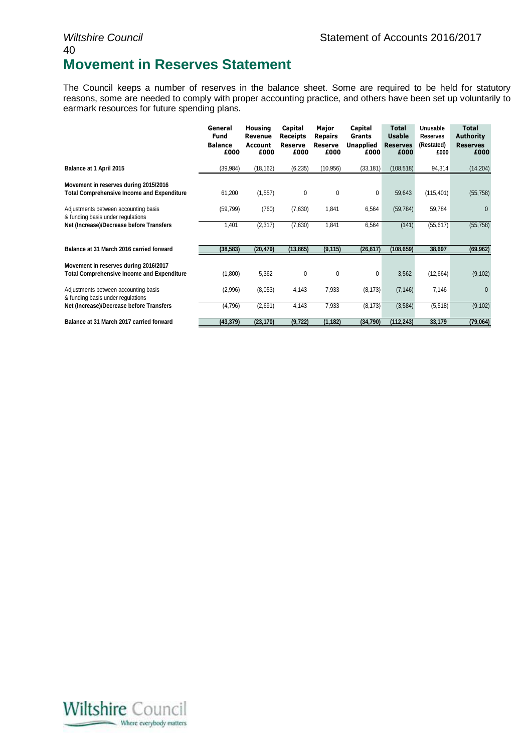### *Wiltshire Council* Matement of Accounts 2016/2017 40 **Movement in Reserves Statement**

The Council keeps a number of reserves in the balance sheet. Some are required to be held for statutory reasons, some are needed to comply with proper accounting practice, and others have been set up voluntarily to earmark resources for future spending plans.

|                                                                                            | General<br><b>Fund</b><br><b>Balance</b><br>£000 | <b>Housing</b><br>Revenue<br>Account<br>£000 | Capital<br><b>Receipts</b><br>Reserve<br>£000 | Major<br><b>Repairs</b><br>Reserve<br>£000 | Capital<br>Grants<br><b>Unapplied</b><br>£000 | <b>Total</b><br><b>Usable</b><br><b>Reserves</b><br>£000 | Unusable<br><b>Reserves</b><br>(Restated)<br>£000 | <b>Total</b><br><b>Authority</b><br><b>Reserves</b><br>£000 |
|--------------------------------------------------------------------------------------------|--------------------------------------------------|----------------------------------------------|-----------------------------------------------|--------------------------------------------|-----------------------------------------------|----------------------------------------------------------|---------------------------------------------------|-------------------------------------------------------------|
| Balance at 1 April 2015                                                                    | (39, 984)                                        | (18, 162)                                    | (6, 235)                                      | (10, 956)                                  | (33, 181)                                     | (108, 518)                                               | 94,314                                            | (14, 204)                                                   |
| Movement in reserves during 2015/2016<br><b>Total Comprehensive Income and Expenditure</b> | 61,200                                           | (1, 557)                                     | 0                                             | 0                                          | $\mathbf{0}$                                  | 59,643                                                   | (115, 401)                                        | (55, 758)                                                   |
| Adjustments between accounting basis<br>& funding basis under regulations                  | (59, 799)                                        | (760)                                        | (7,630)                                       | 1,841                                      | 6,564                                         | (59, 784)                                                | 59,784                                            | $\Omega$                                                    |
| Net (Increase)/Decrease before Transfers                                                   | 1,401                                            | (2, 317)                                     | (7,630)                                       | 1,841                                      | 6,564                                         | (141)                                                    | (55, 617)                                         | (55, 758)                                                   |
| Balance at 31 March 2016 carried forward                                                   | (38, 583)                                        | (20, 479)                                    | (13, 865)                                     | (9, 115)                                   | (26, 617)                                     | (108, 659)                                               | 38,697                                            | (69, 962)                                                   |
| Movement in reserves during 2016/2017<br><b>Total Comprehensive Income and Expenditure</b> | (1,800)                                          | 5,362                                        | 0                                             | 0                                          | 0                                             | 3,562                                                    | (12,664)                                          | (9, 102)                                                    |
| Adjustments between accounting basis<br>& funding basis under regulations                  | (2,996)                                          | (8,053)                                      | 4,143                                         | 7,933                                      | (8, 173)                                      | (7, 146)                                                 | 7,146                                             | $\Omega$                                                    |
| Net (Increase)/Decrease before Transfers                                                   | (4,796)                                          | (2,691)                                      | 4,143                                         | 7,933                                      | (8, 173)                                      | (3, 584)                                                 | (5, 518)                                          | (9, 102)                                                    |
| Balance at 31 March 2017 carried forward                                                   | (43,379)                                         | (23, 170)                                    | (9, 722)                                      | (1, 182)                                   | (34,790)                                      | (112, 243)                                               | 33,179                                            | (79,064)                                                    |

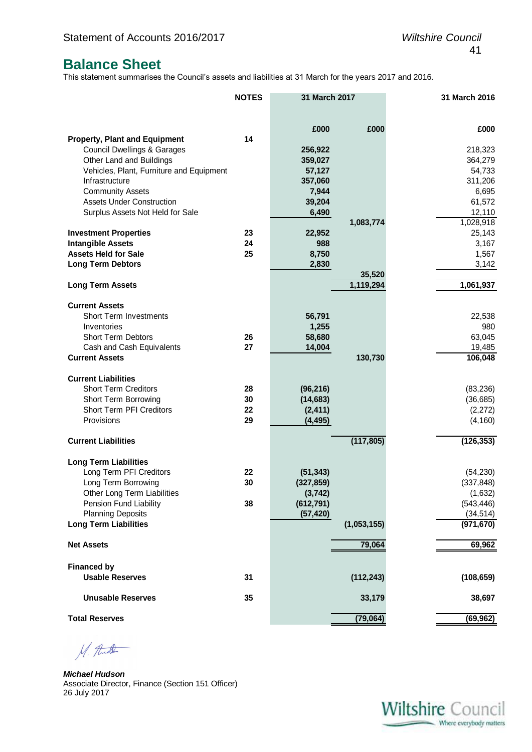### **Balance Sheet**

This statement summarises the Council's assets and liabilities at 31 March for the years 2017 and 2016.

|                                                         | <b>NOTES</b> | 31 March 2017           |             | 31 March 2016           |
|---------------------------------------------------------|--------------|-------------------------|-------------|-------------------------|
|                                                         |              | £000                    | £000        | £000                    |
| <b>Property, Plant and Equipment</b>                    | 14           |                         |             |                         |
| <b>Council Dwellings &amp; Garages</b>                  |              | 256,922                 |             | 218,323                 |
| Other Land and Buildings                                |              | 359,027                 |             | 364,279                 |
| Vehicles, Plant, Furniture and Equipment                |              | 57,127                  |             | 54,733                  |
| Infrastructure                                          |              | 357,060                 |             | 311,206                 |
| <b>Community Assets</b>                                 |              | 7,944                   |             | 6,695                   |
| <b>Assets Under Construction</b>                        |              | 39,204                  |             | 61,572                  |
| Surplus Assets Not Held for Sale                        |              | 6,490                   |             | 12,110                  |
|                                                         |              |                         | 1,083,774   | 1,028,918               |
| <b>Investment Properties</b>                            | 23           | 22,952                  |             | 25,143                  |
| <b>Intangible Assets</b>                                | 24           | 988                     |             | 3,167                   |
| <b>Assets Held for Sale</b>                             | 25           | 8,750                   |             | 1,567                   |
| <b>Long Term Debtors</b>                                |              | 2,830                   | 35,520      | 3,142                   |
| <b>Long Term Assets</b>                                 |              |                         | 1,119,294   | 1,061,937               |
|                                                         |              |                         |             |                         |
| <b>Current Assets</b>                                   |              |                         |             |                         |
| <b>Short Term Investments</b>                           |              | 56,791                  |             | 22,538                  |
| Inventories                                             |              | 1,255                   |             | 980                     |
| <b>Short Term Debtors</b>                               | 26           | 58,680                  |             | 63,045                  |
| Cash and Cash Equivalents                               | 27           | 14,004                  |             | 19,485                  |
| <b>Current Assets</b>                                   |              |                         | 130,730     | 106,048                 |
|                                                         |              |                         |             |                         |
| <b>Current Liabilities</b>                              |              |                         |             |                         |
| <b>Short Term Creditors</b><br>Short Term Borrowing     | 28<br>30     | (96, 216)<br>(14, 683)  |             | (83, 236)<br>(36, 685)  |
| Short Term PFI Creditors                                | 22           | (2, 411)                |             | (2,272)                 |
| Provisions                                              | 29           | (4, 495)                |             | (4, 160)                |
|                                                         |              |                         |             |                         |
| <b>Current Liabilities</b>                              |              |                         | (117, 805)  | (126, 353)              |
|                                                         |              |                         |             |                         |
| <b>Long Term Liabilities</b><br>Long Term PFI Creditors | 22           |                         |             |                         |
| Long Term Borrowing                                     | 30           | (51, 343)<br>(327, 859) |             | (54, 230)<br>(337, 848) |
| Other Long Term Liabilities                             |              | (3, 742)                |             | (1,632)                 |
| Pension Fund Liability                                  | 38           | (612, 791)              |             | (543, 446)              |
| <b>Planning Deposits</b>                                |              | (57, 420)               |             | (34, 514)               |
| <b>Long Term Liabilities</b>                            |              |                         | (1,053,155) | (971, 670)              |
|                                                         |              |                         |             |                         |
| <b>Net Assets</b>                                       |              |                         | 79,064      | 69,962                  |
| <b>Financed by</b>                                      |              |                         |             |                         |
| <b>Usable Reserves</b>                                  | 31           |                         | (112, 243)  | (108, 659)              |
|                                                         |              |                         |             |                         |
| <b>Unusable Reserves</b>                                | 35           |                         | 33,179      | 38,697                  |
|                                                         |              |                         |             |                         |
| <b>Total Reserves</b>                                   |              |                         | (79,064)    | (69, 962)               |

M. And

*Michael Hudson*  Associate Director, Finance (Section 151 Officer) 26 July 2017

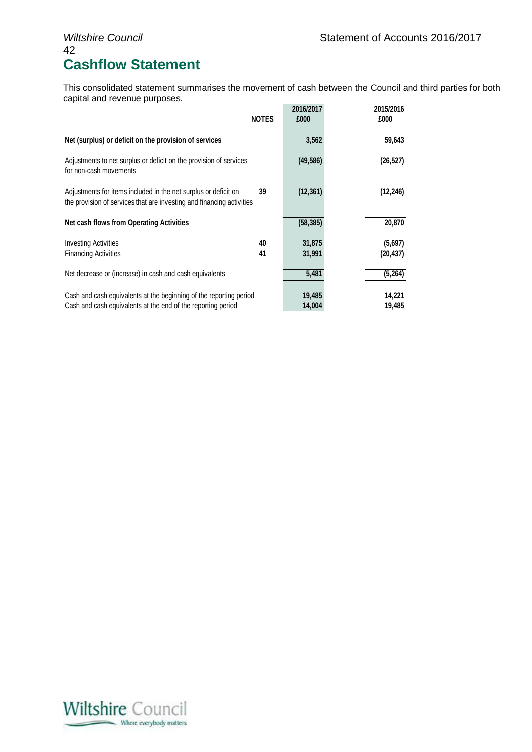## 42 **Cashflow Statement**

This consolidated statement summarises the movement of cash between the Council and third parties for both capital and revenue purposes.

|                                                                                                                                          | <b>NOTES</b> | 2016/2017<br>£000 | 2015/2016<br>£000    |
|------------------------------------------------------------------------------------------------------------------------------------------|--------------|-------------------|----------------------|
| Net (surplus) or deficit on the provision of services                                                                                    |              | 3,562             | 59,643               |
| Adjustments to net surplus or deficit on the provision of services<br>for non-cash movements                                             |              | (49, 586)         | (26, 527)            |
| Adjustments for items included in the net surplus or deficit on<br>the provision of services that are investing and financing activities | 39           | (12, 361)         | (12, 246)            |
| Net cash flows from Operating Activities                                                                                                 |              | (58, 385)         | 20,870               |
| <b>Investing Activities</b><br><b>Financing Activities</b>                                                                               | 40<br>41     | 31,875<br>31,991  | (5,697)<br>(20, 437) |
| Net decrease or (increase) in cash and cash equivalents                                                                                  |              | 5,481             | (5, 264)             |
| Cash and cash equivalents at the beginning of the reporting period<br>Cash and cash equivalents at the end of the reporting period       |              | 19,485<br>14,004  | 14,221<br>19,485     |

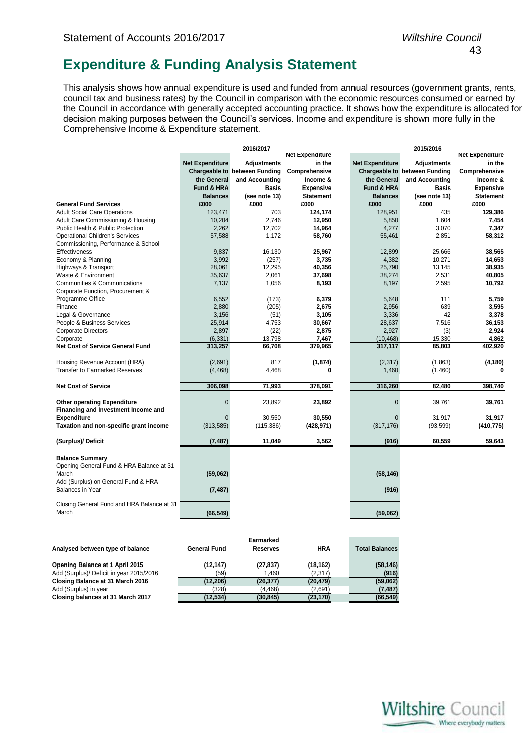### **Expenditure & Funding Analysis Statement**

This analysis shows how annual expenditure is used and funded from annual resources (government grants, rents, council tax and business rates) by the Council in comparison with the economic resources consumed or earned by the Council in accordance with generally accepted accounting practice. It shows how the expenditure is allocated for decision making purposes between the Council's services. Income and expenditure is shown more fully in the Comprehensive Income & Expenditure statement.

|                                            |                        | 2016/2017                     |                        |                        | 2015/2016                     |                        |
|--------------------------------------------|------------------------|-------------------------------|------------------------|------------------------|-------------------------------|------------------------|
|                                            |                        |                               | <b>Net Expenditure</b> |                        |                               | <b>Net Expenditure</b> |
|                                            | <b>Net Expenditure</b> | <b>Adjustments</b>            | in the                 | <b>Net Expenditure</b> | <b>Adjustments</b>            | in the                 |
|                                            |                        | Chargeable to between Funding | Comprehensive          |                        | Chargeable to between Funding | Comprehensive          |
|                                            | the General            | and Accounting                | Income &               | the General            | and Accounting                | Income &               |
|                                            | Fund & HRA             | <b>Basis</b>                  | <b>Expensive</b>       | Fund & HRA             | <b>Basis</b>                  | <b>Expensive</b>       |
|                                            | <b>Balances</b>        | (see note 13)                 | <b>Statement</b>       | <b>Balances</b>        | (see note 13)                 | <b>Statement</b>       |
| <b>General Fund Services</b>               | £000                   | £000                          | £000                   | £000                   | £000                          | £000                   |
| <b>Adult Social Care Operations</b>        | 123,471                | 703                           | 124,174                | 128,951                | 435                           | 129,386                |
| Adult Care Commissioning & Housing         | 10,204                 | 2,746                         | 12,950                 | 5,850                  | 1,604                         | 7,454                  |
| Public Health & Public Protection          | 2,262                  | 12,702                        | 14,964                 | 4,277                  | 3,070                         | 7,347                  |
| <b>Operational Children's Services</b>     | 57,588                 | 1,172                         | 58,760                 | 55,461                 | 2,851                         | 58,312                 |
| Commissioning, Performance & School        |                        |                               |                        |                        |                               |                        |
| Effectiveness                              | 9,837                  | 16,130                        | 25,967                 | 12,899                 | 25,666                        | 38,565                 |
| Economy & Planning                         | 3,992                  | (257)                         | 3,735                  | 4,382                  | 10,271                        | 14,653                 |
| Highways & Transport                       | 28,061                 | 12,295                        | 40,356                 | 25,790                 | 13,145                        | 38,935                 |
| Waste & Environment                        | 35,637                 | 2,061                         | 37,698                 | 38,274                 | 2,531                         | 40,805                 |
| Communities & Communications               | 7,137                  | 1,056                         | 8,193                  | 8,197                  | 2,595                         | 10,792                 |
| Corporate Function, Procurement &          |                        |                               |                        |                        |                               |                        |
| Programme Office                           | 6,552                  | (173)                         | 6,379                  | 5,648                  | 111                           | 5,759                  |
| Finance                                    | 2,880                  | (205)                         | 2,675                  | 2,956                  | 639                           | 3,595                  |
| Legal & Governance                         | 3,156                  | (51)                          | 3,105                  | 3,336                  | 42                            | 3,378                  |
| People & Business Services                 | 25,914                 | 4,753                         | 30,667                 | 28,637                 | 7,516                         | 36,153                 |
| <b>Corporate Directors</b>                 | 2,897                  | (22)                          | 2,875                  | 2,927                  | (3)                           | 2,924                  |
| Corporate                                  | (6, 331)               | 13,798                        | 7,467                  | (10, 468)              | 15,330                        | 4,862                  |
| <b>Net Cost of Service General Fund</b>    | 313,257                | 66,708                        | 379,965                | 317,117                | 85,803                        | 402,920                |
|                                            |                        |                               |                        |                        |                               |                        |
| Housing Revenue Account (HRA)              | (2,691)                | 817                           | (1, 874)               | (2,317)                | (1,863)                       | (4, 180)               |
| <b>Transfer to Earmarked Reserves</b>      | (4, 468)               | 4,468                         | 0                      | 1,460                  | (1,460)                       | O                      |
|                                            |                        |                               |                        |                        |                               |                        |
| <b>Net Cost of Service</b>                 | 306,098                | 71,993                        | 378,091                | 316,260                | 82,480                        | 398,740                |
| <b>Other operating Expenditure</b>         | $\overline{0}$         | 23,892                        | 23,892                 | $\overline{0}$         | 39,761                        | 39,761                 |
| Financing and Investment Income and        |                        |                               |                        |                        |                               |                        |
| <b>Expenditure</b>                         | $\Omega$               | 30,550                        | 30,550                 | $\Omega$               | 31,917                        | 31,917                 |
| Taxation and non-specific grant income     | (313,585)              | (115, 386)                    | (428, 971)             | (317, 176)             | (93, 599)                     | (410, 775)             |
|                                            |                        |                               |                        |                        |                               |                        |
| (Surplus)/ Deficit                         | (7, 487)               | 11.049                        | 3,562                  | (916)                  | 60.559                        | 59.643                 |
|                                            |                        |                               |                        |                        |                               |                        |
| <b>Balance Summary</b>                     |                        |                               |                        |                        |                               |                        |
| Opening General Fund & HRA Balance at 31   |                        |                               |                        |                        |                               |                        |
| March                                      | (59,062)               |                               |                        | (58, 146)              |                               |                        |
| Add (Surplus) on General Fund & HRA        |                        |                               |                        |                        |                               |                        |
| <b>Balances in Year</b>                    | (7, 487)               |                               |                        | (916)                  |                               |                        |
| Closing General Fund and HRA Balance at 31 |                        |                               |                        |                        |                               |                        |
| March                                      | (66, 549)              |                               |                        | (59,062)               |                               |                        |
|                                            |                        |                               |                        |                        |                               |                        |
|                                            |                        |                               |                        |                        |                               |                        |
|                                            |                        | <b>Earmarked</b>              |                        |                        |                               |                        |
|                                            |                        |                               | <b>HRA</b>             |                        |                               |                        |
| Analysed between type of balance           | <b>General Fund</b>    | <b>Reserves</b>               |                        | <b>Total Balances</b>  |                               |                        |
| Ononing Polongo of 1 April 2015            | (42.47)                | 127027                        | (40, 40)               | (50.4AC)               |                               |                        |

| Opening Balance at 1 April 2015          |
|------------------------------------------|
| Add (Surplus)/ Deficit in year 2015/2016 |
| Closing Balance at 31 March 2016         |
| Add (Surplus) in year                    |
| Closing balances at 31 March 2017        |

| Analysed between type of balance         | General Fund | <b>Reserves</b> | пка       | Total Dalances |
|------------------------------------------|--------------|-----------------|-----------|----------------|
| Opening Balance at 1 April 2015          | (12.147)     | (27, 837)       | (18, 162) | (58, 146)      |
| Add (Surplus)/ Deficit in year 2015/2016 | (59)         | 1.460           | (2,317)   | (916)          |
| Closing Balance at 31 March 2016         | (12, 206)    | (26, 377)       | (20, 479) | (59,062)       |
| Add (Surplus) in year                    | (328)        | (4.468)         | (2.691)   | (7,487)        |
| Closing balances at 31 March 2017        | (12.534)     | (30, 845)       | (23, 170) | (66, 549)      |
|                                          |              |                 |           |                |

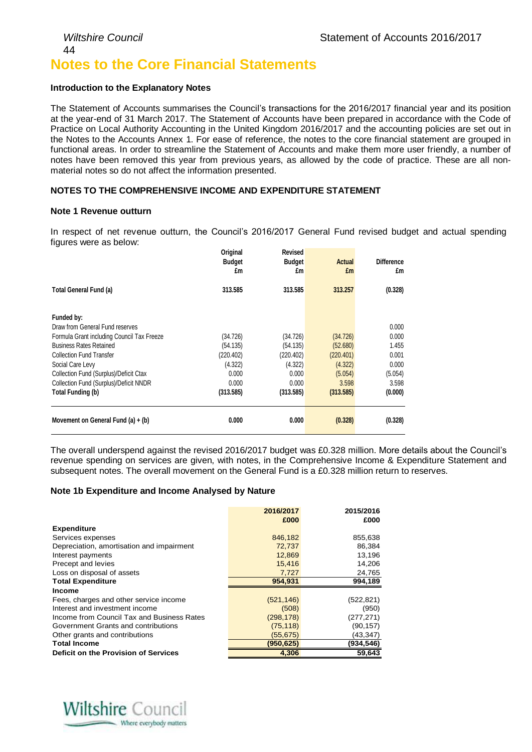### *Wiltshire Council* Statement of Accounts 2016/2017 44 **Notes to the Core Financial Statements**

### **Introduction to the Explanatory Notes**

The Statement of Accounts summarises the Council's transactions for the 2016/2017 financial year and its position at the year-end of 31 March 2017. The Statement of Accounts have been prepared in accordance with the Code of Practice on Local Authority Accounting in the United Kingdom 2016/2017 and the accounting policies are set out in the Notes to the Accounts Annex 1. For ease of reference, the notes to the core financial statement are grouped in functional areas. In order to streamline the Statement of Accounts and make them more user friendly, a number of notes have been removed this year from previous years, as allowed by the code of practice. These are all nonmaterial notes so do not affect the information presented.

### **NOTES TO THE COMPREHENSIVE INCOME AND EXPENDITURE STATEMENT**

### **Note 1 Revenue outturn**

In respect of net revenue outturn, the Council's 2016/2017 General Fund revised budget and actual spending figures were as below:

|                                            | Original<br><b>Budget</b><br>£m | Revised<br><b>Budget</b><br>£m | <b>Actual</b><br>£m | <b>Difference</b><br>£m |
|--------------------------------------------|---------------------------------|--------------------------------|---------------------|-------------------------|
| Total General Fund (a)                     | 313.585                         | 313.585                        | 313.257             | (0.328)                 |
|                                            |                                 |                                |                     |                         |
| Funded by:                                 |                                 |                                |                     |                         |
| Draw from General Fund reserves            |                                 |                                |                     | 0.000                   |
| Formula Grant including Council Tax Freeze | (34.726)                        | (34.726)                       | (34.726)            | 0.000                   |
| <b>Business Rates Retained</b>             | (54.135)                        | (54.135)                       | (52.680)            | 1.455                   |
| <b>Collection Fund Transfer</b>            | (220.402)                       | (220.402)                      | (220.401)           | 0.001                   |
| Social Care Levy                           | (4.322)                         | (4.322)                        | (4.322)             | 0.000                   |
| Collection Fund (Surplus)/Deficit Ctax     | 0.000                           | 0.000                          | (5.054)             | (5.054)                 |
| Collection Fund (Surplus)/Deficit NNDR     | 0.000                           | 0.000                          | 3.598               | 3.598                   |
| Total Funding (b)                          | (313.585)                       | (313.585)                      | (313.585)           | (0.000)                 |
| Movement on General Fund $(a) + (b)$       | 0.000                           | 0.000                          | (0.328)             | (0.328)                 |

The overall underspend against the revised 2016/2017 budget was £0.328 million. More details about the Council's revenue spending on services are given, with notes, in the Comprehensive Income & Expenditure Statement and subsequent notes. The overall movement on the General Fund is a £0.328 million return to reserves.

#### **Note 1b Expenditure and Income Analysed by Nature**

|                                            | 2016/2017  | 2015/2016  |
|--------------------------------------------|------------|------------|
|                                            | £000       | £000       |
| <b>Expenditure</b>                         |            |            |
| Services expenses                          | 846,182    | 855,638    |
| Depreciation, amortisation and impairment  | 72,737     | 86,384     |
| Interest payments                          | 12,869     | 13,196     |
| Precept and levies                         | 15,416     | 14,206     |
| Loss on disposal of assets                 | 7,727      | 24,765     |
| <b>Total Expenditure</b>                   | 954,931    | 994,189    |
| <b>Income</b>                              |            |            |
| Fees, charges and other service income     | (521, 146) | (522, 821) |
| Interest and investment income             | (508)      | (950)      |
| Income from Council Tax and Business Rates | (298, 178) | (277, 271) |
| Government Grants and contributions        | (75, 118)  | (90, 157)  |
| Other grants and contributions             | (55, 675)  | (43,347)   |
| <b>Total Income</b>                        | (950, 625) | (934,546)  |
| Deficit on the Provision of Services       | 4,306      | 59,643     |

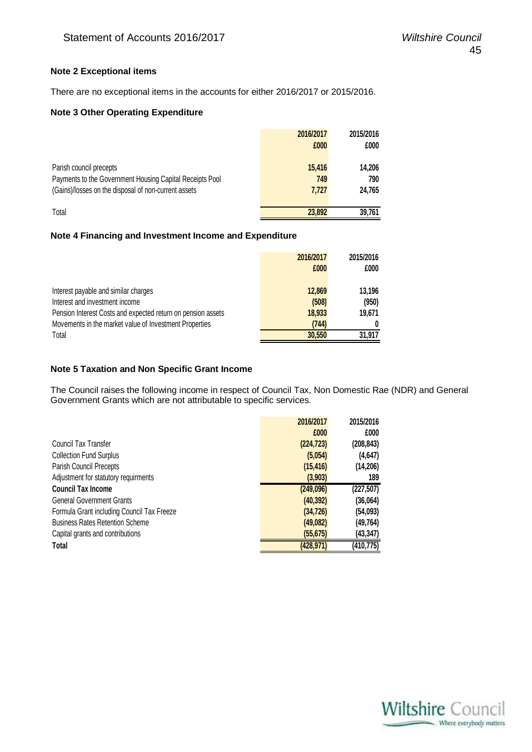### **Note 2 Exceptional items**

There are no exceptional items in the accounts for either 2016/2017 or 2015/2016.

### **Note 3 Other Operating Expenditure**

|                                                          | 2016/2017 | 2015/2016 |
|----------------------------------------------------------|-----------|-----------|
|                                                          | £000      | £000      |
|                                                          |           |           |
| Parish council precepts                                  | 15,416    | 14,206    |
| Payments to the Government Housing Capital Receipts Pool | 749       | 790       |
| (Gains)/losses on the disposal of non-current assets     | 7.727     | 24.765    |
|                                                          |           |           |
| Total                                                    | 23,892    | 39,761    |

### **Note 4 Financing and Investment Income and Expenditure**

|                                                              | 2016/2017 | 2015/2016 |
|--------------------------------------------------------------|-----------|-----------|
|                                                              | £000      | £000      |
|                                                              |           |           |
| Interest payable and similar charges                         | 12,869    | 13,196    |
| Interest and investment income                               | (508)     | (950)     |
| Pension Interest Costs and expected return on pension assets | 18,933    | 19.671    |
| Movements in the market value of Investment Properties       | (744)     |           |
| Total                                                        | 30,550    | 31,917    |

### **Note 5 Taxation and Non Specific Grant Income**

The Council raises the following income in respect of Council Tax, Non Domestic Rae (NDR) and General Government Grants which are not attributable to specific services.

|                                            | 2016/2017  | 2015/2016  |
|--------------------------------------------|------------|------------|
|                                            | £000       | £000       |
| Council Tax Transfer                       | (224, 723) | (208, 843) |
| <b>Collection Fund Surplus</b>             | (5,054)    | (4,647)    |
| Parish Council Precepts                    | (15, 416)  | (14, 206)  |
| Adjustment for statutory requirments       | (3,903)    | 189        |
| <b>Council Tax Income</b>                  | (249,096)  | (227, 507) |
| <b>General Government Grants</b>           | (40, 392)  | (36,064)   |
| Formula Grant including Council Tax Freeze | (34, 726)  | (54,093)   |
| <b>Business Rates Retention Scheme</b>     | (49,082)   | (49,764)   |
| Capital grants and contributions           | (55, 675)  | (43,347)   |
| Total                                      | (428, 971) | (410,775)  |

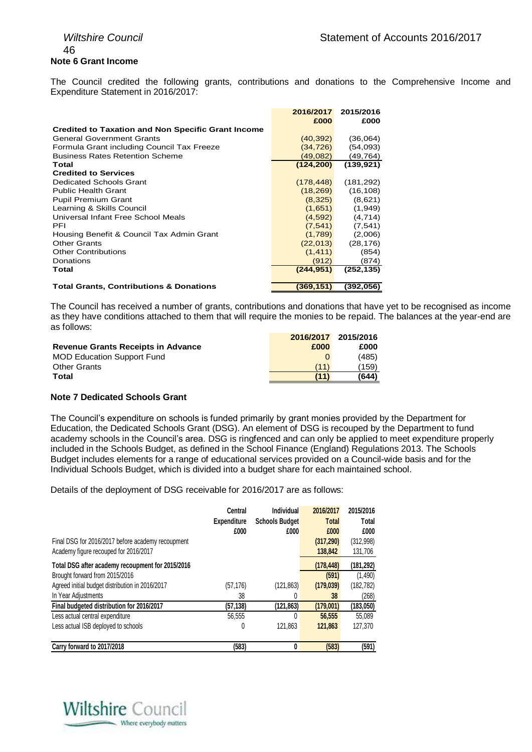### 46 **Note 6 Grant Income**

The Council credited the following grants, contributions and donations to the Comprehensive Income and Expenditure Statement in 2016/2017:

|                                                           | 2016/2017<br>£000 | 2015/2016<br>£000 |
|-----------------------------------------------------------|-------------------|-------------------|
| <b>Credited to Taxation and Non Specific Grant Income</b> |                   |                   |
| <b>General Government Grants</b>                          | (40, 392)         | (36,064)          |
| Formula Grant including Council Tax Freeze                | (34,726)          | (54,093)          |
| <b>Business Rates Retention Scheme</b>                    | (49,082)          | (49,764)          |
| Total                                                     | (124, 200)        | (139, 921)        |
| <b>Credited to Services</b>                               |                   |                   |
| Dedicated Schools Grant                                   | (178, 448)        | (181, 292)        |
| <b>Public Health Grant</b>                                | (18, 269)         | (16, 108)         |
| <b>Pupil Premium Grant</b>                                | (8,325)           | (8,621)           |
| Learning & Skills Council                                 | (1,651)           | (1,949)           |
| Universal Infant Free School Meals                        | (4,592)           | (4,714)           |
| PFI                                                       | (7, 541)          | (7, 541)          |
| Housing Benefit & Council Tax Admin Grant                 | (1,789)           | (2,006)           |
| <b>Other Grants</b>                                       | (22,013)          | (28, 176)         |
| <b>Other Contributions</b>                                | (1, 411)          | (854)             |
| Donations                                                 | (912)             | (874)             |
| Total                                                     | (244, 951)        | (252, 135)        |
|                                                           |                   |                   |
| <b>Total Grants, Contributions &amp; Donations</b>        | (369,151)         | (392,056)         |

The Council has received a number of grants, contributions and donations that have yet to be recognised as income as they have conditions attached to them that will require the monies to be repaid. The balances at the year-end are as follows:

|                                           | 2016/2017 | 2015/2016 |
|-------------------------------------------|-----------|-----------|
| <b>Revenue Grants Receipts in Advance</b> | £000      | £000      |
| <b>MOD Education Support Fund</b>         |           | (485)     |
| <b>Other Grants</b>                       | (11)      | (159)     |
| Total                                     | (11)      | (644)     |

### **Note 7 Dedicated Schools Grant**

The Council's expenditure on schools is funded primarily by grant monies provided by the Department for Education, the Dedicated Schools Grant (DSG). An element of DSG is recouped by the Department to fund academy schools in the Council's area. DSG is ringfenced and can only be applied to meet expenditure properly included in the Schools Budget, as defined in the School Finance (England) Regulations 2013. The Schools Budget includes elements for a range of educational services provided on a Council-wide basis and for the Individual Schools Budget, which is divided into a budget share for each maintained school.

Details of the deployment of DSG receivable for 2016/2017 are as follows:

|                                                   | Central<br><b>Expenditure</b> | Individual<br><b>Schools Budget</b> | 2016/2017<br><b>Total</b> | 2015/2016<br>Total |
|---------------------------------------------------|-------------------------------|-------------------------------------|---------------------------|--------------------|
|                                                   | £000                          | £000                                | £000                      | £000               |
| Final DSG for 2016/2017 before academy recoupment |                               |                                     | (317, 290)                | (312,998)          |
| Academy figure recouped for 2016/2017             |                               |                                     | 138,842                   | 131,706            |
| Total DSG after academy recoupment for 2015/2016  |                               |                                     | (178, 448)                | (181,292)          |
| Brought forward from 2015/2016                    |                               |                                     | (591)                     | (1,490)            |
| Agreed initial budget distribution in 2016/2017   | (57,176)                      | (121, 863)                          | (179, 039)                | (182, 782)         |
| In Year Adjustments                               | 38                            | 0                                   | 38                        | (268)              |
| Final budgeted distribution for 2016/2017         | (57, 138)                     | (121, 863)                          | (179,001)                 | (183,050)          |
| Less actual central expenditure                   | 56.555                        | 0                                   | 56,555                    | 55.089             |
| Less actual ISB deployed to schools               | 0                             | 121.863                             | 121.863                   | 127,370            |
| Carry forward to 2017/2018                        | (583)                         | 0                                   | (583)                     | (591)              |

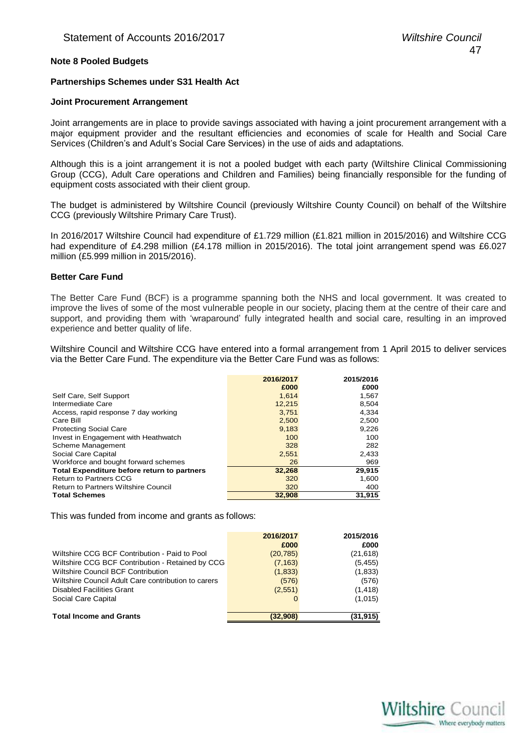### **Note 8 Pooled Budgets**

#### **Partnerships Schemes under S31 Health Act**

#### **Joint Procurement Arrangement**

Joint arrangements are in place to provide savings associated with having a joint procurement arrangement with a major equipment provider and the resultant efficiencies and economies of scale for Health and Social Care Services (Children's and Adult's Social Care Services) in the use of aids and adaptations.

Although this is a joint arrangement it is not a pooled budget with each party (Wiltshire Clinical Commissioning Group (CCG), Adult Care operations and Children and Families) being financially responsible for the funding of equipment costs associated with their client group.

The budget is administered by Wiltshire Council (previously Wiltshire County Council) on behalf of the Wiltshire CCG (previously Wiltshire Primary Care Trust).

In 2016/2017 Wiltshire Council had expenditure of £1.729 million (£1.821 million in 2015/2016) and Wiltshire CCG had expenditure of £4.298 million (£4.178 million in 2015/2016). The total joint arrangement spend was £6.027 million (£5.999 million in 2015/2016).

#### **Better Care Fund**

The Better Care Fund (BCF) is a programme spanning both the NHS and local government. It was created to improve the lives of some of the most vulnerable people in our society, placing them at the centre of their care and support, and providing them with 'wraparound' fully integrated health and social care, resulting in an improved experience and better quality of life.

Wiltshire Council and Wiltshire CCG have entered into a formal arrangement from 1 April 2015 to deliver services via the Better Care Fund. The expenditure via the Better Care Fund was as follows:

|                                             | 2016/2017<br>£000 | 2015/2016<br>£000 |
|---------------------------------------------|-------------------|-------------------|
| Self Care, Self Support                     | 1,614             | 1,567             |
| Intermediate Care                           | 12,215            | 8,504             |
| Access, rapid response 7 day working        | 3.751             | 4,334             |
| Care Bill                                   | 2,500             | 2,500             |
| <b>Protecting Social Care</b>               | 9,183             | 9,226             |
| Invest in Engagement with Heathwatch        | 100               | 100               |
| Scheme Management                           | 328               | 282               |
| Social Care Capital                         | 2,551             | 2,433             |
| Workforce and bought forward schemes        | 26                | 969               |
| Total Expenditure before return to partners | 32,268            | 29,915            |
| <b>Return to Partners CCG</b>               | 320               | 1,600             |
| <b>Return to Partners Wiltshire Council</b> | 320               | 400               |
| <b>Total Schemes</b>                        | 32,908            | 31.915            |

This was funded from income and grants as follows:

|                                                     | 2016/2017 | 2015/2016 |
|-----------------------------------------------------|-----------|-----------|
|                                                     | £000      | £000      |
| Wiltshire CCG BCF Contribution - Paid to Pool       | (20, 785) | (21, 618) |
| Wiltshire CCG BCF Contribution - Retained by CCG    | (7, 163)  | (5, 455)  |
| Wiltshire Council BCF Contribution                  | (1,833)   | (1,833)   |
| Wiltshire Council Adult Care contribution to carers | (576)     | (576)     |
| <b>Disabled Facilities Grant</b>                    | (2,551)   | (1, 418)  |
| Social Care Capital                                 |           | (1,015)   |
|                                                     |           |           |
| <b>Total Income and Grants</b>                      | (32,908)  | (31, 915) |

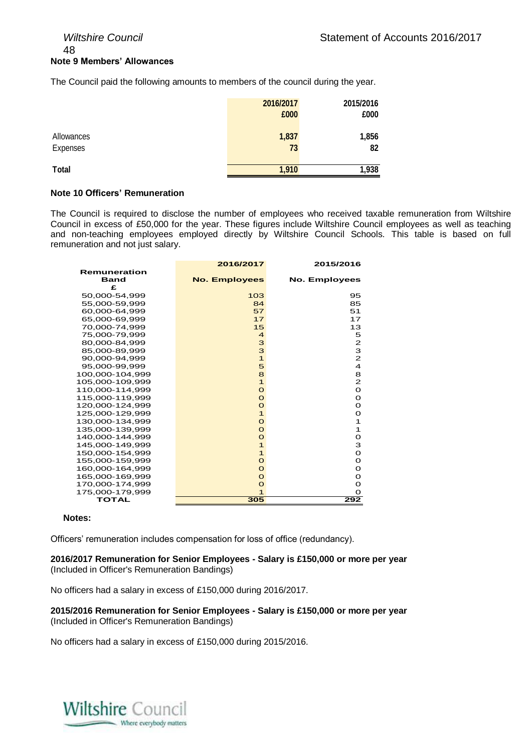### 48 **Note 9 Members' Allowances**

The Council paid the following amounts to members of the council during the year.

|              | 2016/2017 | 2015/2016 |
|--------------|-----------|-----------|
|              | £000      | £000      |
| Allowances   | 1,837     | 1,856     |
| Expenses     | 73        | 82        |
| <b>Total</b> | 1,910     | 1,938     |

### **Note 10 Officers' Remuneration**

The Council is required to disclose the number of employees who received taxable remuneration from Wiltshire Council in excess of £50,000 for the year. These figures include Wiltshire Council employees as well as teaching and non-teaching employees employed directly by Wiltshire Council Schools. This table is based on full remuneration and not just salary.

|                 | 2016/2017               | 2015/2016            |
|-----------------|-------------------------|----------------------|
| Remuneration    |                         |                      |
| <b>Band</b>     | <b>No. Employees</b>    | <b>No. Employees</b> |
| £               |                         |                      |
| 50,000-54,999   | 103                     | 95                   |
| 55,000-59,999   | 84                      | 85                   |
| 60,000-64,999   | 57                      | 51                   |
| 65.000-69,999   | 17                      | 17                   |
| 70,000-74,999   | 15                      | 13                   |
| 75,000-79,999   | $\overline{\mathbf{4}}$ | 5                    |
| 80.000-84.999   | 3                       | 2                    |
| 85,000-89,999   | 3                       | 3                    |
| 90,000-94,999   | $\mathbf{1}$            | $\mathbf{z}$         |
| 95,000-99,999   | 5                       | 4                    |
| 100,000-104,999 | 8                       | 8                    |
| 105,000-109,999 | $\mathbf{1}$            | 2                    |
| 110.000-114.999 | $\Omega$                | O                    |
| 115,000-119,999 | $\Omega$                | O                    |
| 120,000-124,999 | $\Omega$                | O                    |
| 125,000-129,999 | $\mathbf{1}$            | O                    |
| 130,000-134,999 | $\Omega$                | 1                    |
| 135,000-139,999 | $\Omega$                | 1                    |
| 140.000-144.999 | $\Omega$                | O                    |
| 145,000-149,999 | $\mathbf{1}$            | 3                    |
| 150,000-154,999 | $\mathbf{1}$            | O                    |
| 155,000-159,999 | $\Omega$                | O                    |
| 160,000-164,999 | O                       | O                    |
| 165,000-169,999 | $\Omega$                | O                    |
| 170,000-174,999 | $\Omega$                | O                    |
| 175,000-179,999 | $\mathbf{1}$            | $\Omega$             |
| <b>TOTAL</b>    | 305                     | 292                  |

#### **Notes:**

Officers' remuneration includes compensation for loss of office (redundancy).

**2016/2017 Remuneration for Senior Employees - Salary is £150,000 or more per year** (Included in Officer's Remuneration Bandings)

No officers had a salary in excess of £150,000 during 2016/2017.

**2015/2016 Remuneration for Senior Employees - Salary is £150,000 or more per year** (Included in Officer's Remuneration Bandings)

No officers had a salary in excess of £150,000 during 2015/2016.

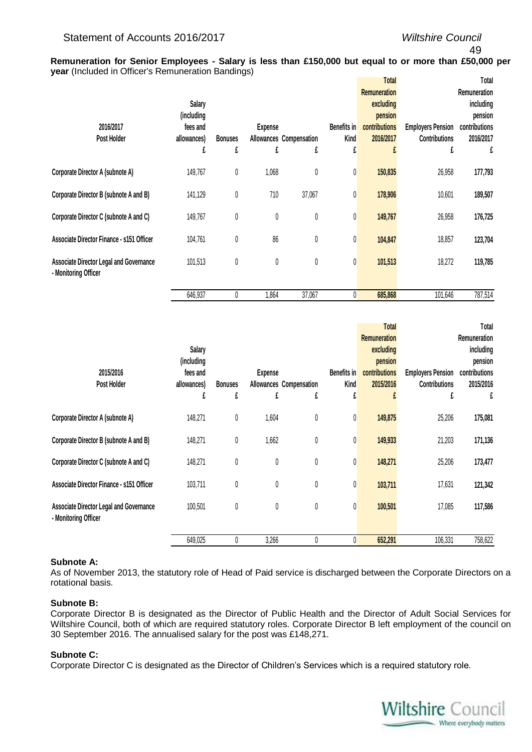### 49

**Remuneration for Senior Employees - Salary is less than £150,000 but equal to or more than £50,000 per year** (Included in Officer's Remuneration Bandings)

| 2016/2017<br>Post Holder                                               | <b>Salary</b><br>(including<br>fees and<br>allowances) | <b>Bonuses</b> | <b>Expense</b> | Allowances Compensation | <b>Benefits in</b><br>Kind | Total<br><b>Remuneration</b><br>excluding<br>pension<br>contributions<br>2016/2017 | <b>Employers Pension</b><br><b>Contributions</b> | Total<br><b>Remuneration</b><br>including<br>pension<br>contributions<br>2016/2017 |
|------------------------------------------------------------------------|--------------------------------------------------------|----------------|----------------|-------------------------|----------------------------|------------------------------------------------------------------------------------|--------------------------------------------------|------------------------------------------------------------------------------------|
|                                                                        | £                                                      | £              | £              | £                       | £                          |                                                                                    | f                                                | £                                                                                  |
| Corporate Director A (subnote A)                                       | 149,767                                                | $\pmb{0}$      | 1,068          | 0                       | 0                          | 150,835                                                                            | 26,958                                           | 177,793                                                                            |
| Corporate Director B (subnote A and B)                                 | 141,129                                                | $\pmb{0}$      | 710            | 37,067                  | 0                          | 178,906                                                                            | 10,601                                           | 189,507                                                                            |
| Corporate Director C (subnote A and C)                                 | 149,767                                                | $\pmb{0}$      | 0              | 0                       | 0                          | 149,767                                                                            | 26,958                                           | 176,725                                                                            |
| Associate Director Finance - s151 Officer                              | 104,761                                                | 0              | 86             | 0                       | 0                          | 104,847                                                                            | 18,857                                           | 123,704                                                                            |
| <b>Associate Director Legal and Governance</b><br>- Monitoring Officer | 101,513                                                | $\pmb{0}$      | 0              | 0                       | 0                          | 101,513                                                                            | 18,272                                           | 119,785                                                                            |
|                                                                        | 646,937                                                | 0              | 1,864          | 37,067                  | 0                          | 685,868                                                                            | 101,646                                          | 787,514                                                                            |

|                                                                        |             |                |                |                         |             | Total               |                          | Total         |
|------------------------------------------------------------------------|-------------|----------------|----------------|-------------------------|-------------|---------------------|--------------------------|---------------|
|                                                                        |             |                |                |                         |             | <b>Remuneration</b> |                          | Remuneration  |
|                                                                        | Salary      |                |                |                         |             | excluding           |                          | including     |
|                                                                        | (including  |                |                |                         |             | pension             |                          | pension       |
| 2015/2016                                                              | fees and    |                | <b>Expense</b> |                         | Benefits in | contributions       | <b>Employers Pension</b> | contributions |
| Post Holder                                                            | allowances) | <b>Bonuses</b> |                | Allowances Compensation | Kind        | 2015/2016           | <b>Contributions</b>     | 2015/2016     |
|                                                                        | £           | £              | £              | £                       | £           |                     | £                        | £             |
| Corporate Director A (subnote A)                                       | 148,271     | 0              | 1,604          | $\pmb{0}$               | 0           | 149,875             | 25,206                   | 175,081       |
| Corporate Director B (subnote A and B)                                 | 148,271     | 0              | 1,662          | $\pmb{0}$               | 0           | 149,933             | 21,203                   | 171,136       |
| Corporate Director C (subnote A and C)                                 | 148,271     | 0              | 0              | $\pmb{0}$               | 0           | 148,271             | 25,206                   | 173,477       |
| Associate Director Finance - s151 Officer                              | 103,711     | 0              | 0              | $\pmb{0}$               | 0           | 103,711             | 17,631                   | 121,342       |
| <b>Associate Director Legal and Governance</b><br>- Monitoring Officer | 100,501     | 0              | $\pmb{0}$      | $\pmb{0}$               | $\pmb{0}$   | 100,501             | 17,085                   | 117,586       |
|                                                                        | 649,025     | 0              | 3,266          | 0                       | 0           | 652,291             | 106,331                  | 758,622       |

#### **Subnote A:**

As of November 2013, the statutory role of Head of Paid service is discharged between the Corporate Directors on a rotational basis.

### **Subnote B:**

Corporate Director B is designated as the Director of Public Health and the Director of Adult Social Services for Wiltshire Council, both of which are required statutory roles. Corporate Director B left employment of the council on 30 September 2016. The annualised salary for the post was £148,271.

### **Subnote C:**

Corporate Director C is designated as the Director of Children's Services which is a required statutory role.

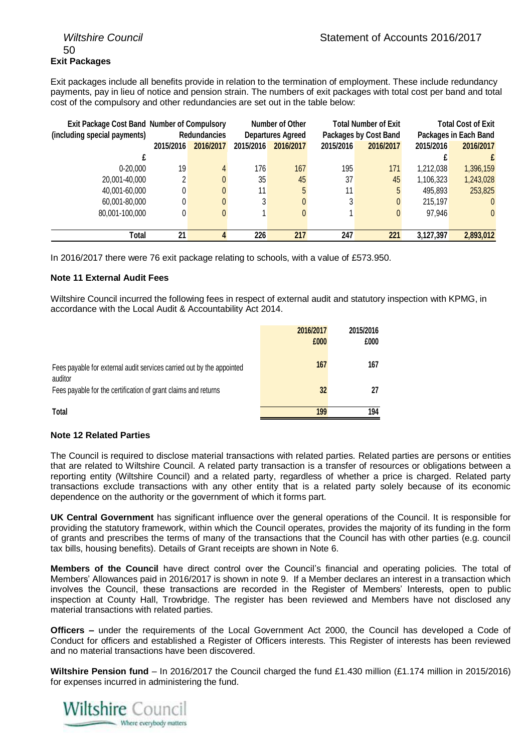### 50 **Exit Packages**

Exit packages include all benefits provide in relation to the termination of employment. These include redundancy payments, pay in lieu of notice and pension strain. The numbers of exit packages with total cost per band and total cost of the compulsory and other redundancies are set out in the table below:

| <b>Exit Package Cost Band Number of Compulsory</b> |           |                     | Number of Other |                          |           |                              | <b>Total Number of Exit</b> |                |  | <b>Total Cost of Exit</b> |
|----------------------------------------------------|-----------|---------------------|-----------------|--------------------------|-----------|------------------------------|-----------------------------|----------------|--|---------------------------|
| (including special payments)                       |           | <b>Redundancies</b> |                 | <b>Departures Agreed</b> |           | <b>Packages by Cost Band</b> | Packages in Each Band       |                |  |                           |
|                                                    | 2015/2016 | 2016/2017           | 2015/2016       | 2016/2017                | 2015/2016 | 2016/2017                    | 2015/2016                   | 2016/2017      |  |                           |
|                                                    |           |                     |                 |                          |           |                              |                             | £              |  |                           |
| $0 - 20.000$                                       | 19        | 4                   | 176             | 167                      | 195       | 171                          | 1.212.038                   | 1,396,159      |  |                           |
| 20,001-40,000                                      | 2         |                     | 35              | 45                       | 37        | 45                           | 1,106,323                   | 1,243,028      |  |                           |
| 40,001-60,000                                      | 0         |                     | 11              | 5                        | 11        | 5                            | 495.893                     | 253,825        |  |                           |
| 60,001-80,000                                      | 0         |                     | 3               |                          | 3         | 0                            | 215,197                     | $\mathbf{0}$   |  |                           |
| 80,001-100,000                                     | 0         |                     |                 | 0                        |           | $\mathbf{0}$                 | 97,946                      | $\overline{0}$ |  |                           |
|                                                    |           |                     |                 |                          |           |                              |                             |                |  |                           |
| Total                                              | 21        |                     | 226             | 217                      | 247       | 221                          | 3,127,397                   | 2,893,012      |  |                           |

In 2016/2017 there were 76 exit package relating to schools, with a value of £573.950.

### **Note 11 External Audit Fees**

Wiltshire Council incurred the following fees in respect of external audit and statutory inspection with KPMG, in accordance with the Local Audit & Accountability Act 2014.

|                                                                                  | 2016/2017<br>£000 | 2015/2016<br>£000 |
|----------------------------------------------------------------------------------|-------------------|-------------------|
| Fees payable for external audit services carried out by the appointed<br>auditor | 167               | 167               |
| Fees payable for the certification of grant claims and returns                   | 32                | 27                |
| Total                                                                            | 199               | 194               |

### **Note 12 Related Parties**

The Council is required to disclose material transactions with related parties. Related parties are persons or entities that are related to Wiltshire Council. A related party transaction is a transfer of resources or obligations between a reporting entity (Wiltshire Council) and a related party, regardless of whether a price is charged. Related party transactions exclude transactions with any other entity that is a related party solely because of its economic dependence on the authority or the government of which it forms part.

**UK Central Government** has significant influence over the general operations of the Council. It is responsible for providing the statutory framework, within which the Council operates, provides the majority of its funding in the form of grants and prescribes the terms of many of the transactions that the Council has with other parties (e.g. council tax bills, housing benefits). Details of Grant receipts are shown in Note 6.

**Members of the Council** have direct control over the Council's financial and operating policies. The total of Members' Allowances paid in 2016/2017 is shown in note 9. If a Member declares an interest in a transaction which involves the Council, these transactions are recorded in the Register of Members' Interests, open to public inspection at County Hall, Trowbridge. The register has been reviewed and Members have not disclosed any material transactions with related parties.

**Officers –** under the requirements of the Local Government Act 2000, the Council has developed a Code of Conduct for officers and established a Register of Officers interests. This Register of interests has been reviewed and no material transactions have been discovered.

**Wiltshire Pension fund** – In 2016/2017 the Council charged the fund £1.430 million (£1.174 million in 2015/2016) for expenses incurred in administering the fund.

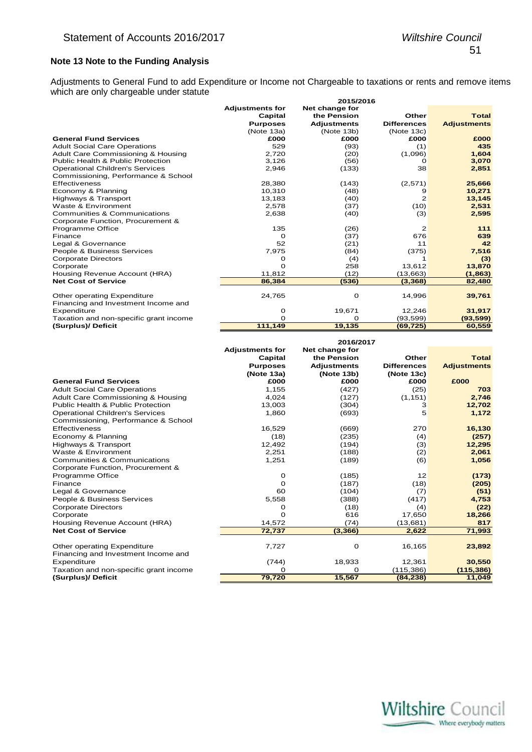### **Note 13 Note to the Funding Analysis**

Adjustments to General Fund to add Expenditure or Income not Chargeable to taxations or rents and remove items which are only chargeable under statute

|                                        | 2015/2016              |                    |                    |                    |  |  |
|----------------------------------------|------------------------|--------------------|--------------------|--------------------|--|--|
|                                        | <b>Adjustments for</b> | Net change for     |                    |                    |  |  |
|                                        | Capital                | the Pension        | Other              | <b>Total</b>       |  |  |
|                                        | <b>Purposes</b>        | <b>Adjustments</b> | <b>Differences</b> | <b>Adjustments</b> |  |  |
|                                        | (Note 13a)             | (Note 13b)         | (Note 13c)         |                    |  |  |
| <b>General Fund Services</b>           | £000                   | £000               | £000               | £000               |  |  |
| <b>Adult Social Care Operations</b>    | 529                    | (93)               | (1)                | 435                |  |  |
| Adult Care Commissioning & Housing     | 2.720                  | (20)               | (1,096)            | 1,604              |  |  |
| Public Health & Public Protection      | 3,126                  | (56)               | Ω                  | 3,070              |  |  |
| <b>Operational Children's Services</b> | 2,946                  | (133)              | 38                 | 2,851              |  |  |
| Commissioning, Performance & School    |                        |                    |                    |                    |  |  |
| Effectiveness                          | 28,380                 | (143)              | (2,571)            | 25,666             |  |  |
| Economy & Planning                     | 10,310                 | (48)               | 9                  | 10,271             |  |  |
| Highways & Transport                   | 13,183                 | (40)               | 2                  | 13,145             |  |  |
| Waste & Environment                    | 2,578                  | (37)               | (10)               | 2,531              |  |  |
| Communities & Communications           | 2,638                  | (40)               | (3)                | 2,595              |  |  |
| Corporate Function, Procurement &      |                        |                    |                    |                    |  |  |
| Programme Office                       | 135                    | (26)               | 2                  | 111                |  |  |
| Finance                                | O                      | (37)               | 676                | 639                |  |  |
| Legal & Governance                     | 52                     | (21)               | 11                 | 42                 |  |  |
| People & Business Services             | 7,975                  | (84)               | (375)              | 7,516              |  |  |
| <b>Corporate Directors</b>             | o                      | (4)                |                    | (3)                |  |  |
| Corporate                              | O                      | 258                | 13,612             | 13,870             |  |  |
| Housing Revenue Account (HRA)          | 11,812                 | (12)               | (13,663)           | (1, 863)           |  |  |
| <b>Net Cost of Service</b>             | 86,384                 | (536)              | (3, 368)           | 82,480             |  |  |
|                                        |                        |                    |                    |                    |  |  |
| Other operating Expenditure            | 24,765                 | 0                  | 14,996             | 39,761             |  |  |
| Financing and Investment Income and    |                        |                    |                    |                    |  |  |
| Expenditure                            | 0                      | 19,671             | 12,246             | 31,917             |  |  |
| Taxation and non-specific grant income | Ω                      | Ω                  | (93,599)           | (93, 599)          |  |  |
| (Surplus)/ Deficit                     | 111,149                | 19,135             | (69, 725)          | 60,559             |  |  |

|                                              |                            | 2016/2017                     |                    |                    |
|----------------------------------------------|----------------------------|-------------------------------|--------------------|--------------------|
|                                              | <b>Adjustments for</b>     | Net change for<br>the Pension | Other              | <b>Total</b>       |
|                                              | Capital<br><b>Purposes</b> | <b>Adjustments</b>            | <b>Differences</b> | <b>Adjustments</b> |
|                                              | (Note 13a)                 | (Note 13b)                    | (Note 13c)         |                    |
| <b>General Fund Services</b>                 | £000                       | £000                          | £000               | £000               |
| <b>Adult Social Care Operations</b>          | 1,155                      | (427)                         | (25)               | 703                |
| Adult Care Commissioning & Housing           | 4,024                      | (127)                         | (1, 151)           | 2,746              |
| <b>Public Health &amp; Public Protection</b> | 13,003                     | (304)                         | 3                  | 12,702             |
| <b>Operational Children's Services</b>       | 1,860                      | (693)                         | 5                  | 1,172              |
| Commissioning, Performance & School          |                            |                               |                    |                    |
| Effectiveness                                | 16,529                     | (669)                         | 270                | 16,130             |
| Economy & Planning                           | (18)                       | (235)                         | (4)                | (257)              |
| Highways & Transport                         | 12,492                     | (194)                         | (3)                | 12,295             |
| Waste & Environment                          | 2,251                      | (188)                         | (2)                | 2,061              |
| <b>Communities &amp; Communications</b>      | 1,251                      | (189)                         | (6)                | 1,056              |
| Corporate Function, Procurement &            |                            |                               |                    |                    |
| Programme Office                             | 0                          | (185)                         | 12                 | (173)              |
| Finance                                      | 0                          | (187)                         | (18)               | (205)              |
| Legal & Governance                           | 60                         | (104)                         | (7)                | (51)               |
| People & Business Services                   | 5,558                      | (388)                         | (417)              | 4,753              |
| <b>Corporate Directors</b>                   | 0                          | (18)                          | (4)                | (22)               |
| Corporate                                    | $\Omega$                   | 616                           | 17,650             | 18,266             |
| Housing Revenue Account (HRA)                | 14,572                     | (74)                          | (13,681)           | 817                |
| <b>Net Cost of Service</b>                   | 72,737                     | (3,366)                       | 2,622              | 71,993             |
|                                              |                            |                               |                    |                    |
| Other operating Expenditure                  | 7,727                      | 0                             | 16,165             | 23,892             |
| Financing and Investment Income and          |                            |                               |                    |                    |
| Expenditure                                  | (744)                      | 18,933                        | 12,361             | 30,550             |
| Taxation and non-specific grant income       | Ω                          | 0                             | (115, 386)         | (115,386)          |
| (Surplus)/ Deficit                           | 79,720                     | 15,567                        | (84, 238)          | 11,049             |

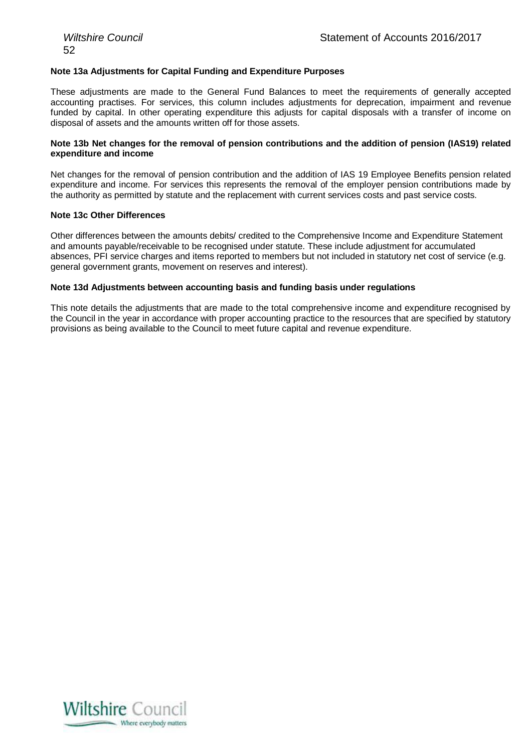### **Note 13a Adjustments for Capital Funding and Expenditure Purposes**

These adjustments are made to the General Fund Balances to meet the requirements of generally accepted accounting practises. For services, this column includes adjustments for deprecation, impairment and revenue funded by capital. In other operating expenditure this adjusts for capital disposals with a transfer of income on disposal of assets and the amounts written off for those assets.

### **Note 13b Net changes for the removal of pension contributions and the addition of pension (IAS19) related expenditure and income**

Net changes for the removal of pension contribution and the addition of IAS 19 Employee Benefits pension related expenditure and income. For services this represents the removal of the employer pension contributions made by the authority as permitted by statute and the replacement with current services costs and past service costs.

#### **Note 13c Other Differences**

Other differences between the amounts debits/ credited to the Comprehensive Income and Expenditure Statement and amounts payable/receivable to be recognised under statute. These include adjustment for accumulated absences, PFI service charges and items reported to members but not included in statutory net cost of service (e.g. general government grants, movement on reserves and interest).

#### **Note 13d Adjustments between accounting basis and funding basis under regulations**

This note details the adjustments that are made to the total comprehensive income and expenditure recognised by the Council in the year in accordance with proper accounting practice to the resources that are specified by statutory provisions as being available to the Council to meet future capital and revenue expenditure.

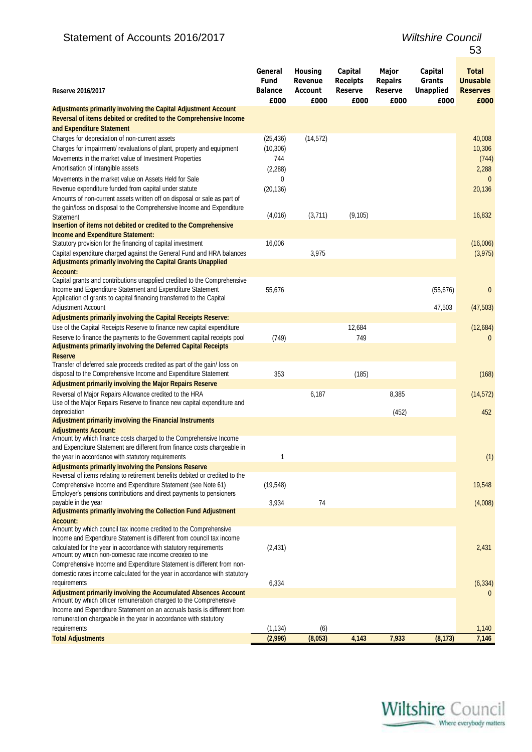### Statement of Accounts 20 1 6/201

| Reserve 2016/2017                                                                                                                           | General<br><b>Fund</b><br><b>Balance</b> | <b>Housing</b><br>Revenue<br>Account | Capital<br><b>Receipts</b><br><b>Reserve</b> | Major<br><b>Repairs</b><br><b>Reserve</b> | Capital<br>Grants<br><b>Unapplied</b> | <b>Total</b><br><b>Unusable</b><br><b>Reserves</b> |
|---------------------------------------------------------------------------------------------------------------------------------------------|------------------------------------------|--------------------------------------|----------------------------------------------|-------------------------------------------|---------------------------------------|----------------------------------------------------|
| <b>Adjustments primarily involving the Capital Adjustment Account</b>                                                                       | £000                                     | £000                                 | £000                                         | £000                                      | £000                                  | £000                                               |
| Reversal of items debited or credited to the Comprehensive Income                                                                           |                                          |                                      |                                              |                                           |                                       |                                                    |
| and Expenditure Statement                                                                                                                   |                                          |                                      |                                              |                                           |                                       |                                                    |
| Charges for depreciation of non-current assets                                                                                              | (25, 436)                                | (14, 572)                            |                                              |                                           |                                       | 40,008                                             |
| Charges for impairment/ revaluations of plant, property and equipment                                                                       | (10, 306)                                |                                      |                                              |                                           |                                       | 10,306                                             |
| Movements in the market value of Investment Properties                                                                                      | 744                                      |                                      |                                              |                                           |                                       | (744)                                              |
| Amortisation of intangible assets                                                                                                           | (2, 288)                                 |                                      |                                              |                                           |                                       | 2,288                                              |
| Movements in the market value on Assets Held for Sale                                                                                       | 0                                        |                                      |                                              |                                           |                                       | $\theta$                                           |
| Revenue expenditure funded from capital under statute                                                                                       | (20, 136)                                |                                      |                                              |                                           |                                       | 20,136                                             |
| Amounts of non-current assets written off on disposal or sale as part of                                                                    |                                          |                                      |                                              |                                           |                                       |                                                    |
| the gain/loss on disposal to the Comprehensive Income and Expenditure                                                                       | (4,016)                                  | (3,711)                              | (9, 105)                                     |                                           |                                       | 16,832                                             |
| <b>Statement</b><br>Insertion of items not debited or credited to the Comprehensive                                                         |                                          |                                      |                                              |                                           |                                       |                                                    |
| <b>Income and Expenditure Statement:</b>                                                                                                    |                                          |                                      |                                              |                                           |                                       |                                                    |
| Statutory provision for the financing of capital investment                                                                                 | 16,006                                   |                                      |                                              |                                           |                                       | (16,006)                                           |
| Capital expenditure charged against the General Fund and HRA balances                                                                       |                                          | 3,975                                |                                              |                                           |                                       | (3, 975)                                           |
| <b>Adjustments primarily involving the Capital Grants Unapplied</b>                                                                         |                                          |                                      |                                              |                                           |                                       |                                                    |
| <b>Account:</b>                                                                                                                             |                                          |                                      |                                              |                                           |                                       |                                                    |
| Capital grants and contributions unapplied credited to the Comprehensive                                                                    |                                          |                                      |                                              |                                           |                                       |                                                    |
| Income and Expenditure Statement and Expenditure Statement                                                                                  | 55,676                                   |                                      |                                              |                                           | (55, 676)                             | $\mathbf{0}$                                       |
| Application of grants to capital financing transferred to the Capital                                                                       |                                          |                                      |                                              |                                           |                                       |                                                    |
| Adjustment Account<br>Adjustments primarily involving the Capital Receipts Reserve:                                                         |                                          |                                      |                                              |                                           | 47,503                                | (47, 503)                                          |
| Use of the Capital Receipts Reserve to finance new capital expenditure                                                                      |                                          |                                      | 12,684                                       |                                           |                                       |                                                    |
| Reserve to finance the payments to the Government capital receipts pool                                                                     | (749)                                    |                                      | 749                                          |                                           |                                       | (12, 684)                                          |
| <b>Adjustments primarily involving the Deferred Capital Receipts</b>                                                                        |                                          |                                      |                                              |                                           |                                       | $\mathbf{0}$                                       |
| <b>Reserve</b>                                                                                                                              |                                          |                                      |                                              |                                           |                                       |                                                    |
| Transfer of deferred sale proceeds credited as part of the gain/loss on                                                                     |                                          |                                      |                                              |                                           |                                       |                                                    |
| disposal to the Comprehensive Income and Expenditure Statement                                                                              | 353                                      |                                      | (185)                                        |                                           |                                       | (168)                                              |
| <b>Adjustment primarily involving the Major Repairs Reserve</b>                                                                             |                                          |                                      |                                              |                                           |                                       |                                                    |
| Reversal of Major Repairs Allowance credited to the HRA                                                                                     |                                          | 6,187                                |                                              | 8,385                                     |                                       | (14, 572)                                          |
| Use of the Major Repairs Reserve to finance new capital expenditure and                                                                     |                                          |                                      |                                              |                                           |                                       |                                                    |
| depreciation                                                                                                                                |                                          |                                      |                                              | (452)                                     |                                       | 452                                                |
| <b>Adjustment primarily involving the Financial Instruments</b><br><b>Adjustments Account:</b>                                              |                                          |                                      |                                              |                                           |                                       |                                                    |
| Amount by which finance costs charged to the Comprehensive Income                                                                           |                                          |                                      |                                              |                                           |                                       |                                                    |
| and Expenditure Statement are different from finance costs chargeable in                                                                    |                                          |                                      |                                              |                                           |                                       |                                                    |
| the year in accordance with statutory requirements                                                                                          | 1                                        |                                      |                                              |                                           |                                       | (1)                                                |
| <b>Adjustments primarily involving the Pensions Reserve</b>                                                                                 |                                          |                                      |                                              |                                           |                                       |                                                    |
| Reversal of items relating to retirement benefits debited or credited to the                                                                |                                          |                                      |                                              |                                           |                                       |                                                    |
| Comprehensive Income and Expenditure Statement (see Note 61)                                                                                | (19, 548)                                |                                      |                                              |                                           |                                       | 19,548                                             |
| Employer's pensions contributions and direct payments to pensioners<br>payable in the year                                                  |                                          | 74                                   |                                              |                                           |                                       |                                                    |
| <b>Adjustments primarily involving the Collection Fund Adjustment</b>                                                                       | 3,934                                    |                                      |                                              |                                           |                                       | (4,008)                                            |
| <b>Account:</b>                                                                                                                             |                                          |                                      |                                              |                                           |                                       |                                                    |
| Amount by which council tax income credited to the Comprehensive                                                                            |                                          |                                      |                                              |                                           |                                       |                                                    |
| Income and Expenditure Statement is different from council tax income                                                                       |                                          |                                      |                                              |                                           |                                       |                                                    |
| calculated for the year in accordance with statutory requirements<br>Amount by which non-domestic rate income credited to the               | (2, 431)                                 |                                      |                                              |                                           |                                       | 2,431                                              |
| Comprehensive Income and Expenditure Statement is different from non-                                                                       |                                          |                                      |                                              |                                           |                                       |                                                    |
| domestic rates income calculated for the year in accordance with statutory                                                                  |                                          |                                      |                                              |                                           |                                       |                                                    |
| requirements                                                                                                                                | 6,334                                    |                                      |                                              |                                           |                                       | (6, 334)                                           |
| <b>Adjustment primarily involving the Accumulated Absences Account</b><br>Amount by which officer remuneration charged to the Comprehensive |                                          |                                      |                                              |                                           |                                       | $\mathbf{0}$                                       |
| Income and Expenditure Statement on an accruals basis is different from                                                                     |                                          |                                      |                                              |                                           |                                       |                                                    |
| remuneration chargeable in the year in accordance with statutory                                                                            |                                          |                                      |                                              |                                           |                                       |                                                    |
| requirements                                                                                                                                | (1, 134)                                 | (6)                                  |                                              |                                           |                                       | 1,140                                              |
| <b>Total Adjustments</b>                                                                                                                    | (2,996)                                  | (8,053)                              | 4,143                                        | 7,933                                     | (8, 173)                              | 7,146                                              |

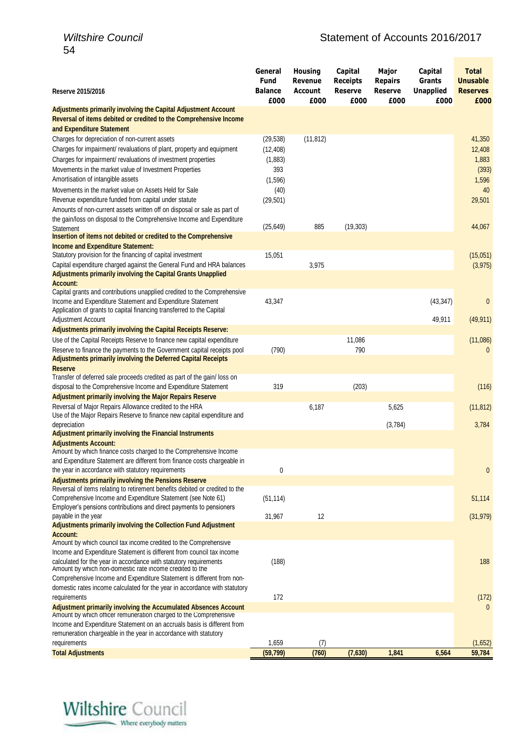| Reserve 2015/2016                                                                                                                                                                                                         | General<br>Fund<br><b>Balance</b> | <b>Housing</b><br>Revenue<br><b>Account</b> | Capital<br><b>Receipts</b><br><b>Reserve</b> | Major<br><b>Repairs</b><br><b>Reserve</b> | Capital<br>Grants<br><b>Unapplied</b> | <b>Total</b><br><b>Unusable</b><br><b>Reserves</b> |
|---------------------------------------------------------------------------------------------------------------------------------------------------------------------------------------------------------------------------|-----------------------------------|---------------------------------------------|----------------------------------------------|-------------------------------------------|---------------------------------------|----------------------------------------------------|
| <b>Adjustments primarily involving the Capital Adjustment Account</b>                                                                                                                                                     | £000                              | £000                                        | £000                                         | £000                                      | £000                                  | £000                                               |
| Reversal of items debited or credited to the Comprehensive Income                                                                                                                                                         |                                   |                                             |                                              |                                           |                                       |                                                    |
| and Expenditure Statement<br>Charges for depreciation of non-current assets<br>Charges for impairment/ revaluations of plant, property and equipment                                                                      | (29, 538)<br>(12, 408)            | (11, 812)                                   |                                              |                                           |                                       | 41,350<br>12,408                                   |
| Charges for impairment/ revaluations of investment properties<br>Movements in the market value of Investment Properties                                                                                                   | (1,883)<br>393                    |                                             |                                              |                                           |                                       | 1,883<br>(393)                                     |
| Amortisation of intangible assets                                                                                                                                                                                         | (1,596)                           |                                             |                                              |                                           |                                       | 1,596                                              |
| Movements in the market value on Assets Held for Sale<br>Revenue expenditure funded from capital under statute                                                                                                            | (40)<br>(29, 501)                 |                                             |                                              |                                           |                                       | 40<br>29,501                                       |
| Amounts of non-current assets written off on disposal or sale as part of                                                                                                                                                  |                                   |                                             |                                              |                                           |                                       |                                                    |
| the gain/loss on disposal to the Comprehensive Income and Expenditure<br>Statement                                                                                                                                        | (25, 649)                         | 885                                         | (19, 303)                                    |                                           |                                       | 44,067                                             |
| Insertion of items not debited or credited to the Comprehensive                                                                                                                                                           |                                   |                                             |                                              |                                           |                                       |                                                    |
| <b>Income and Expenditure Statement:</b><br>Statutory provision for the financing of capital investment                                                                                                                   | 15,051                            |                                             |                                              |                                           |                                       | (15,051)                                           |
| Capital expenditure charged against the General Fund and HRA balances<br><b>Adjustments primarily involving the Capital Grants Unapplied</b>                                                                              |                                   | 3,975                                       |                                              |                                           |                                       | (3, 975)                                           |
| <b>Account:</b><br>Capital grants and contributions unapplied credited to the Comprehensive                                                                                                                               |                                   |                                             |                                              |                                           |                                       |                                                    |
| Income and Expenditure Statement and Expenditure Statement<br>Application of grants to capital financing transferred to the Capital                                                                                       | 43,347                            |                                             |                                              |                                           | (43, 347)                             | $\mathbf{0}$                                       |
| Adjustment Account                                                                                                                                                                                                        |                                   |                                             |                                              |                                           | 49,911                                | (49, 911)                                          |
| <b>Adjustments primarily involving the Capital Receipts Reserve:</b>                                                                                                                                                      |                                   |                                             |                                              |                                           |                                       |                                                    |
| Use of the Capital Receipts Reserve to finance new capital expenditure<br>Reserve to finance the payments to the Government capital receipts pool<br><b>Adjustments primarily involving the Deferred Capital Receipts</b> | (790)                             |                                             | 11,086<br>790                                |                                           |                                       | (11,086)<br>$\mathbf{0}$                           |
| <b>Reserve</b>                                                                                                                                                                                                            |                                   |                                             |                                              |                                           |                                       |                                                    |
| Transfer of deferred sale proceeds credited as part of the gain/loss on<br>disposal to the Comprehensive Income and Expenditure Statement                                                                                 | 319                               |                                             | (203)                                        |                                           |                                       | (116)                                              |
| <b>Adjustment primarily involving the Major Repairs Reserve</b>                                                                                                                                                           |                                   |                                             |                                              |                                           |                                       |                                                    |
| Reversal of Major Repairs Allowance credited to the HRA<br>Use of the Major Repairs Reserve to finance new capital expenditure and                                                                                        |                                   | 6,187                                       |                                              | 5,625                                     |                                       | (11, 812)                                          |
| depreciation<br><b>Adjustment primarily involving the Financial Instruments</b>                                                                                                                                           |                                   |                                             |                                              | (3,784)                                   |                                       | 3,784                                              |
| <b>Adjustments Account:</b><br>Amount by which finance costs charged to the Comprehensive Income                                                                                                                          |                                   |                                             |                                              |                                           |                                       |                                                    |
| and Expenditure Statement are different from finance costs chargeable in                                                                                                                                                  |                                   |                                             |                                              |                                           |                                       |                                                    |
| the year in accordance with statutory requirements<br><b>Adjustments primarily involving the Pensions Reserve</b>                                                                                                         | 0                                 |                                             |                                              |                                           |                                       | $\mathbf{0}$                                       |
| Reversal of items relating to retirement benefits debited or credited to the<br>Comprehensive Income and Expenditure Statement (see Note 61)                                                                              | (51, 114)                         |                                             |                                              |                                           |                                       | 51,114                                             |
| Employer's pensions contributions and direct payments to pensioners<br>payable in the year                                                                                                                                | 31,967                            | 12                                          |                                              |                                           |                                       | (31, 979)                                          |
| <b>Adjustments primarily involving the Collection Fund Adjustment</b><br><b>Account:</b>                                                                                                                                  |                                   |                                             |                                              |                                           |                                       |                                                    |
| Amount by which council tax income credited to the Comprehensive<br>Income and Expenditure Statement is different from council tax income<br>calculated for the year in accordance with statutory requirements            | (188)                             |                                             |                                              |                                           |                                       | 188                                                |
| Amount by which non-domestic rate income credited to the<br>Comprehensive Income and Expenditure Statement is different from non-                                                                                         |                                   |                                             |                                              |                                           |                                       |                                                    |
| domestic rates income calculated for the year in accordance with statutory<br>requirements                                                                                                                                | 172                               |                                             |                                              |                                           |                                       | (172)                                              |
| <b>Adjustment primarily involving the Accumulated Absences Account</b>                                                                                                                                                    |                                   |                                             |                                              |                                           |                                       | $\mathbf{0}$                                       |
| Amount by which officer remuneration charged to the Comprehensive<br>Income and Expenditure Statement on an accruals basis is different from<br>remuneration chargeable in the year in accordance with statutory          |                                   |                                             |                                              |                                           |                                       |                                                    |
| requirements                                                                                                                                                                                                              | 1,659                             | (7)                                         |                                              |                                           |                                       | (1,652)                                            |
| <b>Total Adjustments</b>                                                                                                                                                                                                  | (59, 799)                         | (760)                                       | (7,630)                                      | 1,841                                     | 6,564                                 | 59,784                                             |

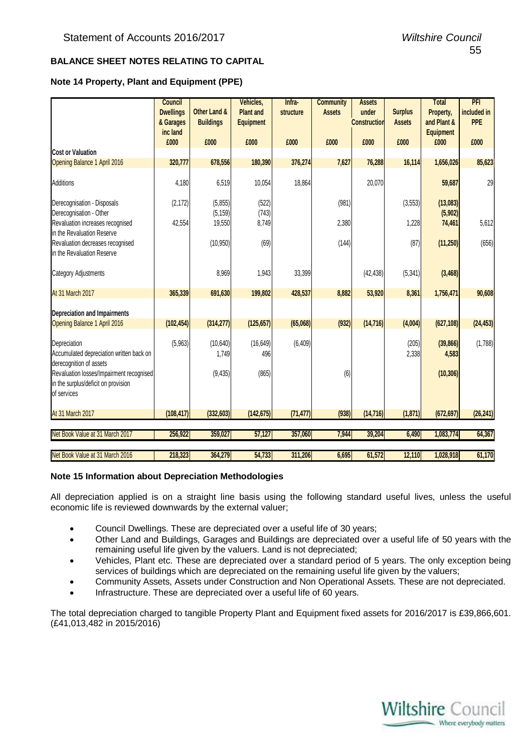### **BALANCE SHEET NOTES RELATING TO CAPITAL**

### **Note 14 Property, Plant and Equipment (PPE)**

|                                                                                                | <b>Council</b><br><b>Dwellings</b><br>& Garages | Other Land &<br><b>Buildings</b> | Vehicles,<br><b>Plant and</b><br><b>Equipment</b> | Infra-<br>structure | <b>Community</b><br><b>Assets</b> | <b>Assets</b><br>under<br><b>Construction</b> | <b>Surplus</b><br><b>Assets</b> | <b>Total</b><br>Property,<br>and Plant & | PFI<br>included in<br><b>PPE</b> |
|------------------------------------------------------------------------------------------------|-------------------------------------------------|----------------------------------|---------------------------------------------------|---------------------|-----------------------------------|-----------------------------------------------|---------------------------------|------------------------------------------|----------------------------------|
|                                                                                                | inc land<br>£000                                | £000                             | £000                                              | £000                | £000                              | £000                                          | £000                            | <b>Equipment</b><br>£000                 | £000                             |
| <b>Cost or Valuation</b>                                                                       |                                                 |                                  |                                                   |                     |                                   |                                               |                                 |                                          |                                  |
| Opening Balance 1 April 2016                                                                   | 320,777                                         | 678,556                          | 180,390                                           | 376,274             | 7,627                             | 76,288                                        | 16,114                          | 1,656,026                                | 85,623                           |
| Additions                                                                                      | 4,180                                           | 6,519                            | 10,054                                            | 18,864              |                                   | 20,070                                        |                                 | 59,687                                   | 29                               |
| Derecognisation - Disposals<br>Derecognisation - Other                                         | (2, 172)                                        | (5,855)<br>(5, 159)              | (522)<br>(743)                                    |                     | (981)                             |                                               | (3,553)                         | (13,083)<br>(5,902)                      |                                  |
| Revaluation increases recognised<br>in the Revaluation Reserve                                 | 42,554                                          | 19,550                           | 8,749                                             |                     | 2,380                             |                                               | 1,228                           | 74,461                                   | 5,612                            |
| Revaluation decreases recognised<br>in the Revaluation Reserve                                 |                                                 | (10, 950)                        | (69)                                              |                     | (144)                             |                                               | (87)                            | (11, 250)                                | (656)                            |
| Category Adjustments                                                                           |                                                 | 8,969                            | 1,943                                             | 33,399              |                                   | (42, 438)                                     | (5, 341)                        | (3, 468)                                 |                                  |
| At 31 March 2017                                                                               | 365,339                                         | 691,630                          | 199,802                                           | 428,537             | 8,882                             | 53,920                                        | 8,361                           | 1,756,471                                | 90,608                           |
| <b>Depreciation and Impairments</b>                                                            |                                                 |                                  |                                                   |                     |                                   |                                               |                                 |                                          |                                  |
| Opening Balance 1 April 2016                                                                   | (102, 454)                                      | (314, 277)                       | (125, 657)                                        | (65,068)            | (932)                             | (14, 716)                                     | (4,004)                         | (627, 108)                               | (24, 453)                        |
| Depreciation<br>Accumulated depreciation written back on<br>derecognition of assets            | (5,963)                                         | (10,640)<br>1,749                | (16, 649)<br>496                                  | (6, 409)            |                                   |                                               | (205)<br>2,338                  | (39, 866)<br>4,583                       | (1,788)                          |
| Revaluation losses/Impairment recognised<br>in the surplus/deficit on provision<br>of services |                                                 | (9, 435)                         | (865)                                             |                     | (6)                               |                                               |                                 | (10, 306)                                |                                  |
| At 31 March 2017                                                                               | (108, 417)                                      | (332, 603)                       | (142, 675)                                        | (71, 477)           | (938)                             | (14, 716)                                     | (1, 871)                        | (672, 697)                               | (26, 241)                        |
| Net Book Value at 31 March 2017                                                                | 256,922                                         | 359,027                          | 57,127                                            | 357,060             | 7,944                             | 39,204                                        | 6,490                           | 1,083,774                                | 64,367                           |
| Net Book Value at 31 March 2016                                                                | 218,323                                         | 364,279                          | 54,733                                            | 311,206             | 6,695                             | 61,572                                        | 12,110                          | 1,028,918                                | 61,170                           |

#### **Note 15 Information about Depreciation Methodologies**

All depreciation applied is on a straight line basis using the following standard useful lives, unless the useful economic life is reviewed downwards by the external valuer;

- Council Dwellings. These are depreciated over a useful life of 30 years;
- Other Land and Buildings, Garages and Buildings are depreciated over a useful life of 50 years with the remaining useful life given by the valuers. Land is not depreciated;
- Vehicles, Plant etc. These are depreciated over a standard period of 5 years. The only exception being services of buildings which are depreciated on the remaining useful life given by the valuers;
- Community Assets, Assets under Construction and Non Operational Assets. These are not depreciated.
- Infrastructure. These are depreciated over a useful life of 60 years.

The total depreciation charged to tangible Property Plant and Equipment fixed assets for 2016/2017 is £39,866,601. (£41,013,482 in 2015/2016)

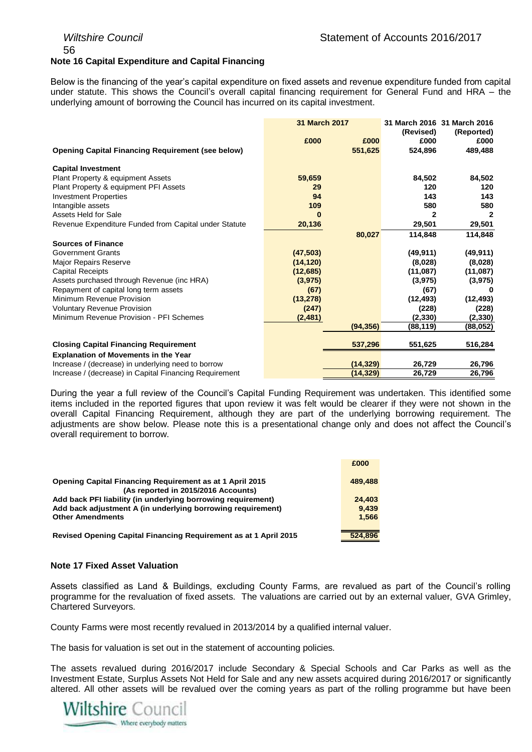### 56 **Note 16 Capital Expenditure and Capital Financing**

Below is the financing of the year's capital expenditure on fixed assets and revenue expenditure funded from capital under statute. This shows the Council's overall capital financing requirement for General Fund and HRA – the underlying amount of borrowing the Council has incurred on its capital investment.

|                                                                                                   | <b>31 March 2017</b> |           | (Revised)      | 31 March 2016 31 March 2016<br>(Reported) |
|---------------------------------------------------------------------------------------------------|----------------------|-----------|----------------|-------------------------------------------|
|                                                                                                   | £000                 | £000      | £000           | £000                                      |
| <b>Opening Capital Financing Requirement (see below)</b>                                          |                      | 551,625   | 524,896        | 489,488                                   |
| <b>Capital Investment</b>                                                                         |                      |           |                |                                           |
| Plant Property & equipment Assets                                                                 | 59,659               |           | 84,502         | 84,502                                    |
| Plant Property & equipment PFI Assets                                                             | 29                   |           | 120            | 120                                       |
| <b>Investment Properties</b>                                                                      | 94                   |           | 143            | 143                                       |
| Intangible assets                                                                                 | 109                  |           | 580            | 580                                       |
| Assets Held for Sale                                                                              | 0                    |           | $\overline{2}$ | 2                                         |
| Revenue Expenditure Funded from Capital under Statute                                             | 20,136               |           | 29,501         | 29,501                                    |
|                                                                                                   |                      | 80,027    | 114,848        | 114,848                                   |
| <b>Sources of Finance</b>                                                                         |                      |           |                |                                           |
| <b>Government Grants</b>                                                                          | (47, 503)            |           | (49, 911)      | (49, 911)                                 |
| <b>Major Repairs Reserve</b>                                                                      | (14, 120)            |           | (8,028)        | (8,028)                                   |
| <b>Capital Receipts</b>                                                                           | (12,685)             |           | (11,087)       | (11,087)                                  |
| Assets purchased through Revenue (inc HRA)                                                        | (3,975)              |           | (3,975)        | (3, 975)                                  |
| Repayment of capital long term assets                                                             | (67)                 |           | (67)           | 0                                         |
| Minimum Revenue Provision                                                                         | (13, 278)            |           | (12, 493)      | (12, 493)                                 |
| <b>Voluntary Revenue Provision</b>                                                                | (247)                |           | (228)          | (228)                                     |
| Minimum Revenue Provision - PFI Schemes                                                           | (2, 481)             |           | (2,330)        | (2, 330)                                  |
|                                                                                                   |                      | (94, 356) | (88,119)       | (88,052)                                  |
| <b>Closing Capital Financing Requirement</b>                                                      |                      | 537,296   | 551,625        | 516,284                                   |
|                                                                                                   |                      |           |                |                                           |
| <b>Explanation of Movements in the Year</b><br>Increase / (decrease) in underlying need to borrow |                      | (14, 329) | 26,729         | 26,796                                    |
| Increase / (decrease) in Capital Financing Requirement                                            |                      | (14, 329) | 26,729         | 26,796                                    |
|                                                                                                   |                      |           |                |                                           |

During the year a full review of the Council's Capital Funding Requirement was undertaken. This identified some items included in the reported figures that upon review it was felt would be clearer if they were not shown in the overall Capital Financing Requirement, although they are part of the underlying borrowing requirement. The adjustments are show below. Please note this is a presentational change only and does not affect the Council's overall requirement to borrow.

|                                                                                                        | £000    |
|--------------------------------------------------------------------------------------------------------|---------|
| <b>Opening Capital Financing Requirement as at 1 April 2015</b><br>(As reported in 2015/2016 Accounts) | 489,488 |
| Add back PFI liability (in underlying borrowing requirement)                                           | 24.403  |
| Add back adjustment A (in underlying borrowing requirement)                                            | 9.439   |
| <b>Other Amendments</b>                                                                                | 1.566   |
| Revised Opening Capital Financing Requirement as at 1 April 2015                                       | 524.896 |

### **Note 17 Fixed Asset Valuation**

Assets classified as Land & Buildings, excluding County Farms, are revalued as part of the Council's rolling programme for the revaluation of fixed assets. The valuations are carried out by an external valuer, GVA Grimley, Chartered Surveyors.

County Farms were most recently revalued in 2013/2014 by a qualified internal valuer.

The basis for valuation is set out in the statement of accounting policies.

The assets revalued during 2016/2017 include Secondary & Special Schools and Car Parks as well as the Investment Estate, Surplus Assets Not Held for Sale and any new assets acquired during 2016/2017 or significantly altered. All other assets will be revalued over the coming years as part of the rolling programme but have been

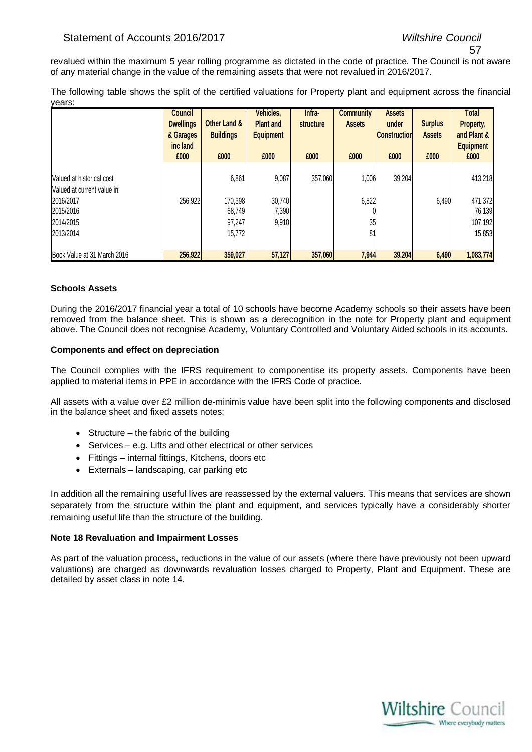### 57

revalued within the maximum 5 year rolling programme as dictated in the code of practice. The Council is not aware of any material change in the value of the remaining assets that were not revalued in 2016/2017.

The following table shows the split of the certified valuations for Property plant and equipment across the financial years:

|                                                          | <b>Council</b><br><b>Dwellings</b><br>& Garages<br>inc land | Other Land &<br><b>Buildings</b> | Vehicles,<br><b>Plant and</b><br><b>Equipment</b> | Infra-<br>structure | <b>Community</b><br><b>Assets</b> | <b>Assets</b><br>under<br><b>Construction</b> | <b>Surplus</b><br><b>Assets</b> | Total<br>Property,<br>and Plant &<br><b>Equipment</b> |
|----------------------------------------------------------|-------------------------------------------------------------|----------------------------------|---------------------------------------------------|---------------------|-----------------------------------|-----------------------------------------------|---------------------------------|-------------------------------------------------------|
|                                                          | £000                                                        | £000                             | £000                                              | £000                | £000                              | £000                                          | £000                            | £000                                                  |
| Valued at historical cost<br>Valued at current value in: |                                                             | 6,861                            | 9,087                                             | 357,060             | 1,006                             | 39,204                                        |                                 | 413,218                                               |
| 2016/2017<br>2015/2016                                   | 256,922                                                     | 170,398<br>68,749                | 30,740<br>7,390                                   |                     | 6,822                             |                                               | 6,490                           | 471,372<br>76,139                                     |
| 2014/2015<br>2013/2014                                   |                                                             | 97,247<br>15,772                 | 9,910                                             |                     | 35<br>81                          |                                               |                                 | 107,192<br>15,853                                     |
| Book Value at 31 March 2016                              | 256,922                                                     | 359,027                          | 57,127                                            | 357,060             | 7,944                             | 39,204                                        | 6,490                           | 1,083,774                                             |

### **Schools Assets**

During the 2016/2017 financial year a total of 10 schools have become Academy schools so their assets have been removed from the balance sheet. This is shown as a derecognition in the note for Property plant and equipment above. The Council does not recognise Academy, Voluntary Controlled and Voluntary Aided schools in its accounts.

### **Components and effect on depreciation**

The Council complies with the IFRS requirement to componentise its property assets. Components have been applied to material items in PPE in accordance with the IFRS Code of practice.

All assets with a value over £2 million de-minimis value have been split into the following components and disclosed in the balance sheet and fixed assets notes;

- Structure the fabric of the building
- Services e.g. Lifts and other electrical or other services
- Fittings internal fittings, Kitchens, doors etc
- Externals landscaping, car parking etc

In addition all the remaining useful lives are reassessed by the external valuers. This means that services are shown separately from the structure within the plant and equipment, and services typically have a considerably shorter remaining useful life than the structure of the building.

### **Note 18 Revaluation and Impairment Losses**

As part of the valuation process, reductions in the value of our assets (where there have previously not been upward valuations) are charged as downwards revaluation losses charged to Property, Plant and Equipment. These are detailed by asset class in note 14.

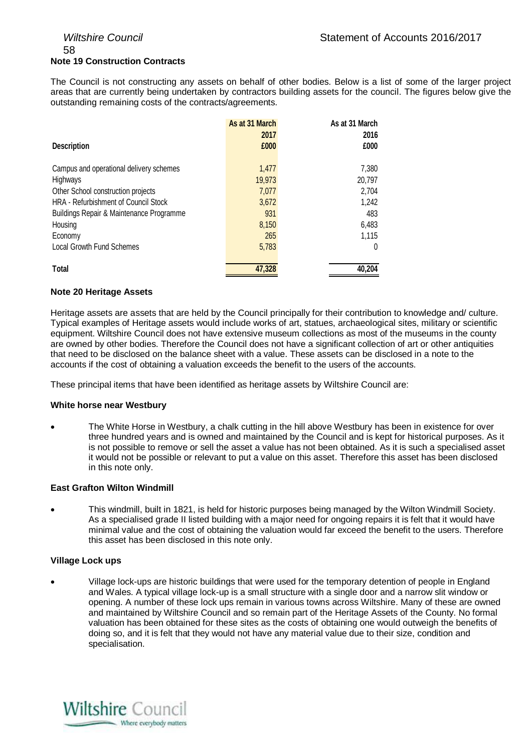### 58 **Note 19 Construction Contracts**

The Council is not constructing any assets on behalf of other bodies. Below is a list of some of the larger project areas that are currently being undertaken by contractors building assets for the council. The figures below give the outstanding remaining costs of the contracts/agreements.

|                                          | As at 31 March | As at 31 March |
|------------------------------------------|----------------|----------------|
|                                          | 2017           | 2016           |
| <b>Description</b>                       | £000           | £000           |
| Campus and operational delivery schemes  | 1.477          | 7,380          |
| Highways                                 | 19,973         | 20,797         |
| Other School construction projects       | 7,077          | 2,704          |
| HRA - Refurbishment of Council Stock     | 3,672          | 1,242          |
| Buildings Repair & Maintenance Programme | 931            | 483            |
| Housing                                  | 8,150          | 6,483          |
| Economy                                  | 265            | 1,115          |
| Local Growth Fund Schemes                | 5,783          | 0              |
| Total                                    | 47,328         | 40,204         |

### **Note 20 Heritage Assets**

Heritage assets are assets that are held by the Council principally for their contribution to knowledge and/ culture. Typical examples of Heritage assets would include works of art, statues, archaeological sites, military or scientific equipment. Wiltshire Council does not have extensive museum collections as most of the museums in the county are owned by other bodies. Therefore the Council does not have a significant collection of art or other antiquities that need to be disclosed on the balance sheet with a value. These assets can be disclosed in a note to the accounts if the cost of obtaining a valuation exceeds the benefit to the users of the accounts.

These principal items that have been identified as heritage assets by Wiltshire Council are:

### **White horse near Westbury**

 The White Horse in Westbury, a chalk cutting in the hill above Westbury has been in existence for over three hundred years and is owned and maintained by the Council and is kept for historical purposes. As it is not possible to remove or sell the asset a value has not been obtained. As it is such a specialised asset it would not be possible or relevant to put a value on this asset. Therefore this asset has been disclosed in this note only.

### **East Grafton Wilton Windmill**

 This windmill, built in 1821, is held for historic purposes being managed by the Wilton Windmill Society. As a specialised grade II listed building with a major need for ongoing repairs it is felt that it would have minimal value and the cost of obtaining the valuation would far exceed the benefit to the users. Therefore this asset has been disclosed in this note only.

### **Village Lock ups**

 Village lock-ups are historic buildings that were used for the temporary detention of people in England and Wales. A typical village lock-up is a small structure with a single door and a narrow slit window or opening. A number of these lock ups remain in various towns across Wiltshire. Many of these are owned and maintained by Wiltshire Council and so remain part of the Heritage Assets of the County. No formal valuation has been obtained for these sites as the costs of obtaining one would outweigh the benefits of doing so, and it is felt that they would not have any material value due to their size, condition and specialisation.

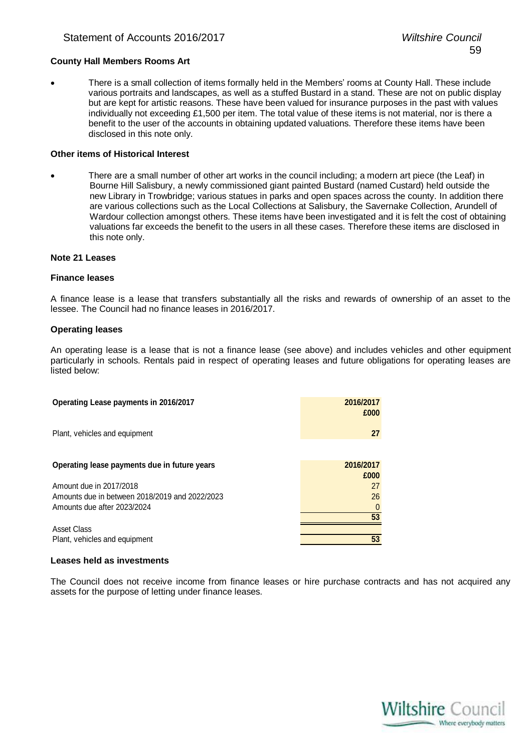#### **County Hall Members Rooms Art**

 There is a small collection of items formally held in the Members' rooms at County Hall. These include various portraits and landscapes, as well as a stuffed Bustard in a stand. These are not on public display but are kept for artistic reasons. These have been valued for insurance purposes in the past with values individually not exceeding £1,500 per item. The total value of these items is not material, nor is there a benefit to the user of the accounts in obtaining updated valuations. Therefore these items have been disclosed in this note only.

#### **Other items of Historical Interest**

 There are a small number of other art works in the council including; a modern art piece (the Leaf) in Bourne Hill Salisbury, a newly commissioned giant painted Bustard (named Custard) held outside the new Library in Trowbridge; various statues in parks and open spaces across the county. In addition there are various collections such as the Local Collections at Salisbury, the Savernake Collection, Arundell of Wardour collection amongst others. These items have been investigated and it is felt the cost of obtaining valuations far exceeds the benefit to the users in all these cases. Therefore these items are disclosed in this note only.

#### **Note 21 Leases**

#### **Finance leases**

A finance lease is a lease that transfers substantially all the risks and rewards of ownership of an asset to the lessee. The Council had no finance leases in 2016/2017.

#### **Operating leases**

An operating lease is a lease that is not a finance lease (see above) and includes vehicles and other equipment particularly in schools. Rentals paid in respect of operating leases and future obligations for operating leases are listed below:

| Operating Lease payments in 2016/2017          | 2016/2017<br>£000 |
|------------------------------------------------|-------------------|
| Plant, vehicles and equipment                  | 27                |
| Operating lease payments due in future years   | 2016/2017         |
|                                                | £000              |
| Amount due in 2017/2018                        | 27                |
| Amounts due in between 2018/2019 and 2022/2023 | 26                |
| Amounts due after 2023/2024                    |                   |
|                                                | 53                |
| Asset Class                                    |                   |
| Plant, vehicles and equipment                  | 53                |

#### **Leases held as investments**

The Council does not receive income from finance leases or hire purchase contracts and has not acquired any assets for the purpose of letting under finance leases.

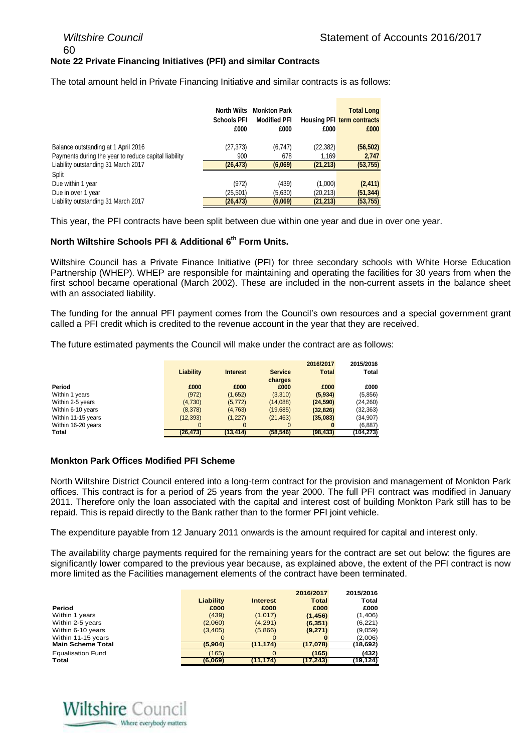60

#### **Note 22 Private Financing Initiatives (PFI) and similar Contracts**

The total amount held in Private Financing Initiative and similar contracts is as follows:

|                                                                                             | <b>North Wilts</b><br><b>Schools PFI</b><br>£000 | <b>Monkton Park</b><br><b>Modified PFI</b><br>£000 | £000               | <b>Total Long</b><br><b>Housing PFI term contracts</b><br>£000 |
|---------------------------------------------------------------------------------------------|--------------------------------------------------|----------------------------------------------------|--------------------|----------------------------------------------------------------|
| Balance outstanding at 1 April 2016                                                         | (27, 373)                                        | (6,747)                                            | (22, 382)          | (56, 502)                                                      |
| Payments during the year to reduce capital liability<br>Liability outstanding 31 March 2017 | 900<br>(26, 473)                                 | 678<br>(6,069)                                     | 1.169<br>(21, 213) | 2,747<br>(53, 755)                                             |
| Split                                                                                       |                                                  |                                                    |                    |                                                                |
| Due within 1 year                                                                           | (972)                                            | (439)                                              | (1,000)            | (2, 411)                                                       |
| Due in over 1 year                                                                          | (25,501)                                         | (5,630)                                            | (20,213)           | (51, 344)                                                      |
| Liability outstanding 31 March 2017                                                         | (26, 473)                                        | (6,069)                                            | (21, 213)          | (53, 755)                                                      |

This year, the PFI contracts have been split between due within one year and due in over one year.

#### **North Wiltshire Schools PFI & Additional 6th Form Units.**

Wiltshire Council has a Private Finance Initiative (PFI) for three secondary schools with White Horse Education Partnership (WHEP). WHEP are responsible for maintaining and operating the facilities for 30 years from when the first school became operational (March 2002). These are included in the non-current assets in the balance sheet with an associated liability.

The funding for the annual PFI payment comes from the Council's own resources and a special government grant called a PFI credit which is credited to the revenue account in the year that they are received.

The future estimated payments the Council will make under the contract are as follows:

|                    |           |                 |                | 2016/2017    | 2015/2016    |
|--------------------|-----------|-----------------|----------------|--------------|--------------|
|                    | Liability | <b>Interest</b> | <b>Service</b> | <b>Total</b> | <b>Total</b> |
|                    |           |                 | charges        |              |              |
| Period             | £000      | £000            | £000           | £000         | £000         |
| Within 1 years     | (972)     | (1,652)         | (3,310)        | (5,934)      | (5, 856)     |
| Within 2-5 years   | (4,730)   | (5, 772)        | (14,088)       | (24, 590)    | (24, 260)    |
| Within 6-10 years  | (8,378)   | (4, 763)        | (19,685)       | (32, 826)    | (32, 363)    |
| Within 11-15 years | (12, 393) | (1, 227)        | (21, 463)      | (35,083)     | (34, 907)    |
| Within 16-20 years | $\Omega$  | $\Omega$        | $\Omega$       | 0            | (6, 887)     |
| Total              | (26, 473) | (13, 414)       | (58, 546)      | (98, 433)    | (104, 273)   |

#### **Monkton Park Offices Modified PFI Scheme**

North Wiltshire District Council entered into a long-term contract for the provision and management of Monkton Park offices. This contract is for a period of 25 years from the year 2000. The full PFI contract was modified in January 2011. Therefore only the loan associated with the capital and interest cost of building Monkton Park still has to be repaid. This is repaid directly to the Bank rather than to the former PFI joint vehicle.

The expenditure payable from 12 January 2011 onwards is the amount required for capital and interest only.

The availability charge payments required for the remaining years for the contract are set out below: the figures are significantly lower compared to the previous year because, as explained above, the extent of the PFI contract is now more limited as the Facilities management elements of the contract have been terminated.

|                          |           |                 | 2016/2017    | 2015/2016 |
|--------------------------|-----------|-----------------|--------------|-----------|
|                          | Liability | <b>Interest</b> | <b>Total</b> | Total     |
| Period                   | £000      | £000            | £000         | £000      |
| Within 1 years           | (439)     | (1,017)         | (1, 456)     | (1,406)   |
| Within 2-5 years         | (2,060)   | (4,291)         | (6, 351)     | (6, 221)  |
| Within 6-10 years        | (3,405)   | (5,866)         | (9,271)      | (9,059)   |
| Within 11-15 years       | O         | $\Omega$        | 0            | (2,006)   |
| <b>Main Scheme Total</b> | (5,904)   | (11,174)        | (17,078)     | (18,692)  |
| <b>Equalisation Fund</b> | (165)     |                 | (165)        | (432)     |
| Total                    | (6,069)   | (11,174)        | (17, 243)    | (19,124)  |

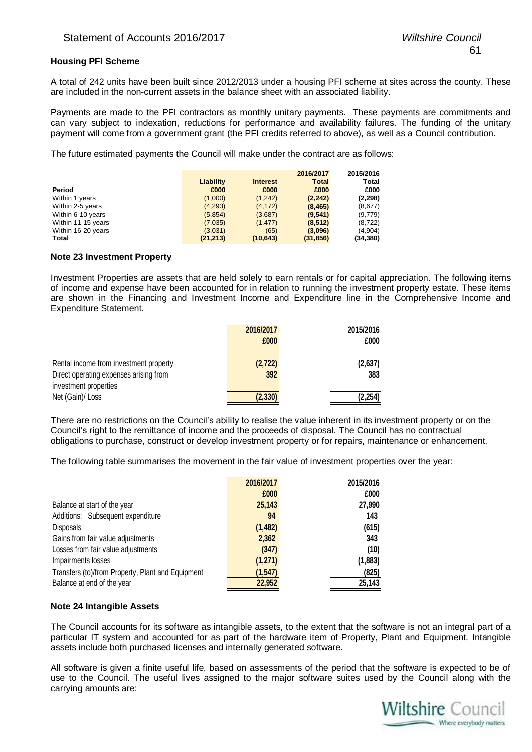#### **Housing PFI Scheme**

A total of 242 units have been built since 2012/2013 under a housing PFI scheme at sites across the county. These are included in the non-current assets in the balance sheet with an associated liability.

Payments are made to the PFI contractors as monthly unitary payments. These payments are commitments and can vary subject to indexation, reductions for performance and availability failures. The funding of the unitary payment will come from a government grant (the PFI credits referred to above), as well as a Council contribution.

The future estimated payments the Council will make under the contract are as follows:

|                    |           |                 | 2016/2017    | 2015/2016    |
|--------------------|-----------|-----------------|--------------|--------------|
|                    | Liability | <b>Interest</b> | <b>Total</b> | <b>Total</b> |
| Period             | £000      | £000            | £000         | £000         |
| Within 1 years     | (1,000)   | (1,242)         | (2, 242)     | (2, 298)     |
| Within 2-5 years   | (4,293)   | (4, 172)        | (8, 465)     | (8,677)      |
| Within 6-10 years  | (5,854)   | (3,687)         | (9, 541)     | (9,779)      |
| Within 11-15 years | (7,035)   | (1, 477)        | (8, 512)     | (8, 722)     |
| Within 16-20 years | (3,031)   | (65)            | (3,096)      | (4,904)      |
| Total              | (21, 213) | (10, 643)       | (31, 856)    | (34, 380)    |

#### **Note 23 Investment Property**

Investment Properties are assets that are held solely to earn rentals or for capital appreciation. The following items of income and expense have been accounted for in relation to running the investment property estate. These items are shown in the Financing and Investment Income and Expenditure line in the Comprehensive Income and Expenditure Statement.

| 2016/2017 | 2015/2016 |
|-----------|-----------|
| £000      | £000      |
|           |           |
| (2, 722)  | (2,637)   |
| 392       | 383       |
|           |           |
| (2, 330)  | 2.254     |
|           |           |

There are no restrictions on the Council's ability to realise the value inherent in its investment property or on the Council's right to the remittance of income and the proceeds of disposal. The Council has no contractual obligations to purchase, construct or develop investment property or for repairs, maintenance or enhancement.

The following table summarises the movement in the fair value of investment properties over the year:

|                                                   | 2016/2017 | 2015/2016 |
|---------------------------------------------------|-----------|-----------|
|                                                   | £000      | £000      |
| Balance at start of the year                      | 25,143    | 27,990    |
| Additions: Subsequent expenditure                 | 94        | 143       |
| <b>Disposals</b>                                  | (1, 482)  | (615)     |
| Gains from fair value adjustments                 | 2,362     | 343       |
| Losses from fair value adjustments                | (347)     | (10)      |
| Impairments losses                                | (1,271)   | (1,883)   |
| Transfers (to)/from Property, Plant and Equipment | (1, 547)  | (825)     |
| Balance at end of the year                        | 22,952    | 25,143    |

#### **Note 24 Intangible Assets**

The Council accounts for its software as intangible assets, to the extent that the software is not an integral part of a particular IT system and accounted for as part of the hardware item of Property, Plant and Equipment. Intangible assets include both purchased licenses and internally generated software.

All software is given a finite useful life, based on assessments of the period that the software is expected to be of use to the Council. The useful lives assigned to the major software suites used by the Council along with the carrying amounts are:

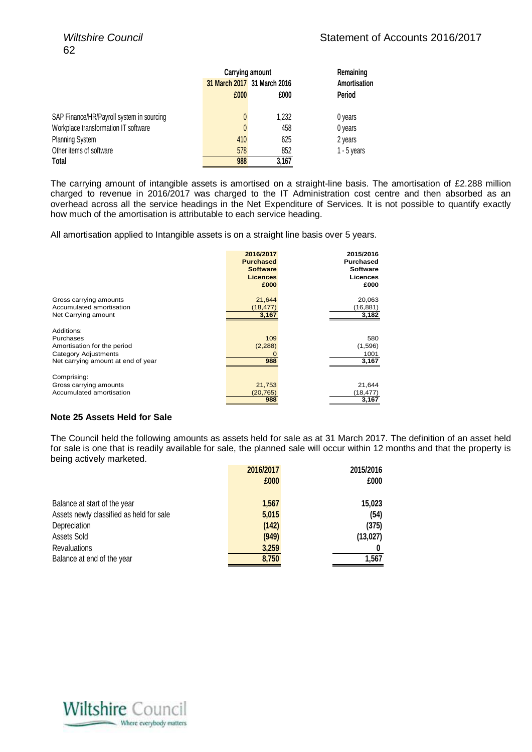|                                           | <b>Carrying amount</b> | Remaining                   |               |
|-------------------------------------------|------------------------|-----------------------------|---------------|
|                                           |                        | 31 March 2017 31 March 2016 |               |
|                                           | £000                   | £000                        | Period        |
| SAP Finance/HR/Payroll system in sourcing | $\mathbf{0}$           | 1.232                       | 0 years       |
| Workplace transformation IT software      | 0                      | 458                         | 0 years       |
| <b>Planning System</b>                    | 410                    | 625                         | 2 years       |
| Other items of software                   | 578                    | 852                         | $1 - 5$ years |
| Total                                     | 988                    | 3,167                       |               |

The carrying amount of intangible assets is amortised on a straight-line basis. The amortisation of £2.288 million charged to revenue in 2016/2017 was charged to the IT Administration cost centre and then absorbed as an overhead across all the service headings in the Net Expenditure of Services. It is not possible to quantify exactly how much of the amortisation is attributable to each service heading.

All amortisation applied to Intangible assets is on a straight line basis over 5 years.

|                                                                                                                      | 2016/2017<br><b>Purchased</b><br><b>Software</b><br><b>Licences</b><br>£000 | 2015/2016<br>Purchased<br><b>Software</b><br>Licences<br>£000 |
|----------------------------------------------------------------------------------------------------------------------|-----------------------------------------------------------------------------|---------------------------------------------------------------|
| Gross carrying amounts                                                                                               | 21,644                                                                      | 20,063                                                        |
| Accumulated amortisation                                                                                             | (18, 477)                                                                   | (16, 881)                                                     |
| Net Carrying amount                                                                                                  | 3,167                                                                       | 3,182                                                         |
| Additions:<br>Purchases<br>Amortisation for the period<br>Category Adjustments<br>Net carrying amount at end of year | 109<br>(2, 288)<br>988                                                      | 580<br>(1,596)<br>1001<br>3,167                               |
| Comprising:                                                                                                          |                                                                             |                                                               |
| Gross carrying amounts                                                                                               | 21,753                                                                      | 21,644                                                        |
| Accumulated amortisation                                                                                             | (20, 765)                                                                   | (18,477)                                                      |
|                                                                                                                      | 988                                                                         | 3,167                                                         |

#### **Note 25 Assets Held for Sale**

The Council held the following amounts as assets held for sale as at 31 March 2017. The definition of an asset held for sale is one that is readily available for sale, the planned sale will occur within 12 months and that the property is being actively marketed.

|                                          | 2016/2017 | 2015/2016 |
|------------------------------------------|-----------|-----------|
|                                          | £000      | £000      |
|                                          |           |           |
| Balance at start of the year             | 1,567     | 15,023    |
| Assets newly classified as held for sale | 5,015     | (54)      |
| Depreciation                             | (142)     | (375)     |
| Assets Sold                              | (949)     | (13, 027) |
| <b>Revaluations</b>                      | 3,259     | Ü         |
| Balance at end of the year               | 8,750     | 1,567     |

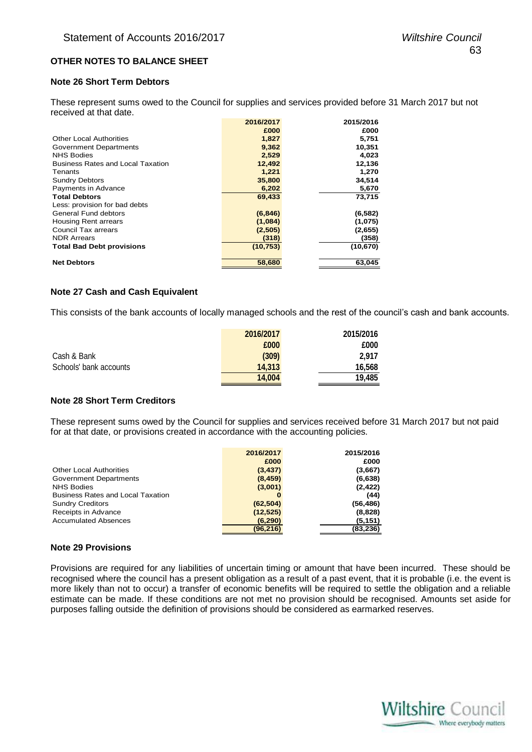#### **OTHER NOTES TO BALANCE SHEET**

#### **Note 26 Short Term Debtors**

These represent sums owed to the Council for supplies and services provided before 31 March 2017 but not received at that date.

|                                          | 2016/2017 | 2015/2016 |
|------------------------------------------|-----------|-----------|
|                                          | £000      | £000      |
| <b>Other Local Authorities</b>           | 1,827     | 5,751     |
| <b>Government Departments</b>            | 9,362     | 10,351    |
| <b>NHS Bodies</b>                        | 2,529     | 4,023     |
| <b>Business Rates and Local Taxation</b> | 12,492    | 12,136    |
| Tenants                                  | 1,221     | 1,270     |
| <b>Sundry Debtors</b>                    | 35,800    | 34,514    |
| Payments in Advance                      | 6,202     | 5,670     |
| <b>Total Debtors</b>                     | 69,433    | 73,715    |
| Less: provision for bad debts            |           |           |
| <b>General Fund debtors</b>              | (6, 846)  | (6, 582)  |
| <b>Housing Rent arrears</b>              | (1,084)   | (1,075)   |
| Council Tax arrears                      | (2, 505)  | (2,655)   |
| <b>NDR Arrears</b>                       | (318)     | (358)     |
| <b>Total Bad Debt provisions</b>         | (10, 753) | (10, 670) |
| <b>Net Debtors</b>                       | 58,680    | 63,045    |

#### **Note 27 Cash and Cash Equivalent**

This consists of the bank accounts of locally managed schools and the rest of the council's cash and bank accounts.

|                        | 2016/2017 | 2015/2016 |
|------------------------|-----------|-----------|
|                        | £000      | £000      |
| Cash & Bank            | (309)     | 2.917     |
| Schools' bank accounts | 14.313    | 16,568    |
|                        | 14.004    | 19.485    |

#### **Note 28 Short Term Creditors**

These represent sums owed by the Council for supplies and services received before 31 March 2017 but not paid for at that date, or provisions created in accordance with the accounting policies.

| 2016/2017 | 2015/2016 |
|-----------|-----------|
| £000      | £000      |
| (3, 437)  | (3,667)   |
| (8, 459)  | (6,638)   |
| (3,001)   | (2, 422)  |
|           | (44)      |
| (62, 504) | (56,486)  |
| (12, 525) | (8,828)   |
| (6, 290)  | (5,151)   |
| (96,216)  | (83,236)  |
|           |           |

#### **Note 29 Provisions**

Provisions are required for any liabilities of uncertain timing or amount that have been incurred. These should be recognised where the council has a present obligation as a result of a past event, that it is probable (i.e. the event is more likely than not to occur) a transfer of economic benefits will be required to settle the obligation and a reliable estimate can be made. If these conditions are not met no provision should be recognised. Amounts set aside for purposes falling outside the definition of provisions should be considered as earmarked reserves.

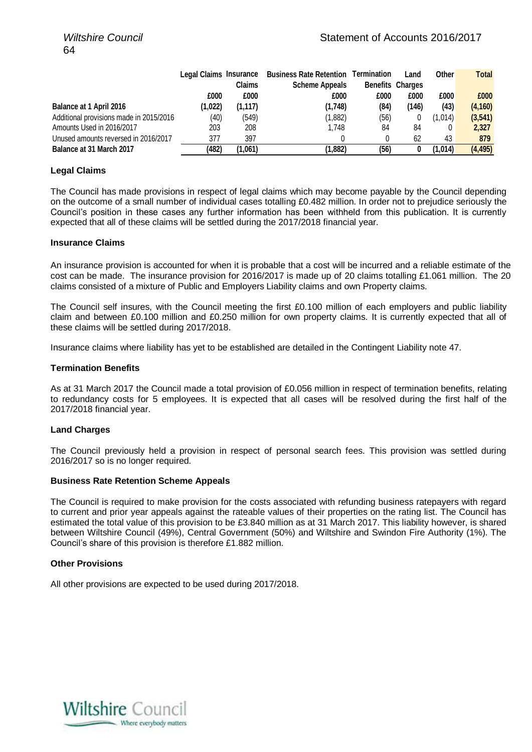|                                         | Legal Claims Insurance |          | <b>Business Rate Retention Termination</b> |      | Land                    | Other   | <b>Total</b> |
|-----------------------------------------|------------------------|----------|--------------------------------------------|------|-------------------------|---------|--------------|
|                                         |                        | Claims   | <b>Scheme Appeals</b>                      |      | <b>Benefits Charges</b> |         |              |
|                                         | £000                   | £000     | £000                                       | £000 | £000                    | £000    | £000         |
| <b>Balance at 1 April 2016</b>          | (1,022)                | (1, 117) | (1,748)                                    | (84) | (146)                   | (43)    | (4, 160)     |
| Additional provisions made in 2015/2016 | (40)                   | (549)    | (1,882)                                    | (56) |                         | (1.014) | (3, 541)     |
| Amounts Used in 2016/2017               | 203                    | 208      | 1.748                                      | 84   | 84                      |         | 2.327        |
| Unused amounts reversed in 2016/2017    | 377                    | 397      |                                            |      | 62                      | 43      | 879          |
| Balance at 31 March 2017                | (482)                  | (1,061)  | (1,882)                                    | (56) |                         | (1,014) | (4, 495)     |

#### **Legal Claims**

The Council has made provisions in respect of legal claims which may become payable by the Council depending on the outcome of a small number of individual cases totalling £0.482 million. In order not to prejudice seriously the Council's position in these cases any further information has been withheld from this publication. It is currently expected that all of these claims will be settled during the 2017/2018 financial year.

#### **Insurance Claims**

An insurance provision is accounted for when it is probable that a cost will be incurred and a reliable estimate of the cost can be made. The insurance provision for 2016/2017 is made up of 20 claims totalling £1.061 million. The 20 claims consisted of a mixture of Public and Employers Liability claims and own Property claims.

The Council self insures, with the Council meeting the first £0.100 million of each employers and public liability claim and between £0.100 million and £0.250 million for own property claims. It is currently expected that all of these claims will be settled during 2017/2018.

Insurance claims where liability has yet to be established are detailed in the Contingent Liability note 47.

#### **Termination Benefits**

As at 31 March 2017 the Council made a total provision of £0.056 million in respect of termination benefits, relating to redundancy costs for 5 employees. It is expected that all cases will be resolved during the first half of the 2017/2018 financial year.

#### **Land Charges**

The Council previously held a provision in respect of personal search fees. This provision was settled during 2016/2017 so is no longer required.

#### **Business Rate Retention Scheme Appeals**

The Council is required to make provision for the costs associated with refunding business ratepayers with regard to current and prior year appeals against the rateable values of their properties on the rating list. The Council has estimated the total value of this provision to be £3.840 million as at 31 March 2017. This liability however, is shared between Wiltshire Council (49%), Central Government (50%) and Wiltshire and Swindon Fire Authority (1%). The Council's share of this provision is therefore £1.882 million.

#### **Other Provisions**

All other provisions are expected to be used during 2017/2018.

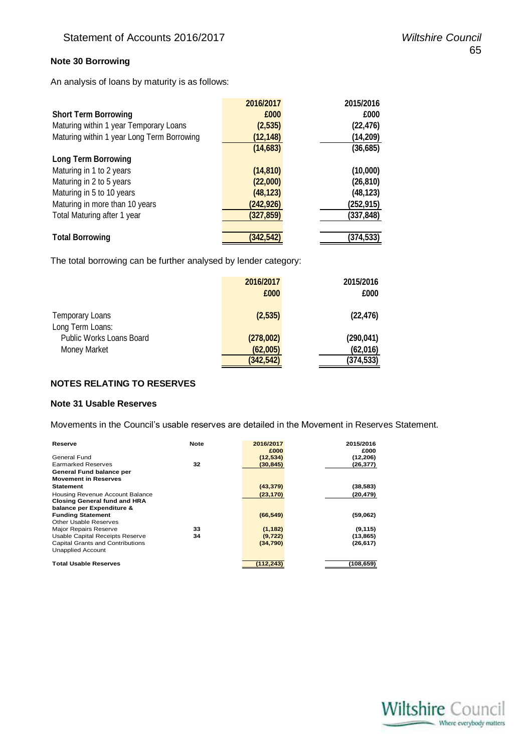#### **Note 30 Borrowing**

An analysis of loans by maturity is as follows:

| 2016/2017  | 2015/2016 |
|------------|-----------|
| £000       | £000      |
| (2, 535)   | (22, 476) |
| (12, 148)  | (14, 209) |
| (14, 683)  | (36, 685) |
|            |           |
| (14, 810)  | (10,000)  |
| (22,000)   | (26, 810) |
| (48, 123)  | (48, 123) |
| (242, 926) | (252,915) |
| (327, 859) | (337,848) |
|            |           |
| (342, 542) | (374,533) |
|            |           |

The total borrowing can be further analysed by lender category:

|                                            | 2016/2017<br>£000 | 2015/2016<br>£000 |
|--------------------------------------------|-------------------|-------------------|
| <b>Temporary Loans</b><br>Long Term Loans: | (2,535)           | (22, 476)         |
| Public Works Loans Board                   | (278,002)         | (290, 041)        |
| Money Market                               | (62,005)          | (62,016)          |
|                                            | (342, 542)        | (374, 533)        |

#### **NOTES RELATING TO RESERVES**

#### **Note 31 Usable Reserves**

Movements in the Council's usable reserves are detailed in the Movement in Reserves Statement.

| Reserve                             | <b>Note</b> | 2016/2017 | 2015/2016 |
|-------------------------------------|-------------|-----------|-----------|
|                                     |             | £000      | £000      |
| General Fund                        |             | (12,534)  | (12, 206) |
| <b>Earmarked Reserves</b>           | 32          | (30, 845) | (26,377)  |
| General Fund balance per            |             |           |           |
| <b>Movement in Reserves</b>         |             |           |           |
| <b>Statement</b>                    |             | (43, 379) | (38,583)  |
| Housing Revenue Account Balance     |             | (23, 170) | (20, 479) |
| <b>Closing General fund and HRA</b> |             |           |           |
| balance per Expenditure &           |             |           |           |
| <b>Funding Statement</b>            |             | (66, 549) | (59,062)  |
| Other Usable Reserves               |             |           |           |
| <b>Major Repairs Reserve</b>        | 33          | (1, 182)  | (9, 115)  |
| Usable Capital Receipts Reserve     | 34          | (9, 722)  | (13, 865) |
| Capital Grants and Contributions    |             | (34,790)  | (26, 617) |
| <b>Unapplied Account</b>            |             |           |           |
| <b>Total Usable Reserves</b>        |             | 112,243)  | (108,659) |

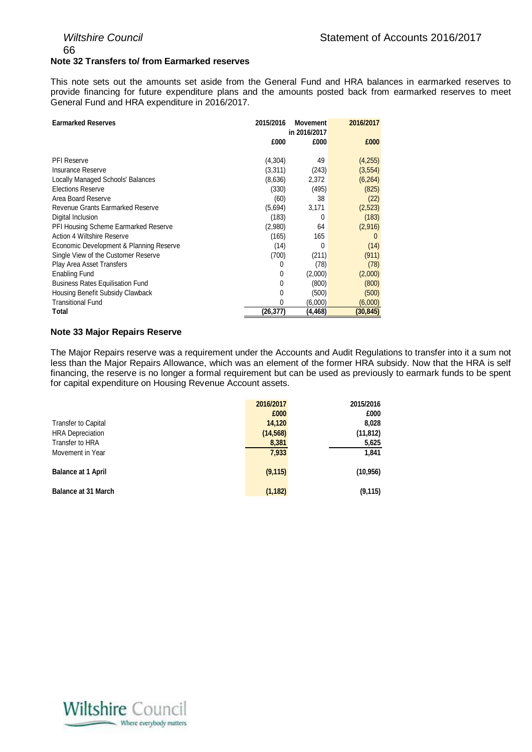66

#### **Note 32 Transfers to/ from Earmarked reserves**

This note sets out the amounts set aside from the General Fund and HRA balances in earmarked reserves to provide financing for future expenditure plans and the amounts posted back from earmarked reserves to meet General Fund and HRA expenditure in 2016/2017.

| <b>Earmarked Reserves</b>               | 2015/2016 | <b>Movement</b><br>in 2016/2017 | 2016/2017 |
|-----------------------------------------|-----------|---------------------------------|-----------|
|                                         | £000      | £000                            | £000      |
| <b>PFI Reserve</b>                      | (4,304)   | 49                              | (4,255)   |
| Insurance Reserve                       | (3,311)   | (243)                           | (3, 554)  |
| Locally Managed Schools' Balances       | (8,636)   | 2,372                           | (6, 264)  |
| <b>Elections Reserve</b>                | (330)     | (495)                           | (825)     |
| Area Board Reserve                      | (60)      | 38                              | (22)      |
| Revenue Grants Earmarked Reserve        | (5,694)   | 3,171                           | (2,523)   |
| Digital Inclusion                       | (183)     | 0                               | (183)     |
| PFI Housing Scheme Earmarked Reserve    | (2,980)   | 64                              | (2,916)   |
| Action 4 Wiltshire Reserve              | (165)     | 165                             | $\Omega$  |
| Economic Development & Planning Reserve | (14)      | 0                               | (14)      |
| Single View of the Customer Reserve     | (700)     | (211)                           | (911)     |
| Play Area Asset Transfers               | 0         | (78)                            | (78)      |
| <b>Enabling Fund</b>                    | 0         | (2,000)                         | (2,000)   |
| <b>Business Rates Equilisation Fund</b> | 0         | (800)                           | (800)     |
| Housing Benefit Subsidy Clawback        | 0         | (500)                           | (500)     |
| <b>Transitional Fund</b>                | 0         | (6,000)                         | (6,000)   |
| Total                                   | (26,377)  | (4,468)                         | (30,845)  |

#### **Note 33 Major Repairs Reserve**

The Major Repairs reserve was a requirement under the Accounts and Audit Regulations to transfer into it a sum not less than the Major Repairs Allowance, which was an element of the former HRA subsidy. Now that the HRA is self financing, the reserve is no longer a formal requirement but can be used as previously to earmark funds to be spent for capital expenditure on Housing Revenue Account assets.

|                            | 2016/2017 | 2015/2016 |
|----------------------------|-----------|-----------|
|                            | £000      | £000      |
| <b>Transfer to Capital</b> | 14,120    | 8,028     |
| <b>HRA Depreciation</b>    | (14, 568) | (11, 812) |
| Transfer to HRA            | 8,381     | 5,625     |
| Movement in Year           | 7,933     | 1,841     |
| <b>Balance at 1 April</b>  | (9, 115)  | (10, 956) |
| <b>Balance at 31 March</b> | (1, 182)  | (9, 115)  |

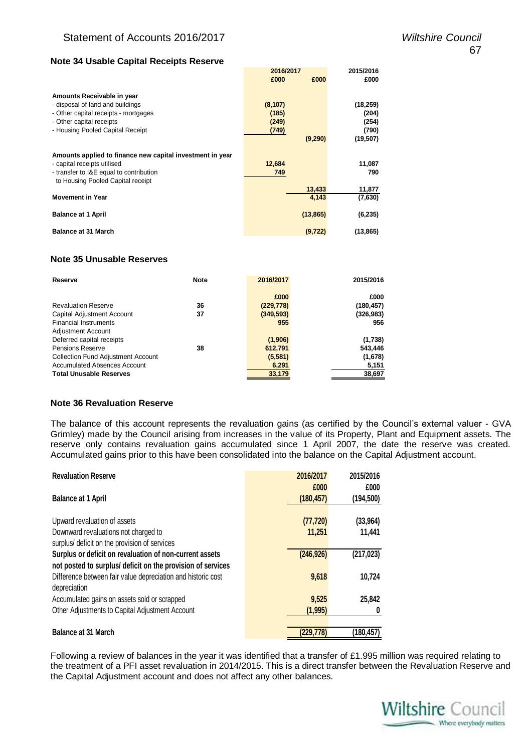#### **Note 34 Usable Capital Receipts Reserve**

|                                                           | 2016/2017 |           | 2015/2016 |
|-----------------------------------------------------------|-----------|-----------|-----------|
|                                                           | £000      | £000      | £000      |
|                                                           |           |           |           |
| Amounts Receivable in year                                |           |           |           |
| - disposal of land and buildings                          | (8, 107)  |           | (18, 259) |
| - Other capital receipts - mortgages                      | (185)     |           | (204)     |
| - Other capital receipts                                  | (249)     |           | (254)     |
| - Housing Pooled Capital Receipt                          | (749)     |           | (790)     |
|                                                           |           | (9,290)   | (19, 507) |
|                                                           |           |           |           |
| Amounts applied to finance new capital investment in year |           |           |           |
| - capital receipts utilised                               | 12,684    |           | 11,087    |
| - transfer to I&E equal to contribution                   | 749       |           | 790       |
| to Housing Pooled Capital receipt                         |           |           |           |
|                                                           |           | 13,433    | 11,877    |
| <b>Movement in Year</b>                                   |           | 4,143     | (7,630)   |
|                                                           |           |           |           |
| <b>Balance at 1 April</b>                                 |           | (13, 865) | (6, 235)  |
|                                                           |           |           |           |
| <b>Balance at 31 March</b>                                |           | (9, 722)  | (13, 865) |
|                                                           |           |           |           |

#### **Note 35 Unusable Reserves**

| Reserve                                   | <b>Note</b> | 2016/2017  | 2015/2016  |
|-------------------------------------------|-------------|------------|------------|
|                                           |             | £000       | £000       |
| <b>Revaluation Reserve</b>                | 36          | (229, 778) | (180, 457) |
| Capital Adjustment Account                | 37          | (349, 593) | (326, 983) |
| <b>Financial Instruments</b>              |             | 955        | 956        |
| <b>Adjustment Account</b>                 |             |            |            |
| Deferred capital receipts                 |             | (1,906)    | (1,738)    |
| <b>Pensions Reserve</b>                   | 38          | 612,791    | 543,446    |
| <b>Collection Fund Adjustment Account</b> |             | (5,581)    | (1,678)    |
| <b>Accumulated Absences Account</b>       |             | 6,291      | 5,151      |
| <b>Total Unusable Reserves</b>            |             | 33,179     | 38,697     |

#### **Note 36 Revaluation Reserve**

The balance of this account represents the revaluation gains (as certified by the Council's external valuer - GVA Grimley) made by the Council arising from increases in the value of its Property, Plant and Equipment assets. The reserve only contains revaluation gains accumulated since 1 April 2007, the date the reserve was created. Accumulated gains prior to this have been consolidated into the balance on the Capital Adjustment account.

| <b>Revaluation Reserve</b>                                   | 2016/2017  | 2015/2016  |
|--------------------------------------------------------------|------------|------------|
|                                                              | £000       | £000       |
| <b>Balance at 1 April</b>                                    | (180, 457) | (194,500)  |
| Upward revaluation of assets                                 | (77, 720)  | (33, 964)  |
| Downward revaluations not charged to                         | 11,251     | 11,441     |
| surplus/ deficit on the provision of services                |            |            |
| Surplus or deficit on revaluation of non-current assets      | (246, 926) | (217, 023) |
| not posted to surplus/ deficit on the provision of services  |            |            |
| Difference between fair value depreciation and historic cost | 9,618      | 10,724     |
| depreciation                                                 |            |            |
| Accumulated gains on assets sold or scrapped                 | 9,525      | 25,842     |
| Other Adjustments to Capital Adjustment Account              | (1, 995)   | 0          |
|                                                              |            |            |
| <b>Balance at 31 March</b>                                   | (229, 778) | (180,457)  |

Following a review of balances in the year it was identified that a transfer of £1.995 million was required relating to the treatment of a PFI asset revaluation in 2014/2015. This is a direct transfer between the Revaluation Reserve and the Capital Adjustment account and does not affect any other balances.

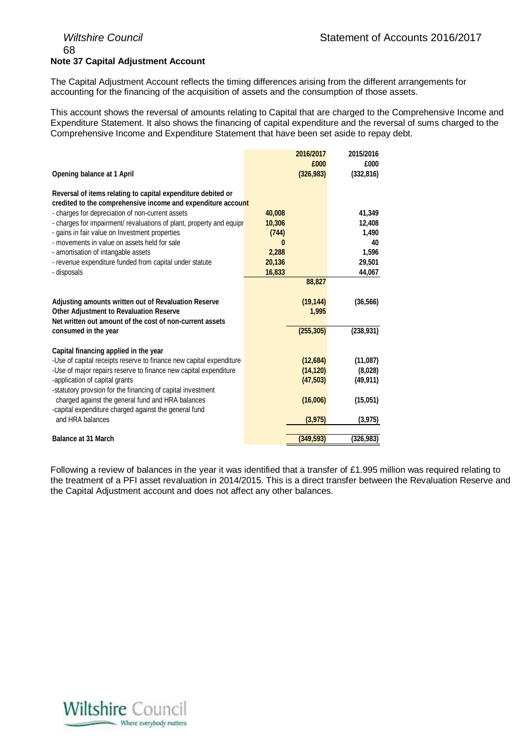## 68 **Note 37 Capital Adjustment Account**

The Capital Adjustment Account reflects the timing differences arising from the different arrangements for accounting for the financing of the acquisition of assets and the consumption of those assets.

This account shows the reversal of amounts relating to Capital that are charged to the Comprehensive Income and Expenditure Statement. It also shows the financing of capital expenditure and the reversal of sums charged to the Comprehensive Income and Expenditure Statement that have been set aside to repay debt.

|                                                                                               |        | 2016/2017          | 2015/2016          |
|-----------------------------------------------------------------------------------------------|--------|--------------------|--------------------|
| Opening balance at 1 April                                                                    |        | £000<br>(326, 983) | £000<br>(332, 816) |
| Reversal of items relating to capital expenditure debited or                                  |        |                    |                    |
| credited to the comprehensive income and expenditure account                                  |        |                    |                    |
| - charges for depreciation of non-current assets                                              | 40,008 |                    | 41,349             |
| - charges for impairment/ revaluations of plant, property and equipr                          | 10,306 |                    | 12,408             |
| - gains in fair value on Investment properties                                                | (744)  |                    | 1,490              |
| - movements in value on assets held for sale                                                  | 0      |                    | 40                 |
| - amortisation of intangable assets                                                           | 2,288  |                    | 1,596              |
| - revenue expenditure funded from capital under statute                                       | 20,136 |                    | 29,501             |
| - disposals                                                                                   | 16,833 |                    | 44,067             |
|                                                                                               |        | 88,827             |                    |
|                                                                                               |        |                    |                    |
| Adjusting amounts written out of Revaluation Reserve                                          |        | (19, 144)          | (36, 566)          |
| <b>Other Adjustment to Revaluation Reserve</b>                                                |        | 1,995              |                    |
| Net written out amount of the cost of non-current assets                                      |        |                    |                    |
| consumed in the year                                                                          |        | (255, 305)         | (238, 931)         |
|                                                                                               |        |                    |                    |
| Capital financing applied in the year                                                         |        |                    |                    |
| -Use of capital receipts reserve to finance new capital expenditure                           |        | (12,684)           | (11,087)           |
| -Use of major repairs reserve to finance new capital expenditure                              |        | (14, 120)          | (8,028)            |
| -application of capital grants<br>-statutory provsion for the financing of capital investment |        | (47,503)           | (49, 911)          |
| charged against the general fund and HRA balances                                             |        | (16,006)           | (15,051)           |
| -capital expenditure charged against the general fund                                         |        |                    |                    |
| and HRA balances                                                                              |        | (3, 975)           | (3, 975)           |
|                                                                                               |        |                    |                    |
| <b>Balance at 31 March</b>                                                                    |        | (349, 593)         | (326, 983)         |

Following a review of balances in the year it was identified that a transfer of £1.995 million was required relating to the treatment of a PFI asset revaluation in 2014/2015. This is a direct transfer between the Revaluation Reserve and the Capital Adjustment account and does not affect any other balances.

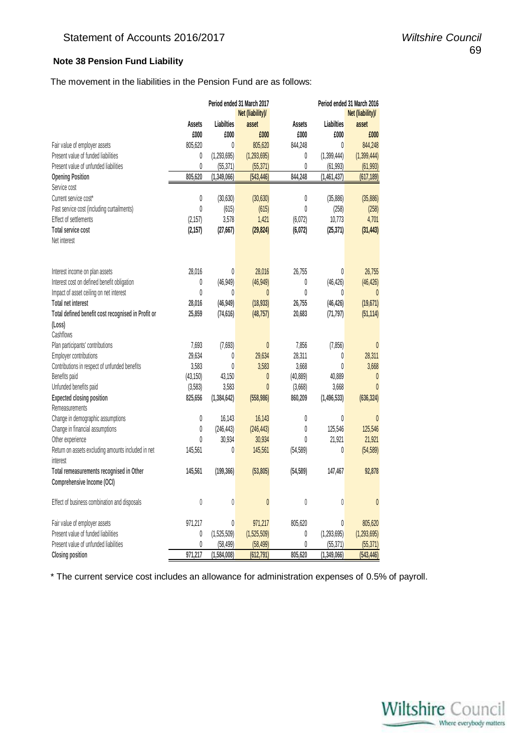### **Note 38 Pension Fund Liability**

The movement in the liabilities in the Pension Fund are as follows:

|                                                    |               |                   | Period ended 31 March 2017 |               |               | Period ended 31 March 2016 |
|----------------------------------------------------|---------------|-------------------|----------------------------|---------------|---------------|----------------------------|
|                                                    |               |                   | Net (liability)/           |               |               | Net (liability)/           |
|                                                    | <b>Assets</b> | <b>Liabilties</b> | asset                      | <b>Assets</b> | Liabilties    | asset                      |
|                                                    | £000          | £000              | £000                       | £000          | £000          | £000                       |
| Fair value of employer assets                      | 805,620       | 0                 | 805,620                    | 844,248       | 0             | 844,248                    |
| Present value of funded liabilities                | 0             | (1, 293, 695)     | (1, 293, 695)              | 0             | (1,399,444)   | (1, 399, 444)              |
| Present value of unfunded liabilities              | 0             | (55, 371)         | (55, 371)                  | 0             | (61, 993)     | (61, 993)                  |
| <b>Opening Position</b>                            | 805,620       | (1, 349, 066)     | (543, 446)                 | 844,248       | (1,461,437)   | (617, 189)                 |
| Service cost                                       |               |                   |                            |               |               |                            |
| Current service cost*                              | 0             | (30, 630)         | (30, 630)                  | 0             | (35, 886)     | (35,886)                   |
| Past service cost (including curtailments)         | 0             | (615)             | (615)                      | $\theta$      | (258)         | (258)                      |
| Effect of settlements                              | (2, 157)      | 3,578             | 1,421                      | (6,072)       | 10,773        | 4,701                      |
| Total service cost                                 | (2, 157)      | (27, 667)         | (29, 824)                  | (6,072)       | (25, 371)     | (31, 443)                  |
| Net interest                                       |               |                   |                            |               |               |                            |
|                                                    |               |                   |                            |               |               |                            |
|                                                    |               |                   |                            |               |               |                            |
| Interest income on plan assets                     | 28,016        | $\theta$          | 28,016                     | 26,755        | 0             | 26,755                     |
| Interest cost on defined benefit obligation        | 0             | (46, 949)         | (46, 949)                  | 0             | (46, 426)     | (46, 426)                  |
| Impact of asset ceiling on net interest            | 0             | 0                 | $\mathbf{0}$               | $\theta$      | 0             | $\theta$                   |
| <b>Total net interest</b>                          | 28,016        | (46, 949)         | (18, 933)                  | 26,755        | (46, 426)     | (19, 671)                  |
| Total defined benefit cost recognised in Profit or | 25,859        | (74, 616)         | (48, 757)                  | 20,683        | (71, 797)     | (51, 114)                  |
| (Loss)                                             |               |                   |                            |               |               |                            |
| Cashflows                                          |               |                   |                            |               |               |                            |
| Plan participants' contributions                   | 7,693         | (7,693)           | $\pmb{0}$                  | 7,856         | (7, 856)      | $\theta$                   |
| Employer contributions                             | 29,634        | 0                 | 29,634                     | 28,311        | 0             | 28,311                     |
| Contributions in respect of unfunded benefits      | 3,583         | 0                 | 3,583                      | 3,668         | 0             | 3,668                      |
| Benefits paid                                      | (43, 150)     | 43,150            | 0                          | (40, 889)     | 40,889        | 0                          |
| Unfunded benefits paid                             | (3,583)       | 3,583             | $\theta$                   | (3,668)       | 3,668         | $\theta$                   |
| <b>Expected closing position</b>                   | 825,656       | (1, 384, 642)     | (558, 986)                 | 860,209       | (1, 496, 533) | (636, 324)                 |
| Remeasurements                                     |               |                   |                            |               |               |                            |
| Change in demographic assumptions                  | 0             | 16,143            | 16,143                     | 0             | 0             | $\theta$                   |
| Change in financial assumptions                    | 0             | (246, 443)        | (246, 443)                 | 0             | 125,546       | 125,546                    |
| Other experience                                   | $\theta$      | 30,934            | 30,934                     | 0             | 21,921        | 21,921                     |
| Return on assets excluding amounts included in net | 145,561       | 0                 | 145,561                    | (54, 589)     | 0             | (54, 589)                  |
| interest                                           |               |                   |                            |               |               |                            |
| Total remeasurements recognised in Other           | 145,561       | (199, 366)        | (53, 805)                  | (54, 589)     | 147,467       | 92,878                     |
| Comprehensive Income (OCI)                         |               |                   |                            |               |               |                            |
|                                                    |               |                   |                            |               |               |                            |
| Effect of business combination and disposals       | 0             | 0                 | 0                          | 0             | 0             | $\pmb{0}$                  |
| Fair value of employer assets                      | 971,217       | 0                 | 971,217                    | 805,620       | 0             | 805,620                    |
| Present value of funded liabilities                | 0             | (1,525,509)       | (1,525,509)                | 0             | (1, 293, 695) | (1, 293, 695)              |
| Present value of unfunded liabilities              | 0             | (58, 499)         | (58, 499)                  | 0             | (55, 371)     | (55, 371)                  |
| <b>Closing position</b>                            | 971,217       | (1, 584, 008)     | (612, 791)                 | 805,620       | (1,349,066)   | (543,446)                  |

\* The current service cost includes an allowance for administration expenses of 0.5% of payroll.

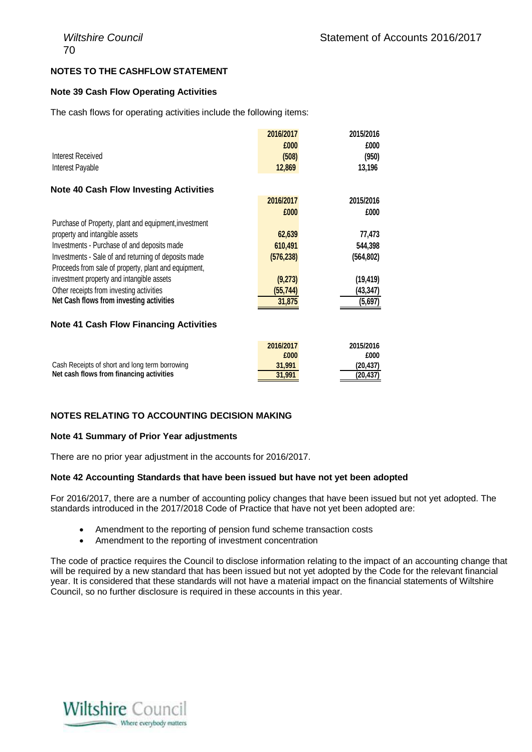#### **NOTES TO THE CASHFLOW STATEMENT**

#### **Note 39 Cash Flow Operating Activities**

The cash flows for operating activities include the following items:

| Interest Received<br>Interest Payable                 | 2016/2017<br>£000<br>(508)<br>12,869 | 2015/2016<br>£000<br>(950)<br>13,196 |
|-------------------------------------------------------|--------------------------------------|--------------------------------------|
| <b>Note 40 Cash Flow Investing Activities</b>         |                                      |                                      |
|                                                       | 2016/2017                            | 2015/2016                            |
|                                                       | £000                                 | £000                                 |
| Purchase of Property, plant and equipment, investment |                                      |                                      |
| property and intangible assets                        | 62,639                               | 77,473                               |
| Investments - Purchase of and deposits made           | 610,491                              | 544,398                              |
| Investments - Sale of and returning of deposits made  | (576, 238)                           | (564, 802)                           |
| Proceeds from sale of property, plant and equipment,  |                                      |                                      |
| investment property and intangible assets             | (9,273)                              | (19, 419)                            |
| Other receipts from investing activities              | (55, 744)                            | (43,347)                             |
| Net Cash flows from investing activities              | 31,875                               | (5,697)                              |

#### **Note 41 Cash Flow Financing Activities**

|                                                | 2016/2017 | 2015/2016 |
|------------------------------------------------|-----------|-----------|
|                                                | £000      | £000      |
| Cash Receipts of short and long term borrowing | 31.991    | (20.437)  |
| Net cash flows from financing activities       | 31,991    | (20.437)  |

#### **NOTES RELATING TO ACCOUNTING DECISION MAKING**

#### **Note 41 Summary of Prior Year adjustments**

There are no prior year adjustment in the accounts for 2016/2017.

#### **Note 42 Accounting Standards that have been issued but have not yet been adopted**

For 2016/2017, there are a number of accounting policy changes that have been issued but not yet adopted. The standards introduced in the 2017/2018 Code of Practice that have not yet been adopted are:

- Amendment to the reporting of pension fund scheme transaction costs
- Amendment to the reporting of investment concentration

The code of practice requires the Council to disclose information relating to the impact of an accounting change that will be required by a new standard that has been issued but not yet adopted by the Code for the relevant financial year. It is considered that these standards will not have a material impact on the financial statements of Wiltshire Council, so no further disclosure is required in these accounts in this year.

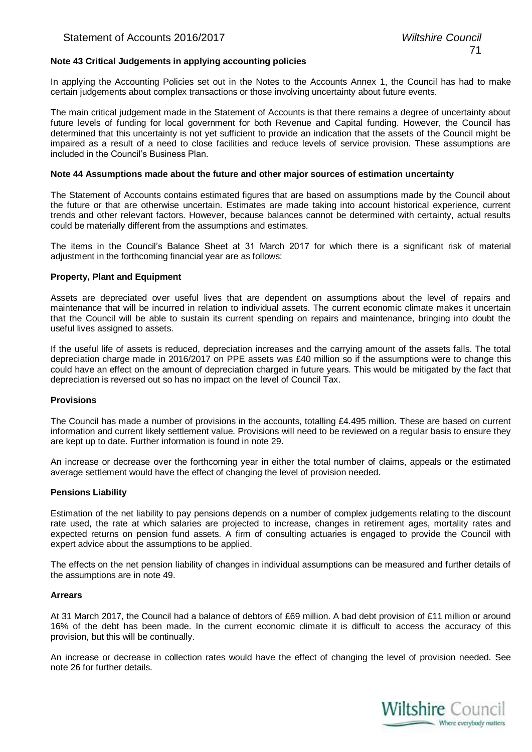#### **Note 43 Critical Judgements in applying accounting policies**

In applying the Accounting Policies set out in the Notes to the Accounts Annex 1, the Council has had to make certain judgements about complex transactions or those involving uncertainty about future events.

The main critical judgement made in the Statement of Accounts is that there remains a degree of uncertainty about future levels of funding for local government for both Revenue and Capital funding. However, the Council has determined that this uncertainty is not yet sufficient to provide an indication that the assets of the Council might be impaired as a result of a need to close facilities and reduce levels of service provision. These assumptions are included in the Council's Business Plan.

#### **Note 44 Assumptions made about the future and other major sources of estimation uncertainty**

The Statement of Accounts contains estimated figures that are based on assumptions made by the Council about the future or that are otherwise uncertain. Estimates are made taking into account historical experience, current trends and other relevant factors. However, because balances cannot be determined with certainty, actual results could be materially different from the assumptions and estimates.

The items in the Council's Balance Sheet at 31 March 2017 for which there is a significant risk of material adjustment in the forthcoming financial year are as follows:

#### **Property, Plant and Equipment**

Assets are depreciated over useful lives that are dependent on assumptions about the level of repairs and maintenance that will be incurred in relation to individual assets. The current economic climate makes it uncertain that the Council will be able to sustain its current spending on repairs and maintenance, bringing into doubt the useful lives assigned to assets.

If the useful life of assets is reduced, depreciation increases and the carrying amount of the assets falls. The total depreciation charge made in 2016/2017 on PPE assets was £40 million so if the assumptions were to change this could have an effect on the amount of depreciation charged in future years. This would be mitigated by the fact that depreciation is reversed out so has no impact on the level of Council Tax.

#### **Provisions**

The Council has made a number of provisions in the accounts, totalling £4.495 million. These are based on current information and current likely settlement value. Provisions will need to be reviewed on a regular basis to ensure they are kept up to date. Further information is found in note 29.

An increase or decrease over the forthcoming year in either the total number of claims, appeals or the estimated average settlement would have the effect of changing the level of provision needed.

#### **Pensions Liability**

Estimation of the net liability to pay pensions depends on a number of complex judgements relating to the discount rate used, the rate at which salaries are projected to increase, changes in retirement ages, mortality rates and expected returns on pension fund assets. A firm of consulting actuaries is engaged to provide the Council with expert advice about the assumptions to be applied.

The effects on the net pension liability of changes in individual assumptions can be measured and further details of the assumptions are in note 49.

#### **Arrears**

At 31 March 2017, the Council had a balance of debtors of £69 million. A bad debt provision of £11 million or around 16% of the debt has been made. In the current economic climate it is difficult to access the accuracy of this provision, but this will be continually.

An increase or decrease in collection rates would have the effect of changing the level of provision needed. See note 26 for further details.

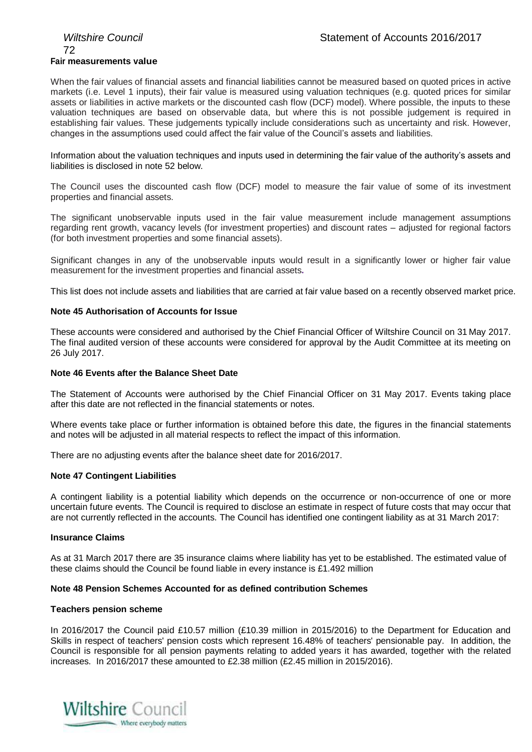## 72 **Fair measurements value**

When the fair values of financial assets and financial liabilities cannot be measured based on quoted prices in active markets (i.e. Level 1 inputs), their fair value is measured using valuation techniques (e.g. quoted prices for similar assets or liabilities in active markets or the discounted cash flow (DCF) model). Where possible, the inputs to these valuation techniques are based on observable data, but where this is not possible judgement is required in establishing fair values. These judgements typically include considerations such as uncertainty and risk. However, changes in the assumptions used could affect the fair value of the Council's assets and liabilities.

Information about the valuation techniques and inputs used in determining the fair value of the authority's assets and liabilities is disclosed in note 52 below.

The Council uses the discounted cash flow (DCF) model to measure the fair value of some of its investment properties and financial assets.

The significant unobservable inputs used in the fair value measurement include management assumptions regarding rent growth, vacancy levels (for investment properties) and discount rates – adjusted for regional factors (for both investment properties and some financial assets).

Significant changes in any of the unobservable inputs would result in a significantly lower or higher fair value measurement for the investment properties and financial assets**.**

This list does not include assets and liabilities that are carried at fair value based on a recently observed market price.

#### **Note 45 Authorisation of Accounts for Issue**

These accounts were considered and authorised by the Chief Financial Officer of Wiltshire Council on 31 May 2017. The final audited version of these accounts were considered for approval by the Audit Committee at its meeting on 26 July 2017.

#### **Note 46 Events after the Balance Sheet Date**

The Statement of Accounts were authorised by the Chief Financial Officer on 31 May 2017. Events taking place after this date are not reflected in the financial statements or notes.

Where events take place or further information is obtained before this date, the figures in the financial statements and notes will be adjusted in all material respects to reflect the impact of this information.

There are no adjusting events after the balance sheet date for 2016/2017.

#### **Note 47 Contingent Liabilities**

A contingent liability is a potential liability which depends on the occurrence or non-occurrence of one or more uncertain future events. The Council is required to disclose an estimate in respect of future costs that may occur that are not currently reflected in the accounts. The Council has identified one contingent liability as at 31 March 2017:

#### **Insurance Claims**

As at 31 March 2017 there are 35 insurance claims where liability has yet to be established. The estimated value of these claims should the Council be found liable in every instance is £1.492 million

#### **Note 48 Pension Schemes Accounted for as defined contribution Schemes**

#### **Teachers pension scheme**

In 2016/2017 the Council paid £10.57 million (£10.39 million in 2015/2016) to the Department for Education and Skills in respect of teachers' pension costs which represent 16.48% of teachers' pensionable pay. In addition, the Council is responsible for all pension payments relating to added years it has awarded, together with the related increases. In 2016/2017 these amounted to £2.38 million (£2.45 million in 2015/2016).

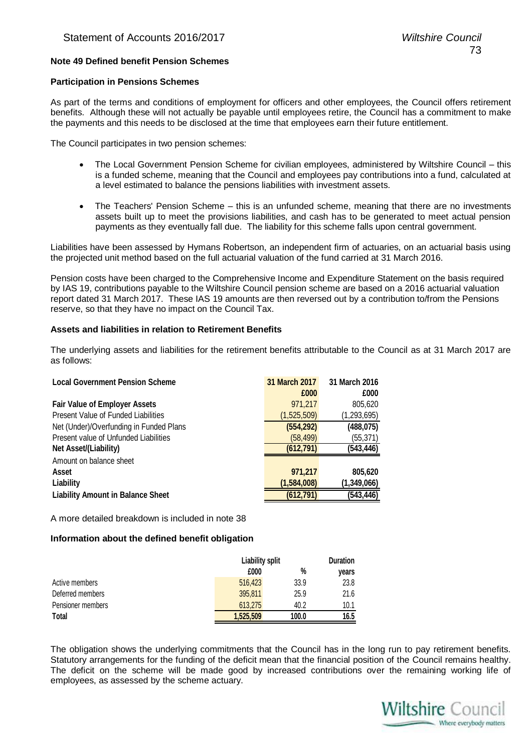#### **Note 49 Defined benefit Pension Schemes**

#### **Participation in Pensions Schemes**

As part of the terms and conditions of employment for officers and other employees, the Council offers retirement benefits. Although these will not actually be payable until employees retire, the Council has a commitment to make the payments and this needs to be disclosed at the time that employees earn their future entitlement.

The Council participates in two pension schemes:

- The Local Government Pension Scheme for civilian employees, administered by Wiltshire Council this is a funded scheme, meaning that the Council and employees pay contributions into a fund, calculated at a level estimated to balance the pensions liabilities with investment assets.
- The Teachers' Pension Scheme this is an unfunded scheme, meaning that there are no investments assets built up to meet the provisions liabilities, and cash has to be generated to meet actual pension payments as they eventually fall due. The liability for this scheme falls upon central government.

Liabilities have been assessed by Hymans Robertson, an independent firm of actuaries, on an actuarial basis using the projected unit method based on the full actuarial valuation of the fund carried at 31 March 2016.

Pension costs have been charged to the Comprehensive Income and Expenditure Statement on the basis required by IAS 19, contributions payable to the Wiltshire Council pension scheme are based on a 2016 actuarial valuation report dated 31 March 2017. These IAS 19 amounts are then reversed out by a contribution to/from the Pensions reserve, so that they have no impact on the Council Tax.

#### **Assets and liabilities in relation to Retirement Benefits**

The underlying assets and liabilities for the retirement benefits attributable to the Council as at 31 March 2017 are as follows:

| <b>Local Government Pension Scheme</b>     | 31 March 2017 | 31 March 2016 |
|--------------------------------------------|---------------|---------------|
|                                            | £000          | £000          |
| <b>Fair Value of Employer Assets</b>       | 971,217       | 805,620       |
| <b>Present Value of Funded Liabilities</b> | (1,525,509)   | (1,293,695)   |
| Net (Under)/Overfunding in Funded Plans    | (554, 292)    | (488, 075)    |
| Present value of Unfunded Liabilities      | (58, 499)     | (55, 371)     |
| Net Asset/(Liability)                      | (612, 791)    | (543,446)     |
| Amount on balance sheet                    |               |               |
| <b>Asset</b>                               | 971,217       | 805,620       |
| Liability                                  | (1,584,008)   | (1,349,066)   |
| <b>Liability Amount in Balance Sheet</b>   | (612, 791)    | (543, 446)    |

A more detailed breakdown is included in note 38

#### **Information about the defined benefit obligation**

|                   | <b>Liability split</b> | <b>Duration</b> |       |
|-------------------|------------------------|-----------------|-------|
|                   | £000                   | %               | vears |
| Active members    | 516,423                | 33.9            | 23.8  |
| Deferred members  | 395.811                | 25.9            | 21.6  |
| Pensioner members | 613.275                | 40.2            | 10.1  |
| Total             | 1,525,509              | 100.0           | 16.5  |

The obligation shows the underlying commitments that the Council has in the long run to pay retirement benefits. Statutory arrangements for the funding of the deficit mean that the financial position of the Council remains healthy. The deficit on the scheme will be made good by increased contributions over the remaining working life of employees, as assessed by the scheme actuary.

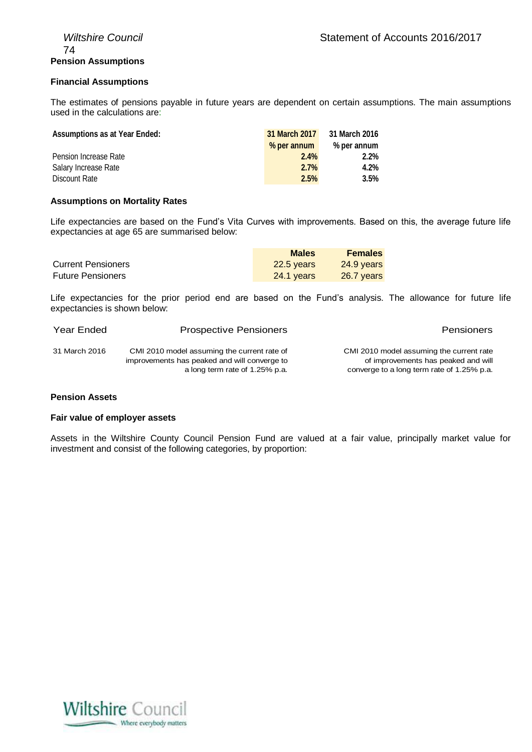#### **Financial Assumptions**

The estimates of pensions payable in future years are dependent on certain assumptions. The main assumptions used in the calculations are:

| <b>Assumptions as at Year Ended:</b> | 31 March 2017 | 31 March 2016 |
|--------------------------------------|---------------|---------------|
|                                      | % per annum   | % per annum   |
| Pension Increase Rate                | 2.4%          | 2.2%          |
| Salary Increase Rate                 | 2.7%          | 4.2%          |
| Discount Rate                        | 2.5%          | 3.5%          |

#### **Assumptions on Mortality Rates**

Life expectancies are based on the Fund's Vita Curves with improvements. Based on this, the average future life expectancies at age 65 are summarised below:

|                           | <b>Males</b> | <b>Females</b> |
|---------------------------|--------------|----------------|
| <b>Current Pensioners</b> | 22.5 years   | 24.9 years     |
| <b>Future Pensioners</b>  | 24.1 years   | 26.7 years     |

Life expectancies for the prior period end are based on the Fund's analysis. The allowance for future life expectancies is shown below:

| Year Ended    | <b>Prospective Pensioners</b>                                                                                                 | Pensioners                                                                                                                    |
|---------------|-------------------------------------------------------------------------------------------------------------------------------|-------------------------------------------------------------------------------------------------------------------------------|
| 31 March 2016 | CMI 2010 model assuming the current rate of<br>improvements has peaked and will converge to<br>a long term rate of 1.25% p.a. | CMI 2010 model assuming the current rate<br>of improvements has peaked and will<br>converge to a long term rate of 1.25% p.a. |

#### **Pension Assets**

#### **Fair value of employer assets**

Assets in the Wiltshire County Council Pension Fund are valued at a fair value, principally market value for investment and consist of the following categories, by proportion:

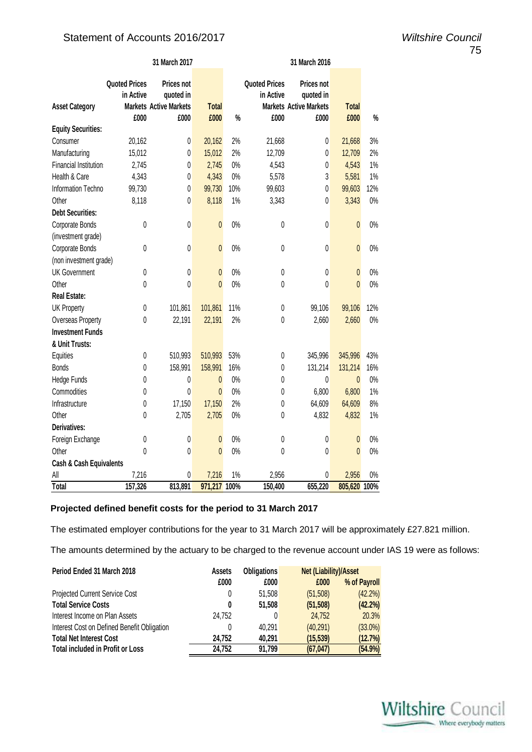### Statement of Accounts 2016/2017 *Wiltshire Council*

|                           |                                   | 31 March 2017                                                   |                | 31 March 2016 |                                   |                                                                 |              |       |
|---------------------------|-----------------------------------|-----------------------------------------------------------------|----------------|---------------|-----------------------------------|-----------------------------------------------------------------|--------------|-------|
| <b>Asset Category</b>     | <b>Quoted Prices</b><br>in Active | <b>Prices not</b><br>quoted in<br><b>Markets Active Markets</b> | <b>Total</b>   |               | <b>Quoted Prices</b><br>in Active | <b>Prices not</b><br>quoted in<br><b>Markets Active Markets</b> | <b>Total</b> |       |
| <b>Equity Securities:</b> | £000                              | £000                                                            | £000           | $\%$          | £000                              | £000                                                            | £000         | $\%$  |
| Consumer                  | 20,162                            | $\pmb{0}$                                                       | 20,162         | 2%            | 21,668                            | 0                                                               | 21,668       | 3%    |
| Manufacturing             | 15,012                            | $\pmb{0}$                                                       | 15,012         | 2%            | 12,709                            | $\pmb{0}$                                                       | 12,709       | 2%    |
| Financial Institution:    | 2,745                             | $\pmb{0}$                                                       | 2,745          | 0%            | 4,543                             | $\pmb{0}$                                                       | 4,543        | $1\%$ |
| Health & Care             | 4,343                             | $\pmb{0}$                                                       | 4,343          | $0\%$         | 5,578                             | 3                                                               | 5,581        | $1\%$ |
| Information Techno        | 99,730                            | 0                                                               | 99,730         | 10%           | 99,603                            | $\mathbf 0$                                                     | 99,603       | 12%   |
| Other                     | 8,118                             | 0                                                               | 8,118          | 1%            | 3,343                             | 0                                                               | 3,343        | $0\%$ |
| <b>Debt Securities:</b>   |                                   |                                                                 |                |               |                                   |                                                                 |              |       |
| Corporate Bonds           | 0                                 | 0                                                               | $\pmb{0}$      | $0\%$         | $\pmb{0}$                         | 0                                                               | $\mathbf{0}$ | $0\%$ |
| (investment grade)        |                                   |                                                                 |                |               |                                   |                                                                 |              |       |
| Corporate Bonds           | 0                                 | 0                                                               | $\mathbf{0}$   | $0\%$         | $\pmb{0}$                         | 0                                                               | $\mathbf{0}$ | $0\%$ |
| (non investment grade)    |                                   |                                                                 |                |               |                                   |                                                                 |              |       |
| <b>UK Government</b>      | 0                                 | $\pmb{0}$                                                       | $\pmb{0}$      | $0\%$         | $\pmb{0}$                         | $\pmb{0}$                                                       | $\pmb{0}$    | $0\%$ |
| Other                     | 0                                 | 0                                                               | $\overline{0}$ | 0%            | $\pmb{0}$                         | 0                                                               | $\mathbf{0}$ | $0\%$ |
| <b>Real Estate:</b>       |                                   |                                                                 |                |               |                                   |                                                                 |              |       |
| <b>UK Property</b>        | $\pmb{0}$                         | 101,861                                                         | 101,861        | 11%           | $\pmb{0}$                         | 99,106                                                          | 99,106       | 12%   |
| Overseas Property         | 0                                 | 22,191                                                          | 22,191         | 2%            | $\pmb{0}$                         | 2,660                                                           | 2,660        | $0\%$ |
| <b>Investment Funds</b>   |                                   |                                                                 |                |               |                                   |                                                                 |              |       |
| & Unit Trusts:            |                                   |                                                                 |                |               |                                   |                                                                 |              |       |
| Equities                  | 0                                 | 510,993                                                         | 510,993        | 53%           | $\pmb{0}$                         | 345,996                                                         | 345,996      | 43%   |
| <b>Bonds</b>              | $\pmb{0}$                         | 158,991                                                         | 158,991        | 16%           | $\pmb{0}$                         | 131,214                                                         | 131,214      | 16%   |
| Hedge Funds               | 0                                 | 0                                                               | 0              | $0\%$         | $\pmb{0}$                         | 0                                                               | $\mathbf{0}$ | $0\%$ |
| Commodities               | 0                                 | $\mathbf{0}$                                                    | $\mathbf{0}$   | $0\%$         | $\pmb{0}$                         | 6,800                                                           | 6,800        | $1\%$ |
| Infrastructure            | 0                                 | 17,150                                                          | 17,150         | 2%            | $\pmb{0}$                         | 64,609                                                          | 64,609       | 8%    |
| Other                     | 0                                 | 2,705                                                           | 2,705          | $0\%$         | 0                                 | 4,832                                                           | 4,832        | $1\%$ |
| Derivatives:              |                                   |                                                                 |                |               |                                   |                                                                 |              |       |
| Foreign Exchange          | 0                                 | $\pmb{0}$                                                       | $\mathbf{0}$   | 0%            | $\pmb{0}$                         | $\mathbf{0}$                                                    | $\mathbf{0}$ | $0\%$ |
| Other                     | 0                                 | $\pmb{0}$                                                       | $\mathbf{0}$   | $0\%$         | 0                                 | 0                                                               | $\mathbf{0}$ | $0\%$ |
| Cash & Cash Equivalents   |                                   |                                                                 |                |               |                                   |                                                                 |              |       |
| All                       | 7,216                             | 0                                                               | 7,216          | 1%            | 2,956                             | 0                                                               | 2,956        | $0\%$ |
| <b>Total</b>              | 157,326                           | 813,891                                                         | 971,217        | 100%          | 150,400                           | 655,220                                                         | 805,620      | 100%  |

#### **Projected defined benefit costs for the period to 31 March 2017**

The estimated employer contributions for the year to 31 March 2017 will be approximately £27.821 million.

The amounts determined by the actuary to be charged to the revenue account under IAS 19 were as follows:

| Period Ended 31 March 2018                  | <b>Assets</b> | <b>Obligations</b> | <b>Net (Liability)/Asset</b> |              |
|---------------------------------------------|---------------|--------------------|------------------------------|--------------|
|                                             | £000          | £000               | £000                         | % of Payroll |
| Projected Current Service Cost              | 0             | 51.508             | (51, 508)                    | $(42.2\%)$   |
| <b>Total Service Costs</b>                  | 0             | 51.508             | (51, 508)                    | $(42.2\%)$   |
| Interest Income on Plan Assets              | 24.752        | 0                  | 24.752                       | 20.3%        |
| Interest Cost on Defined Benefit Obligation | 0             | 40.291             | (40, 291)                    | $(33.0\%)$   |
| <b>Total Net Interest Cost</b>              | 24,752        | 40.291             | (15, 539)                    | (12.7%)      |
| <b>Total included in Profit or Loss</b>     | 24,752        | 91.799             | (67, 047)                    | (54.9%)      |

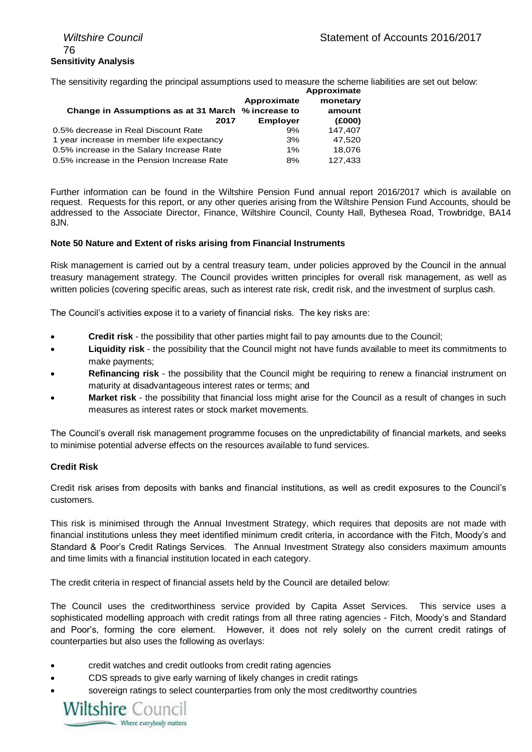## 76 **Sensitivity Analysis**

The sensitivity regarding the principal assumptions used to measure the scheme liabilities are set out below:

|                 | Approximate                                        |
|-----------------|----------------------------------------------------|
| Approximate     | monetary                                           |
|                 | amount                                             |
| <b>Employer</b> | (E000)                                             |
| 9%              | 147,407                                            |
| 3%              | 47,520                                             |
| 1%              | 18.076                                             |
| 8%              | 127,433                                            |
|                 | Change in Assumptions as at 31 March % increase to |

Further information can be found in the Wiltshire Pension Fund annual report 2016/2017 which is available on request. Requests for this report, or any other queries arising from the Wiltshire Pension Fund Accounts, should be addressed to the Associate Director, Finance, Wiltshire Council, County Hall, Bythesea Road, Trowbridge, BA14 8JN.

#### **Note 50 Nature and Extent of risks arising from Financial Instruments**

Risk management is carried out by a central treasury team, under policies approved by the Council in the annual treasury management strategy. The Council provides written principles for overall risk management, as well as written policies (covering specific areas, such as interest rate risk, credit risk, and the investment of surplus cash.

The Council's activities expose it to a variety of financial risks. The key risks are:

- **Credit risk** the possibility that other parties might fail to pay amounts due to the Council;
- **Liquidity risk** the possibility that the Council might not have funds available to meet its commitments to make payments;
- **Refinancing risk** the possibility that the Council might be requiring to renew a financial instrument on maturity at disadvantageous interest rates or terms; and
- **Market risk**  the possibility that financial loss might arise for the Council as a result of changes in such measures as interest rates or stock market movements.

The Council's overall risk management programme focuses on the unpredictability of financial markets, and seeks to minimise potential adverse effects on the resources available to fund services.

#### **Credit Risk**

Credit risk arises from deposits with banks and financial institutions, as well as credit exposures to the Council's customers.

This risk is minimised through the Annual Investment Strategy, which requires that deposits are not made with financial institutions unless they meet identified minimum credit criteria, in accordance with the Fitch, Moody's and Standard & Poor's Credit Ratings Services. The Annual Investment Strategy also considers maximum amounts and time limits with a financial institution located in each category.

The credit criteria in respect of financial assets held by the Council are detailed below:

The Council uses the creditworthiness service provided by Capita Asset Services. This service uses a sophisticated modelling approach with credit ratings from all three rating agencies - Fitch, Moody's and Standard and Poor's, forming the core element. However, it does not rely solely on the current credit ratings of counterparties but also uses the following as overlays:

- credit watches and credit outlooks from credit rating agencies
- CDS spreads to give early warning of likely changes in credit ratings
- sovereign ratings to select counterparties from only the most creditworthy countries

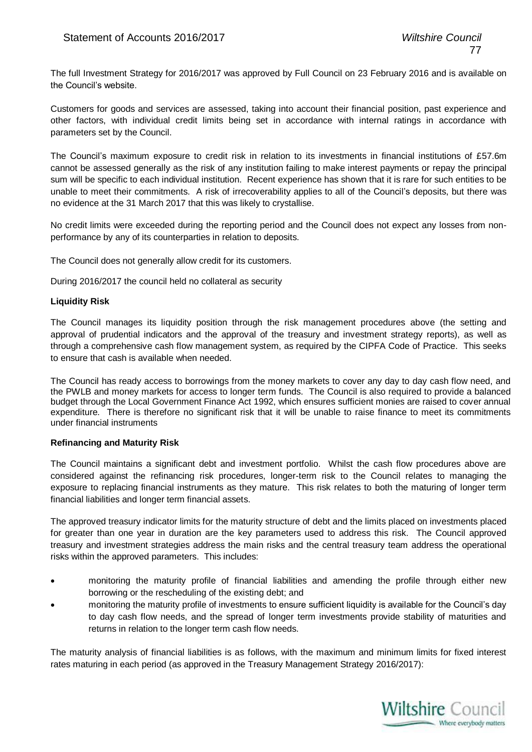The full Investment Strategy for 2016/2017 was approved by Full Council on 23 February 2016 and is available on the Council's website.

Customers for goods and services are assessed, taking into account their financial position, past experience and other factors, with individual credit limits being set in accordance with internal ratings in accordance with parameters set by the Council.

The Council's maximum exposure to credit risk in relation to its investments in financial institutions of £57.6m cannot be assessed generally as the risk of any institution failing to make interest payments or repay the principal sum will be specific to each individual institution. Recent experience has shown that it is rare for such entities to be unable to meet their commitments. A risk of irrecoverability applies to all of the Council's deposits, but there was no evidence at the 31 March 2017 that this was likely to crystallise.

No credit limits were exceeded during the reporting period and the Council does not expect any losses from nonperformance by any of its counterparties in relation to deposits.

The Council does not generally allow credit for its customers.

During 2016/2017 the council held no collateral as security

#### **Liquidity Risk**

The Council manages its liquidity position through the risk management procedures above (the setting and approval of prudential indicators and the approval of the treasury and investment strategy reports), as well as through a comprehensive cash flow management system, as required by the CIPFA Code of Practice. This seeks to ensure that cash is available when needed.

The Council has ready access to borrowings from the money markets to cover any day to day cash flow need, and the PWLB and money markets for access to longer term funds. The Council is also required to provide a balanced budget through the Local Government Finance Act 1992, which ensures sufficient monies are raised to cover annual expenditure. There is therefore no significant risk that it will be unable to raise finance to meet its commitments under financial instruments

#### **Refinancing and Maturity Risk**

The Council maintains a significant debt and investment portfolio. Whilst the cash flow procedures above are considered against the refinancing risk procedures, longer-term risk to the Council relates to managing the exposure to replacing financial instruments as they mature. This risk relates to both the maturing of longer term financial liabilities and longer term financial assets.

The approved treasury indicator limits for the maturity structure of debt and the limits placed on investments placed for greater than one year in duration are the key parameters used to address this risk. The Council approved treasury and investment strategies address the main risks and the central treasury team address the operational risks within the approved parameters. This includes:

- monitoring the maturity profile of financial liabilities and amending the profile through either new borrowing or the rescheduling of the existing debt; and
- monitoring the maturity profile of investments to ensure sufficient liquidity is available for the Council's day to day cash flow needs, and the spread of longer term investments provide stability of maturities and returns in relation to the longer term cash flow needs.

The maturity analysis of financial liabilities is as follows, with the maximum and minimum limits for fixed interest rates maturing in each period (as approved in the Treasury Management Strategy 2016/2017):

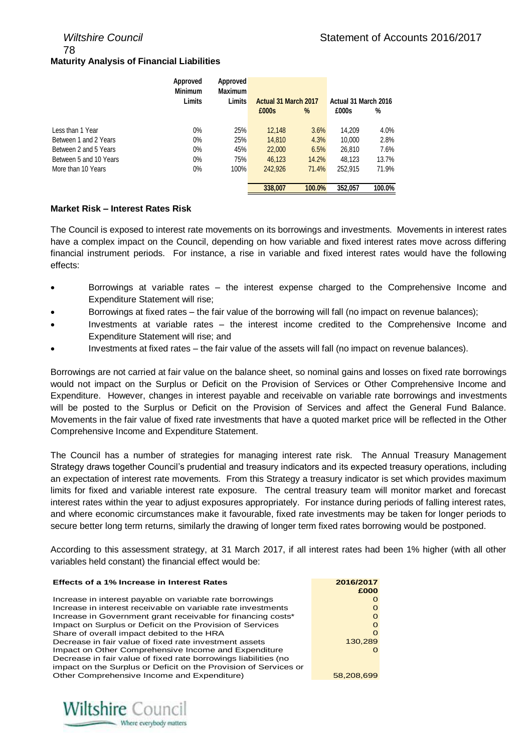78

#### **Maturity Analysis of Financial Liabilities**

|                        | Approved<br><b>Minimum</b> | Approved<br><b>Maximum</b> |                      |        |                      |        |
|------------------------|----------------------------|----------------------------|----------------------|--------|----------------------|--------|
|                        | Limits                     | <b>Limits</b>              | Actual 31 March 2017 |        | Actual 31 March 2016 |        |
|                        |                            |                            | £000s                | %      | £000s                | %      |
|                        |                            |                            |                      |        |                      |        |
| Less than 1 Year       | $0\%$                      | 25%                        | 12.148               | 3.6%   | 14.209               | 4.0%   |
| Between 1 and 2 Years  | $0\%$                      | 25%                        | 14.810               | 4.3%   | 10.000               | 2.8%   |
| Between 2 and 5 Years  | $0\%$                      | 45%                        | 22,000               | 6.5%   | 26.810               | 7.6%   |
| Between 5 and 10 Years | $0\%$                      | 75%                        | 46.123               | 14.2%  | 48.123               | 13.7%  |
| More than 10 Years     | $0\%$                      | 100%                       | 242,926              | 71.4%  | 252.915              | 71.9%  |
|                        |                            |                            |                      |        |                      |        |
|                        |                            |                            | 338,007              | 100.0% | 352,057              | 100.0% |

#### **Market Risk – Interest Rates Risk**

The Council is exposed to interest rate movements on its borrowings and investments. Movements in interest rates have a complex impact on the Council, depending on how variable and fixed interest rates move across differing financial instrument periods. For instance, a rise in variable and fixed interest rates would have the following effects:

- Borrowings at variable rates the interest expense charged to the Comprehensive Income and Expenditure Statement will rise;
- Borrowings at fixed rates the fair value of the borrowing will fall (no impact on revenue balances);
- Investments at variable rates the interest income credited to the Comprehensive Income and Expenditure Statement will rise; and
- Investments at fixed rates the fair value of the assets will fall (no impact on revenue balances).

Borrowings are not carried at fair value on the balance sheet, so nominal gains and losses on fixed rate borrowings would not impact on the Surplus or Deficit on the Provision of Services or Other Comprehensive Income and Expenditure. However, changes in interest payable and receivable on variable rate borrowings and investments will be posted to the Surplus or Deficit on the Provision of Services and affect the General Fund Balance. Movements in the fair value of fixed rate investments that have a quoted market price will be reflected in the Other Comprehensive Income and Expenditure Statement.

The Council has a number of strategies for managing interest rate risk. The Annual Treasury Management Strategy draws together Council's prudential and treasury indicators and its expected treasury operations, including an expectation of interest rate movements. From this Strategy a treasury indicator is set which provides maximum limits for fixed and variable interest rate exposure. The central treasury team will monitor market and forecast interest rates within the year to adjust exposures appropriately. For instance during periods of falling interest rates, and where economic circumstances make it favourable, fixed rate investments may be taken for longer periods to secure better long term returns, similarly the drawing of longer term fixed rates borrowing would be postponed.

According to this assessment strategy, at 31 March 2017, if all interest rates had been 1% higher (with all other variables held constant) the financial effect would be:

| <b>Effects of a 1% Increase in Interest Rates</b>                | 2016/2017<br>£000 |
|------------------------------------------------------------------|-------------------|
| Increase in interest payable on variable rate borrowings         | $\Omega$          |
| Increase in interest receivable on variable rate investments     | $\Omega$          |
| Increase in Government grant receivable for financing costs*     |                   |
| Impact on Surplus or Deficit on the Provision of Services        | $\Omega$          |
| Share of overall impact debited to the HRA                       | $\Omega$          |
| Decrease in fair value of fixed rate investment assets           | 130,289           |
| Impact on Other Comprehensive Income and Expenditure             |                   |
| Decrease in fair value of fixed rate borrowings liabilities (no  |                   |
| impact on the Surplus or Deficit on the Provision of Services or |                   |
| Other Comprehensive Income and Expenditure)                      | 58.208.699        |
|                                                                  |                   |

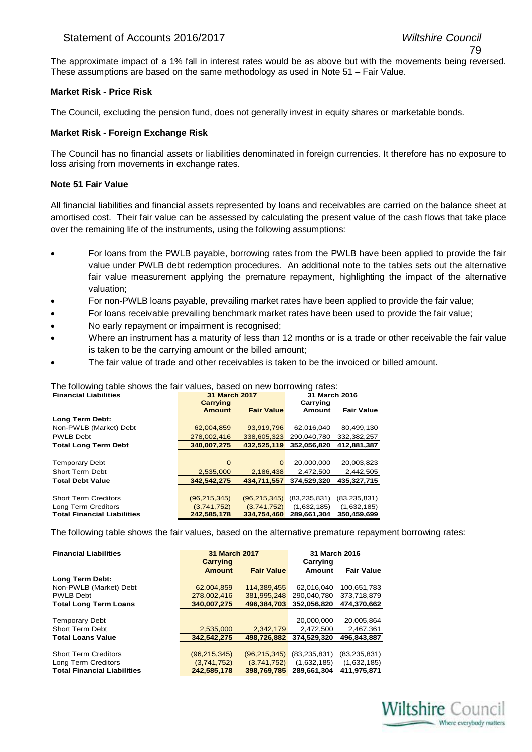#### Statement of Accounts 2016/2017 *Wiltshire Council*

The approximate impact of a 1% fall in interest rates would be as above but with the movements being reversed. These assumptions are based on the same methodology as used in Note 51 – Fair Value.

#### **Market Risk - Price Risk**

The Council, excluding the pension fund, does not generally invest in equity shares or marketable bonds.

#### **Market Risk - Foreign Exchange Risk**

The Council has no financial assets or liabilities denominated in foreign currencies. It therefore has no exposure to loss arising from movements in exchange rates.

#### **Note 51 Fair Value**

All financial liabilities and financial assets represented by loans and receivables are carried on the balance sheet at amortised cost. Their fair value can be assessed by calculating the present value of the cash flows that take place over the remaining life of the instruments, using the following assumptions:

- For loans from the PWLB payable, borrowing rates from the PWLB have been applied to provide the fair value under PWLB debt redemption procedures. An additional note to the tables sets out the alternative fair value measurement applying the premature repayment, highlighting the impact of the alternative valuation;
- For non-PWLB loans payable, prevailing market rates have been applied to provide the fair value;
- For loans receivable prevailing benchmark market rates have been used to provide the fair value;
- No early repayment or impairment is recognised;
- Where an instrument has a maturity of less than 12 months or is a trade or other receivable the fair value is taken to be the carrying amount or the billed amount;
- The fair value of trade and other receivables is taken to be the invoiced or billed amount.

#### The following table shows the fair values, based on new borrowing rates:

| <b>Financial Liabilities</b>       | 31 March 2017              |                   | 31 March 2016  |                   |
|------------------------------------|----------------------------|-------------------|----------------|-------------------|
|                                    | <b>Carrying</b>            |                   | Carrying       |                   |
|                                    | <b>Amount</b>              | <b>Fair Value</b> | Amount         | <b>Fair Value</b> |
| Long Term Debt:                    |                            |                   |                |                   |
| Non-PWLB (Market) Debt             | 62,004,859                 | 93.919.796        | 62.016.040     | 80.499.130        |
| PWLB Debt                          | 278,002,416                | 338.605.323       | 290,040,780    | 332,382,257       |
| <b>Total Long Term Debt</b>        | 340,007,275<br>432,525,119 |                   | 352,056,820    | 412,881,387       |
|                                    |                            |                   |                |                   |
| <b>Temporary Debt</b>              | $\Omega$                   | $\mathbf{0}$      | 20.000.000     | 20,003,823        |
| <b>Short Term Debt</b>             | 2.535.000                  | 2.186.438         | 2.472.500      | 2,442,505         |
| <b>Total Debt Value</b>            | 342.542.275<br>434.711.557 |                   | 374.529.320    | 435.327.715       |
|                                    |                            |                   |                |                   |
| <b>Short Term Creditors</b>        | (96, 215, 345)             | (96, 215, 345)    | (83, 235, 831) | (83, 235, 831)    |
| Long Term Creditors                | (3,741,752)                | (3,741,752)       | (1,632,185)    | (1,632,185)       |
| <b>Total Financial Liabilities</b> | 242,585,178                | 334.754.460       | 289,661,304    | 350,459,699       |

The following table shows the fair values, based on the alternative premature repayment borrowing rates:

| <b>Financial Liabilities</b>       | 31 March 2017<br>Carrying |                   | 31 March 2016<br>Carrying |                   |  |
|------------------------------------|---------------------------|-------------------|---------------------------|-------------------|--|
|                                    | <b>Amount</b>             | <b>Fair Value</b> | Amount                    | <b>Fair Value</b> |  |
| Long Term Debt:                    |                           |                   |                           |                   |  |
| Non-PWLB (Market) Debt             | 62,004,859                | 114.389.455       | 62.016.040                | 100.651.783       |  |
| <b>PWLB Debt</b>                   | 278.002.416               | 381.995.248       | 290.040.780               | 373.718.879       |  |
| <b>Total Long Term Loans</b>       | 340.007.275               | 496.384.703       | 352.056.820               | 474.370.662       |  |
|                                    |                           |                   |                           |                   |  |
| <b>Temporary Debt</b>              |                           |                   | 20,000,000                | 20.005.864        |  |
| <b>Short Term Debt</b>             | 2,535,000                 | 2,342,179         | 2,472,500                 | 2,467,361         |  |
| <b>Total Loans Value</b>           | 342.542.275               | 498.726.882       | 374.529.320               | 496.843.887       |  |
|                                    |                           |                   |                           |                   |  |
| <b>Short Term Creditors</b>        | (96, 215, 345)            | (96, 215, 345)    | (83, 235, 831)            | (83, 235, 831)    |  |
| Long Term Creditors                | (3,741,752)               | (3,741,752)       | (1,632,185)               | (1,632,185)       |  |
| <b>Total Financial Liabilities</b> | 242,585,178               | 398.769.785       | 289.661.304               | 411.975.871       |  |

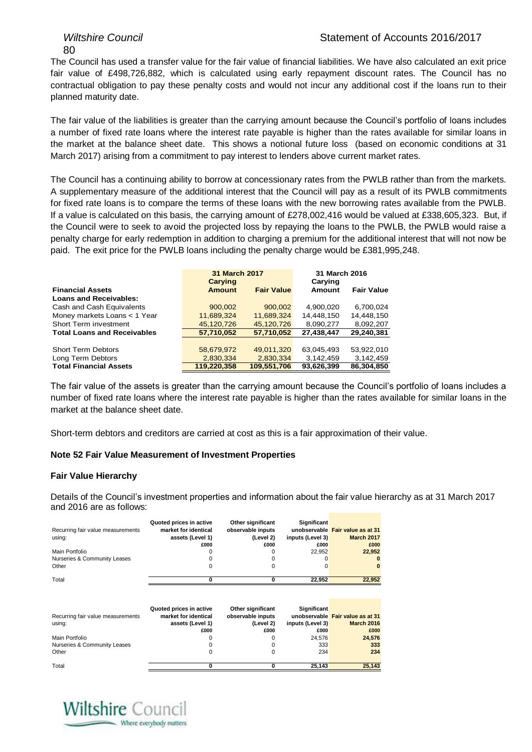80

The Council has used a transfer value for the fair value of financial liabilities. We have also calculated an exit price fair value of £498,726,882, which is calculated using early repayment discount rates. The Council has no contractual obligation to pay these penalty costs and would not incur any additional cost if the loans run to their planned maturity date.

The fair value of the liabilities is greater than the carrying amount because the Council's portfolio of loans includes a number of fixed rate loans where the interest rate payable is higher than the rates available for similar loans in the market at the balance sheet date. This shows a notional future loss (based on economic conditions at 31 March 2017) arising from a commitment to pay interest to lenders above current market rates.

The Council has a continuing ability to borrow at concessionary rates from the PWLB rather than from the markets. A supplementary measure of the additional interest that the Council will pay as a result of its PWLB commitments for fixed rate loans is to compare the terms of these loans with the new borrowing rates available from the PWLB. If a value is calculated on this basis, the carrying amount of £278,002,416 would be valued at £338,605,323. But, if the Council were to seek to avoid the projected loss by repaying the loans to the PWLB, the PWLB would raise a penalty charge for early redemption in addition to charging a premium for the additional interest that will not now be paid. The exit price for the PWLB loans including the penalty charge would be £381,995,248.

|                                    | <b>31 March 2017</b><br><b>Carying</b> |                   | 31 March 2016<br>Carying |                   |
|------------------------------------|----------------------------------------|-------------------|--------------------------|-------------------|
| <b>Financial Assets</b>            | <b>Amount</b>                          | <b>Fair Value</b> | Amount                   | <b>Fair Value</b> |
| <b>Loans and Receivables:</b>      |                                        |                   |                          |                   |
| Cash and Cash Equivalents          | 900,002                                | 900.002           | 4.900.020                | 6.700.024         |
| Money markets Loans < 1 Year       | 11,689,324                             | 11,689,324        | 14,448,150               | 14,448,150        |
| Short Term investment              | 45,120,726                             | 45,120,726        | 8,090,277                | 8,092,207         |
| <b>Total Loans and Receivables</b> | 57,710,052                             | 57,710,052        | 27,438,447               | 29,240,381        |
|                                    |                                        |                   |                          |                   |
| <b>Short Term Debtors</b>          | 58,679,972                             | 49,011,320        | 63,045,493               | 53.922.010        |
| Long Term Debtors                  | 2,830,334                              | 2,830,334         | 3,142,459                | 3,142,459         |
| <b>Total Financial Assets</b>      | 119.220.358                            | 109,551,706       | 93,626,399               | 86.304.850        |

The fair value of the assets is greater than the carrying amount because the Council's portfolio of loans includes a number of fixed rate loans where the interest rate payable is higher than the rates available for similar loans in the market at the balance sheet date.

Short-term debtors and creditors are carried at cost as this is a fair approximation of their value.

#### **Note 52 Fair Value Measurement of Investment Properties**

#### **Fair Value Hierarchy**

Details of the Council's investment properties and information about the fair value hierarchy as at 31 March 2017 and 2016 are as follows:

| Recurring fair value measurements<br>using:<br>Main Portfolio<br>Nurseries & Community Leases<br>Other | Quoted prices in active<br>market for identical<br>assets (Level 1)<br>£000 | Other significant<br>observable inputs<br>(Level 2)<br>£000 | <b>Significant</b><br>inputs (Level 3)<br>£000<br>22,952<br>0 | unobservable Fair value as at 31<br><b>March 2017</b><br>£000<br>22,952 |
|--------------------------------------------------------------------------------------------------------|-----------------------------------------------------------------------------|-------------------------------------------------------------|---------------------------------------------------------------|-------------------------------------------------------------------------|
| Total                                                                                                  | o                                                                           | 0                                                           | 22,952                                                        | 22,952                                                                  |
| Recurring fair value measurements<br>using:                                                            | Quoted prices in active<br>market for identical<br>assets (Level 1)<br>£000 | Other significant<br>observable inputs<br>(Level 2)<br>£000 | <b>Significant</b><br>inputs (Level 3)<br>£000                | unobservable Fair value as at 31<br><b>March 2016</b><br>£000           |
| Main Portfolio<br>Nurseries & Community Leases<br>Other                                                |                                                                             | 0                                                           | 24,576<br>333<br>234                                          | 24,576<br>333<br>234                                                    |
| Total                                                                                                  | 0                                                                           | 0                                                           | 25,143                                                        | 25,143                                                                  |

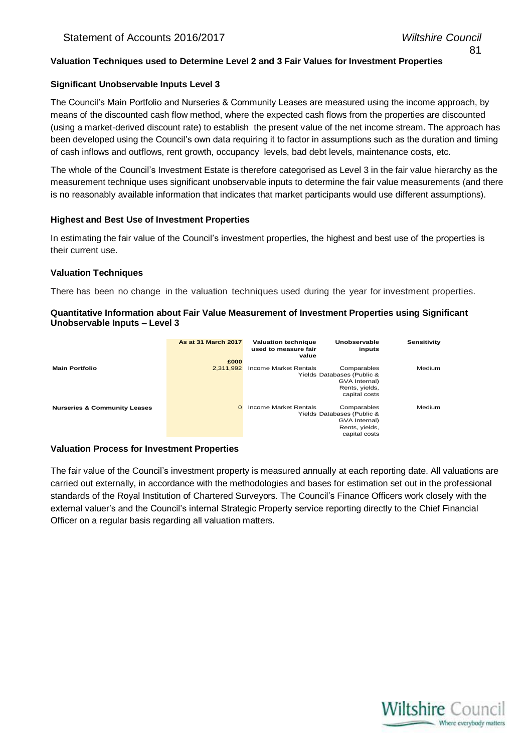#### **Valuation Techniques used to Determine Level 2 and 3 Fair Values for Investment Properties**

#### **Significant Unobservable Inputs Level 3**

The Council's Main Portfolio and Nurseries & Community Leases are measured using the income approach, by means of the discounted cash flow method, where the expected cash flows from the properties are discounted (using a market-derived discount rate) to establish the present value of the net income stream. The approach has been developed using the Council's own data requiring it to factor in assumptions such as the duration and timing of cash inflows and outflows, rent growth, occupancy levels, bad debt levels, maintenance costs, etc.

The whole of the Council's Investment Estate is therefore categorised as Level 3 in the fair value hierarchy as the measurement technique uses significant unobservable inputs to determine the fair value measurements (and there is no reasonably available information that indicates that market participants would use different assumptions).

#### **Highest and Best Use of Investment Properties**

In estimating the fair value of the Council's investment properties, the highest and best use of the properties is their current use.

#### **Valuation Techniques**

There has been no change in the valuation techniques used during the year for investment properties.

#### **Quantitative Information about Fair Value Measurement of Investment Properties using Significant Unobservable Inputs – Level 3**

|                                         | As at 31 March 2017<br>£000 | <b>Valuation technique</b><br>used to measure fair<br>value | Unobservable<br>inputs                                                                        | Sensitivity |
|-----------------------------------------|-----------------------------|-------------------------------------------------------------|-----------------------------------------------------------------------------------------------|-------------|
| <b>Main Portfolio</b>                   | 2,311,992                   | Income Market Rentals                                       | Comparables<br>Yields Databases (Public &<br>GVA Internal)<br>Rents, yields,<br>capital costs | Medium      |
| <b>Nurseries &amp; Community Leases</b> | $\Omega$                    | Income Market Rentals                                       | Comparables<br>Yields Databases (Public &<br>GVA Internal)<br>Rents, yields,<br>capital costs | Medium      |

#### **Valuation Process for Investment Properties**

The fair value of the Council's investment property is measured annually at each reporting date. All valuations are carried out externally, in accordance with the methodologies and bases for estimation set out in the professional standards of the Royal Institution of Chartered Surveyors. The Council's Finance Officers work closely with the external valuer's and the Council's internal Strategic Property service reporting directly to the Chief Financial Officer on a regular basis regarding all valuation matters.

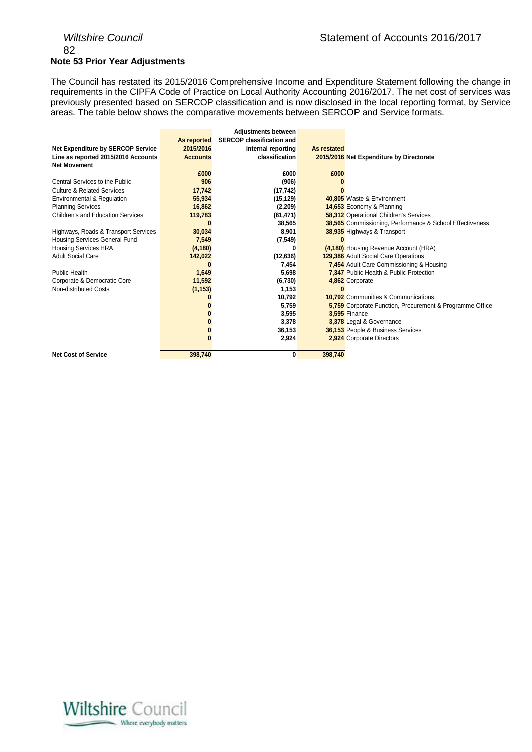## 82 **Note 53 Prior Year Adjustments**

The Council has restated its 2015/2016 Comprehensive Income and Expenditure Statement following the change in requirements in the CIPFA Code of Practice on Local Authority Accounting 2016/2017. The net cost of services was previously presented based on SERCOP classification and is now disclosed in the local reporting format, by Service areas. The table below shows the comparative movements between SERCOP and Service formats.

|                                          |                 | <b>Adjustments between</b>       |             |                                                          |
|------------------------------------------|-----------------|----------------------------------|-------------|----------------------------------------------------------|
|                                          | As reported     | <b>SERCOP classification and</b> |             |                                                          |
| <b>Net Expenditure by SERCOP Service</b> | 2015/2016       | internal reporting               | As restated |                                                          |
| Line as reported 2015/2016 Accounts      | <b>Accounts</b> | classification                   |             | 2015/2016 Net Expenditure by Directorate                 |
| <b>Net Movement</b>                      |                 |                                  |             |                                                          |
|                                          | £000            | £000                             | £000        |                                                          |
| Central Services to the Public           | 906             | (906)                            |             |                                                          |
| <b>Culture &amp; Related Services</b>    | 17,742          | (17, 742)                        |             |                                                          |
| Environmental & Regulation               | 55,934          | (15, 129)                        |             | 40,805 Waste & Environment                               |
| <b>Planning Services</b>                 | 16,862          | (2,209)                          |             | 14,653 Economy & Planning                                |
| Children's and Education Services        | 119,783         | (61, 471)                        |             | 58,312 Operational Children's Services                   |
|                                          |                 | 38,565                           |             | 38,565 Commissioning, Performance & School Effectiveness |
| Highways, Roads & Transport Services     | 30,034          | 8,901                            |             | 38,935 Highways & Transport                              |
| Housing Services General Fund            | 7,549           | (7, 549)                         |             |                                                          |
| Housing Services HRA                     | (4, 180)        | 0                                |             | (4,180) Housing Revenue Account (HRA)                    |
| <b>Adult Social Care</b>                 | 142,022         | (12, 636)                        |             | 129,386 Adult Social Care Operations                     |
|                                          |                 | 7,454                            |             | 7,454 Adult Care Commissioning & Housing                 |
| <b>Public Health</b>                     | 1,649           | 5,698                            |             | 7,347 Public Health & Public Protection                  |
| Corporate & Democratic Core              | 11,592          | (6, 730)                         |             | 4,862 Corporate                                          |
| Non-distributed Costs                    | (1, 153)        | 1,153                            |             |                                                          |
|                                          |                 | 10,792                           |             | <b>10.792</b> Communities & Communications               |
|                                          |                 | 5,759                            |             | 5,759 Corporate Function, Procurement & Programme Office |
|                                          |                 | 3,595                            |             | <b>3,595 Finance</b>                                     |
|                                          |                 | 3,378                            |             | 3,378 Legal & Governance                                 |
|                                          |                 | 36,153                           |             | 36,153 People & Business Services                        |
|                                          |                 | 2,924                            |             | 2,924 Corporate Directors                                |
|                                          |                 |                                  |             |                                                          |
| <b>Net Cost of Service</b>               | 398,740         | 0                                | 398,740     |                                                          |

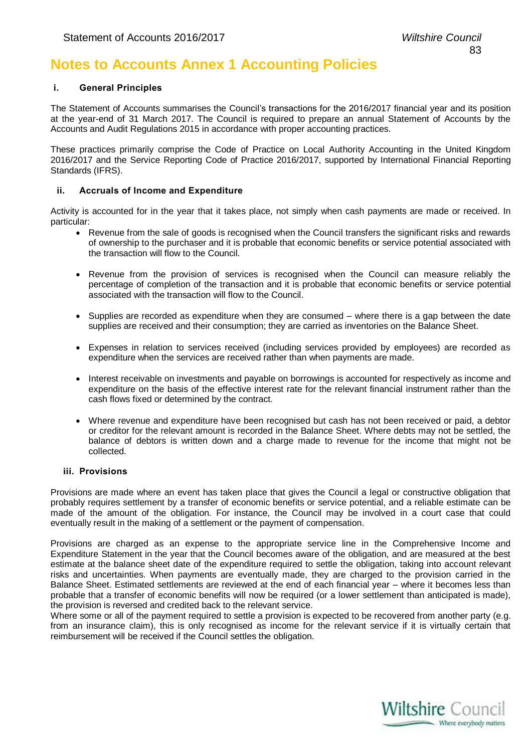## **Notes to Accounts Annex 1 Accounting Policies**

#### **i. General Principles**

The Statement of Accounts summarises the Council's transactions for the 2016/2017 financial year and its position at the year-end of 31 March 2017. The Council is required to prepare an annual Statement of Accounts by the Accounts and Audit Regulations 2015 in accordance with proper accounting practices.

These practices primarily comprise the Code of Practice on Local Authority Accounting in the United Kingdom 2016/2017 and the Service Reporting Code of Practice 2016/2017, supported by International Financial Reporting Standards (IFRS).

#### **ii. Accruals of Income and Expenditure**

Activity is accounted for in the year that it takes place, not simply when cash payments are made or received. In particular:

- Revenue from the sale of goods is recognised when the Council transfers the significant risks and rewards of ownership to the purchaser and it is probable that economic benefits or service potential associated with the transaction will flow to the Council.
- Revenue from the provision of services is recognised when the Council can measure reliably the percentage of completion of the transaction and it is probable that economic benefits or service potential associated with the transaction will flow to the Council.
- $\bullet$  Supplies are recorded as expenditure when they are consumed where there is a gap between the date supplies are received and their consumption; they are carried as inventories on the Balance Sheet.
- Expenses in relation to services received (including services provided by employees) are recorded as expenditure when the services are received rather than when payments are made.
- Interest receivable on investments and payable on borrowings is accounted for respectively as income and expenditure on the basis of the effective interest rate for the relevant financial instrument rather than the cash flows fixed or determined by the contract.
- Where revenue and expenditure have been recognised but cash has not been received or paid, a debtor or creditor for the relevant amount is recorded in the Balance Sheet. Where debts may not be settled, the balance of debtors is written down and a charge made to revenue for the income that might not be collected.

#### **iii. Provisions**

Provisions are made where an event has taken place that gives the Council a legal or constructive obligation that probably requires settlement by a transfer of economic benefits or service potential, and a reliable estimate can be made of the amount of the obligation. For instance, the Council may be involved in a court case that could eventually result in the making of a settlement or the payment of compensation.

Provisions are charged as an expense to the appropriate service line in the Comprehensive Income and Expenditure Statement in the year that the Council becomes aware of the obligation, and are measured at the best estimate at the balance sheet date of the expenditure required to settle the obligation, taking into account relevant risks and uncertainties. When payments are eventually made, they are charged to the provision carried in the Balance Sheet. Estimated settlements are reviewed at the end of each financial year – where it becomes less than probable that a transfer of economic benefits will now be required (or a lower settlement than anticipated is made), the provision is reversed and credited back to the relevant service.

Where some or all of the payment required to settle a provision is expected to be recovered from another party (e.g. from an insurance claim), this is only recognised as income for the relevant service if it is virtually certain that reimbursement will be received if the Council settles the obligation.

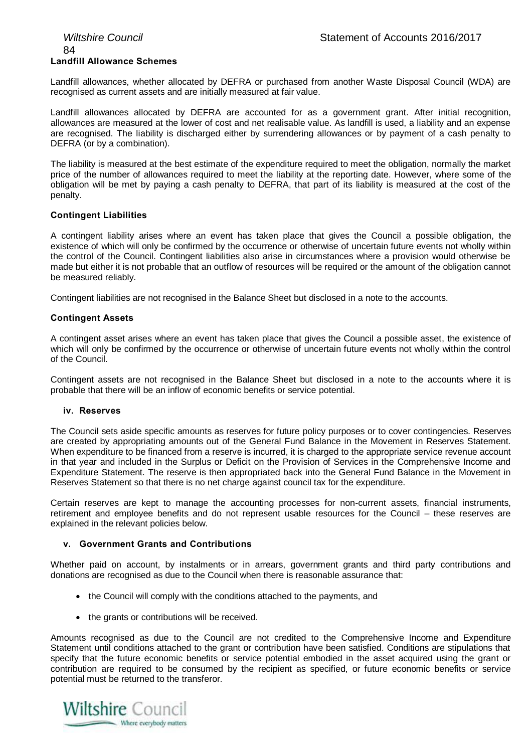## 84 **Landfill Allowance Schemes**

Landfill allowances, whether allocated by DEFRA or purchased from another Waste Disposal Council (WDA) are recognised as current assets and are initially measured at fair value.

Landfill allowances allocated by DEFRA are accounted for as a government grant. After initial recognition, allowances are measured at the lower of cost and net realisable value. As landfill is used, a liability and an expense are recognised. The liability is discharged either by surrendering allowances or by payment of a cash penalty to DEFRA (or by a combination).

The liability is measured at the best estimate of the expenditure required to meet the obligation, normally the market price of the number of allowances required to meet the liability at the reporting date. However, where some of the obligation will be met by paying a cash penalty to DEFRA, that part of its liability is measured at the cost of the penalty.

#### **Contingent Liabilities**

A contingent liability arises where an event has taken place that gives the Council a possible obligation, the existence of which will only be confirmed by the occurrence or otherwise of uncertain future events not wholly within the control of the Council. Contingent liabilities also arise in circumstances where a provision would otherwise be made but either it is not probable that an outflow of resources will be required or the amount of the obligation cannot be measured reliably.

Contingent liabilities are not recognised in the Balance Sheet but disclosed in a note to the accounts.

#### **Contingent Assets**

A contingent asset arises where an event has taken place that gives the Council a possible asset, the existence of which will only be confirmed by the occurrence or otherwise of uncertain future events not wholly within the control of the Council.

Contingent assets are not recognised in the Balance Sheet but disclosed in a note to the accounts where it is probable that there will be an inflow of economic benefits or service potential.

#### **iv. Reserves**

The Council sets aside specific amounts as reserves for future policy purposes or to cover contingencies. Reserves are created by appropriating amounts out of the General Fund Balance in the Movement in Reserves Statement. When expenditure to be financed from a reserve is incurred, it is charged to the appropriate service revenue account in that year and included in the Surplus or Deficit on the Provision of Services in the Comprehensive Income and Expenditure Statement. The reserve is then appropriated back into the General Fund Balance in the Movement in Reserves Statement so that there is no net charge against council tax for the expenditure.

Certain reserves are kept to manage the accounting processes for non-current assets, financial instruments, retirement and employee benefits and do not represent usable resources for the Council – these reserves are explained in the relevant policies below.

#### **v. Government Grants and Contributions**

Whether paid on account, by instalments or in arrears, government grants and third party contributions and donations are recognised as due to the Council when there is reasonable assurance that:

- the Council will comply with the conditions attached to the payments, and
- the grants or contributions will be received.

Amounts recognised as due to the Council are not credited to the Comprehensive Income and Expenditure Statement until conditions attached to the grant or contribution have been satisfied. Conditions are stipulations that specify that the future economic benefits or service potential embodied in the asset acquired using the grant or contribution are required to be consumed by the recipient as specified, or future economic benefits or service potential must be returned to the transferor.

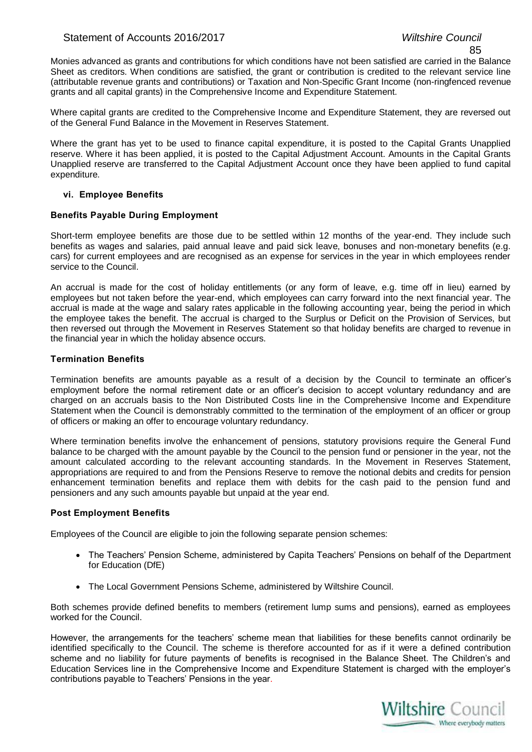### Statement of Accounts 2016/2017 *Wiltshire Council*

Monies advanced as grants and contributions for which conditions have not been satisfied are carried in the Balance Sheet as creditors. When conditions are satisfied, the grant or contribution is credited to the relevant service line (attributable revenue grants and contributions) or Taxation and Non-Specific Grant Income (non-ringfenced revenue grants and all capital grants) in the Comprehensive Income and Expenditure Statement.

Where capital grants are credited to the Comprehensive Income and Expenditure Statement, they are reversed out of the General Fund Balance in the Movement in Reserves Statement.

Where the grant has yet to be used to finance capital expenditure, it is posted to the Capital Grants Unapplied reserve. Where it has been applied, it is posted to the Capital Adjustment Account. Amounts in the Capital Grants Unapplied reserve are transferred to the Capital Adjustment Account once they have been applied to fund capital expenditure.

#### **vi. Employee Benefits**

#### **Benefits Payable During Employment**

Short-term employee benefits are those due to be settled within 12 months of the year-end. They include such benefits as wages and salaries, paid annual leave and paid sick leave, bonuses and non-monetary benefits (e.g. cars) for current employees and are recognised as an expense for services in the year in which employees render service to the Council.

An accrual is made for the cost of holiday entitlements (or any form of leave, e.g. time off in lieu) earned by employees but not taken before the year-end, which employees can carry forward into the next financial year. The accrual is made at the wage and salary rates applicable in the following accounting year, being the period in which the employee takes the benefit. The accrual is charged to the Surplus or Deficit on the Provision of Services, but then reversed out through the Movement in Reserves Statement so that holiday benefits are charged to revenue in the financial year in which the holiday absence occurs.

#### **Termination Benefits**

Termination benefits are amounts payable as a result of a decision by the Council to terminate an officer's employment before the normal retirement date or an officer's decision to accept voluntary redundancy and are charged on an accruals basis to the Non Distributed Costs line in the Comprehensive Income and Expenditure Statement when the Council is demonstrably committed to the termination of the employment of an officer or group of officers or making an offer to encourage voluntary redundancy.

Where termination benefits involve the enhancement of pensions, statutory provisions require the General Fund balance to be charged with the amount payable by the Council to the pension fund or pensioner in the year, not the amount calculated according to the relevant accounting standards. In the Movement in Reserves Statement, appropriations are required to and from the Pensions Reserve to remove the notional debits and credits for pension enhancement termination benefits and replace them with debits for the cash paid to the pension fund and pensioners and any such amounts payable but unpaid at the year end.

#### **Post Employment Benefits**

Employees of the Council are eligible to join the following separate pension schemes:

- The Teachers' Pension Scheme, administered by Capita Teachers' Pensions on behalf of the Department for Education (DfE)
- The Local Government Pensions Scheme, administered by Wiltshire Council.

Both schemes provide defined benefits to members (retirement lump sums and pensions), earned as employees worked for the Council.

However, the arrangements for the teachers' scheme mean that liabilities for these benefits cannot ordinarily be identified specifically to the Council. The scheme is therefore accounted for as if it were a defined contribution scheme and no liability for future payments of benefits is recognised in the Balance Sheet. The Children's and Education Services line in the Comprehensive Income and Expenditure Statement is charged with the employer's contributions payable to Teachers' Pensions in the year.

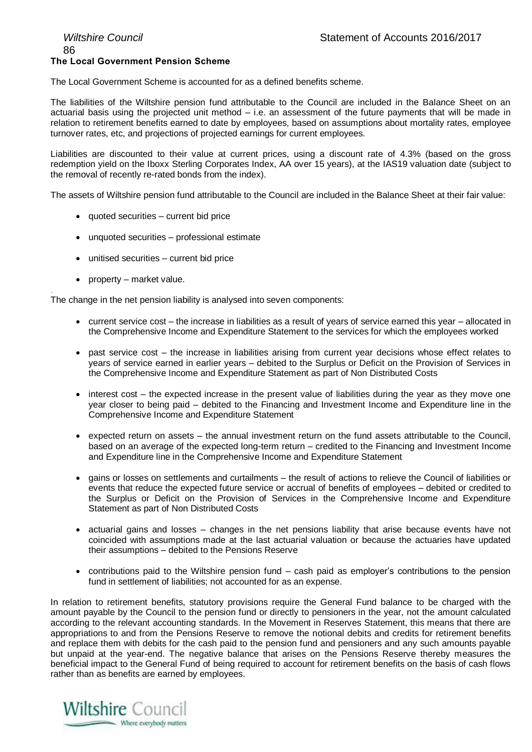## 86 **The Local Government Pension Scheme**

The Local Government Scheme is accounted for as a defined benefits scheme.

The liabilities of the Wiltshire pension fund attributable to the Council are included in the Balance Sheet on an actuarial basis using the projected unit method – i.e. an assessment of the future payments that will be made in relation to retirement benefits earned to date by employees, based on assumptions about mortality rates, employee turnover rates, etc, and projections of projected earnings for current employees.

Liabilities are discounted to their value at current prices, using a discount rate of 4.3% (based on the gross redemption yield on the Iboxx Sterling Corporates Index, AA over 15 years), at the IAS19 valuation date (subject to the removal of recently re-rated bonds from the index).

The assets of Wiltshire pension fund attributable to the Council are included in the Balance Sheet at their fair value:

- quoted securities current bid price
- unquoted securities professional estimate
- unitised securities current bid price
- property market value.

. The change in the net pension liability is analysed into seven components:

- current service cost the increase in liabilities as a result of years of service earned this year allocated in the Comprehensive Income and Expenditure Statement to the services for which the employees worked
- past service cost the increase in liabilities arising from current year decisions whose effect relates to years of service earned in earlier years – debited to the Surplus or Deficit on the Provision of Services in the Comprehensive Income and Expenditure Statement as part of Non Distributed Costs
- interest cost the expected increase in the present value of liabilities during the year as they move one year closer to being paid – debited to the Financing and Investment Income and Expenditure line in the Comprehensive Income and Expenditure Statement
- $\bullet$  expected return on assets the annual investment return on the fund assets attributable to the Council, based on an average of the expected long-term return – credited to the Financing and Investment Income and Expenditure line in the Comprehensive Income and Expenditure Statement
- gains or losses on settlements and curtailments the result of actions to relieve the Council of liabilities or events that reduce the expected future service or accrual of benefits of employees – debited or credited to the Surplus or Deficit on the Provision of Services in the Comprehensive Income and Expenditure Statement as part of Non Distributed Costs
- actuarial gains and losses changes in the net pensions liability that arise because events have not coincided with assumptions made at the last actuarial valuation or because the actuaries have updated their assumptions – debited to the Pensions Reserve
- contributions paid to the Wiltshire pension fund cash paid as employer's contributions to the pension fund in settlement of liabilities; not accounted for as an expense.

In relation to retirement benefits, statutory provisions require the General Fund balance to be charged with the amount payable by the Council to the pension fund or directly to pensioners in the year, not the amount calculated according to the relevant accounting standards. In the Movement in Reserves Statement, this means that there are appropriations to and from the Pensions Reserve to remove the notional debits and credits for retirement benefits and replace them with debits for the cash paid to the pension fund and pensioners and any such amounts payable but unpaid at the year-end. The negative balance that arises on the Pensions Reserve thereby measures the beneficial impact to the General Fund of being required to account for retirement benefits on the basis of cash flows rather than as benefits are earned by employees.

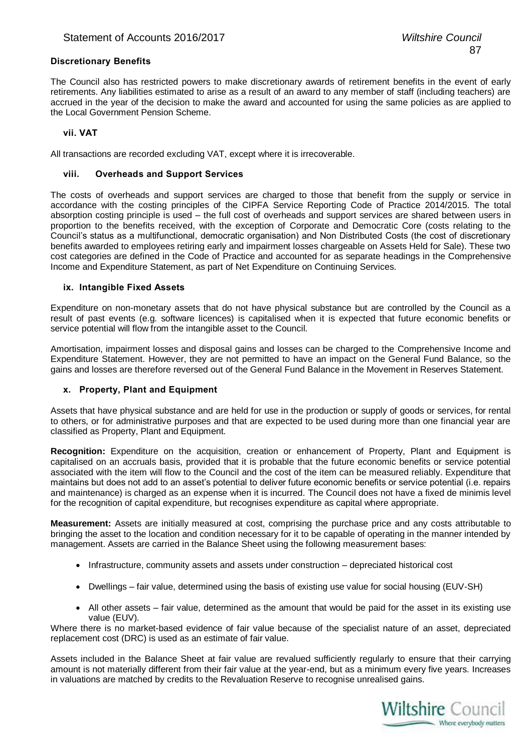#### **Discretionary Benefits**

The Council also has restricted powers to make discretionary awards of retirement benefits in the event of early retirements. Any liabilities estimated to arise as a result of an award to any member of staff (including teachers) are accrued in the year of the decision to make the award and accounted for using the same policies as are applied to the Local Government Pension Scheme.

#### **vii. VAT**

All transactions are recorded excluding VAT, except where it is irrecoverable.

#### **viii. Overheads and Support Services**

The costs of overheads and support services are charged to those that benefit from the supply or service in accordance with the costing principles of the CIPFA Service Reporting Code of Practice 2014/2015. The total absorption costing principle is used – the full cost of overheads and support services are shared between users in proportion to the benefits received, with the exception of Corporate and Democratic Core (costs relating to the Council's status as a multifunctional, democratic organisation) and Non Distributed Costs (the cost of discretionary benefits awarded to employees retiring early and impairment losses chargeable on Assets Held for Sale). These two cost categories are defined in the Code of Practice and accounted for as separate headings in the Comprehensive Income and Expenditure Statement, as part of Net Expenditure on Continuing Services.

#### **ix. Intangible Fixed Assets**

Expenditure on non-monetary assets that do not have physical substance but are controlled by the Council as a result of past events (e.g. software licences) is capitalised when it is expected that future economic benefits or service potential will flow from the intangible asset to the Council.

Amortisation, impairment losses and disposal gains and losses can be charged to the Comprehensive Income and Expenditure Statement. However, they are not permitted to have an impact on the General Fund Balance, so the gains and losses are therefore reversed out of the General Fund Balance in the Movement in Reserves Statement.

#### **x. Property, Plant and Equipment**

Assets that have physical substance and are held for use in the production or supply of goods or services, for rental to others, or for administrative purposes and that are expected to be used during more than one financial year are classified as Property, Plant and Equipment.

**Recognition:** Expenditure on the acquisition, creation or enhancement of Property, Plant and Equipment is capitalised on an accruals basis, provided that it is probable that the future economic benefits or service potential associated with the item will flow to the Council and the cost of the item can be measured reliably. Expenditure that maintains but does not add to an asset's potential to deliver future economic benefits or service potential (i.e. repairs and maintenance) is charged as an expense when it is incurred. The Council does not have a fixed de minimis level for the recognition of capital expenditure, but recognises expenditure as capital where appropriate.

**Measurement:** Assets are initially measured at cost, comprising the purchase price and any costs attributable to bringing the asset to the location and condition necessary for it to be capable of operating in the manner intended by management. Assets are carried in the Balance Sheet using the following measurement bases:

- Infrastructure, community assets and assets under construction depreciated historical cost
- Dwellings fair value, determined using the basis of existing use value for social housing (EUV-SH)
- All other assets fair value, determined as the amount that would be paid for the asset in its existing use value (EUV).

Where there is no market-based evidence of fair value because of the specialist nature of an asset, depreciated replacement cost (DRC) is used as an estimate of fair value.

Assets included in the Balance Sheet at fair value are revalued sufficiently regularly to ensure that their carrying amount is not materially different from their fair value at the year-end, but as a minimum every five years. Increases in valuations are matched by credits to the Revaluation Reserve to recognise unrealised gains.

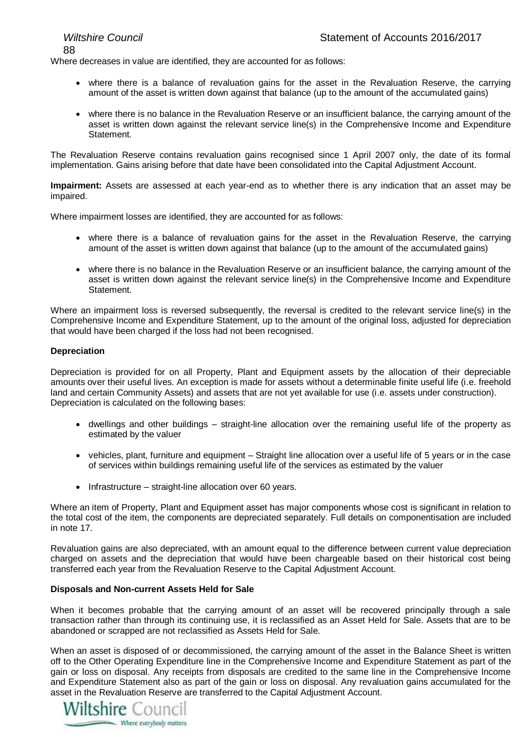88

Where decreases in value are identified, they are accounted for as follows:

- where there is a balance of revaluation gains for the asset in the Revaluation Reserve, the carrying amount of the asset is written down against that balance (up to the amount of the accumulated gains)
- where there is no balance in the Revaluation Reserve or an insufficient balance, the carrying amount of the asset is written down against the relevant service line(s) in the Comprehensive Income and Expenditure Statement.

The Revaluation Reserve contains revaluation gains recognised since 1 April 2007 only, the date of its formal implementation. Gains arising before that date have been consolidated into the Capital Adjustment Account.

**Impairment:** Assets are assessed at each year-end as to whether there is any indication that an asset may be impaired.

Where impairment losses are identified, they are accounted for as follows:

- where there is a balance of revaluation gains for the asset in the Revaluation Reserve, the carrying amount of the asset is written down against that balance (up to the amount of the accumulated gains)
- where there is no balance in the Revaluation Reserve or an insufficient balance, the carrying amount of the asset is written down against the relevant service line(s) in the Comprehensive Income and Expenditure Statement.

Where an impairment loss is reversed subsequently, the reversal is credited to the relevant service line(s) in the Comprehensive Income and Expenditure Statement, up to the amount of the original loss, adjusted for depreciation that would have been charged if the loss had not been recognised.

#### **Depreciation**

Depreciation is provided for on all Property, Plant and Equipment assets by the allocation of their depreciable amounts over their useful lives. An exception is made for assets without a determinable finite useful life (i.e. freehold land and certain Community Assets) and assets that are not yet available for use (i.e. assets under construction). Depreciation is calculated on the following bases:

- dwellings and other buildings straight-line allocation over the remaining useful life of the property as estimated by the valuer
- vehicles, plant, furniture and equipment Straight line allocation over a useful life of 5 years or in the case of services within buildings remaining useful life of the services as estimated by the valuer
- Infrastructure straight-line allocation over 60 years.

Where an item of Property, Plant and Equipment asset has major components whose cost is significant in relation to the total cost of the item, the components are depreciated separately. Full details on componentisation are included in note 17.

Revaluation gains are also depreciated, with an amount equal to the difference between current value depreciation charged on assets and the depreciation that would have been chargeable based on their historical cost being transferred each year from the Revaluation Reserve to the Capital Adjustment Account.

#### **Disposals and Non-current Assets Held for Sale**

When it becomes probable that the carrying amount of an asset will be recovered principally through a sale transaction rather than through its continuing use, it is reclassified as an Asset Held for Sale. Assets that are to be abandoned or scrapped are not reclassified as Assets Held for Sale.

When an asset is disposed of or decommissioned, the carrying amount of the asset in the Balance Sheet is written off to the Other Operating Expenditure line in the Comprehensive Income and Expenditure Statement as part of the gain or loss on disposal. Any receipts from disposals are credited to the same line in the Comprehensive Income and Expenditure Statement also as part of the gain or loss on disposal. Any revaluation gains accumulated for the asset in the Revaluation Reserve are transferred to the Capital Adjustment Account.

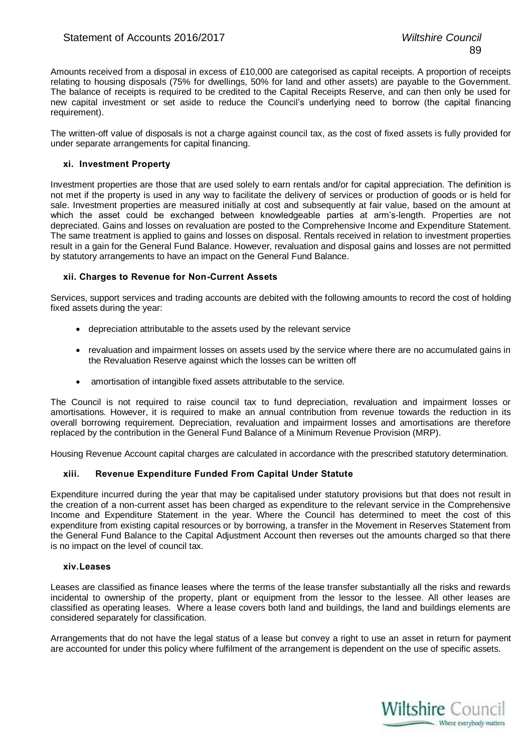Amounts received from a disposal in excess of £10,000 are categorised as capital receipts. A proportion of receipts relating to housing disposals (75% for dwellings, 50% for land and other assets) are payable to the Government. The balance of receipts is required to be credited to the Capital Receipts Reserve, and can then only be used for new capital investment or set aside to reduce the Council's underlying need to borrow (the capital financing requirement).

The written-off value of disposals is not a charge against council tax, as the cost of fixed assets is fully provided for under separate arrangements for capital financing.

#### **xi. Investment Property**

Investment properties are those that are used solely to earn rentals and/or for capital appreciation. The definition is not met if the property is used in any way to facilitate the delivery of services or production of goods or is held for sale. Investment properties are measured initially at cost and subsequently at fair value, based on the amount at which the asset could be exchanged between knowledgeable parties at arm's-length. Properties are not depreciated. Gains and losses on revaluation are posted to the Comprehensive Income and Expenditure Statement. The same treatment is applied to gains and losses on disposal. Rentals received in relation to investment properties result in a gain for the General Fund Balance. However, revaluation and disposal gains and losses are not permitted by statutory arrangements to have an impact on the General Fund Balance.

#### **xii. Charges to Revenue for Non-Current Assets**

Services, support services and trading accounts are debited with the following amounts to record the cost of holding fixed assets during the year:

- depreciation attributable to the assets used by the relevant service
- revaluation and impairment losses on assets used by the service where there are no accumulated gains in the Revaluation Reserve against which the losses can be written off
- amortisation of intangible fixed assets attributable to the service.

The Council is not required to raise council tax to fund depreciation, revaluation and impairment losses or amortisations. However, it is required to make an annual contribution from revenue towards the reduction in its overall borrowing requirement. Depreciation, revaluation and impairment losses and amortisations are therefore replaced by the contribution in the General Fund Balance of a Minimum Revenue Provision (MRP).

Housing Revenue Account capital charges are calculated in accordance with the prescribed statutory determination.

#### **xiii. Revenue Expenditure Funded From Capital Under Statute**

Expenditure incurred during the year that may be capitalised under statutory provisions but that does not result in the creation of a non-current asset has been charged as expenditure to the relevant service in the Comprehensive Income and Expenditure Statement in the year. Where the Council has determined to meet the cost of this expenditure from existing capital resources or by borrowing, a transfer in the Movement in Reserves Statement from the General Fund Balance to the Capital Adjustment Account then reverses out the amounts charged so that there is no impact on the level of council tax.

#### **xiv.Leases**

Leases are classified as finance leases where the terms of the lease transfer substantially all the risks and rewards incidental to ownership of the property, plant or equipment from the lessor to the lessee. All other leases are classified as operating leases. Where a lease covers both land and buildings, the land and buildings elements are considered separately for classification.

Arrangements that do not have the legal status of a lease but convey a right to use an asset in return for payment are accounted for under this policy where fulfilment of the arrangement is dependent on the use of specific assets.

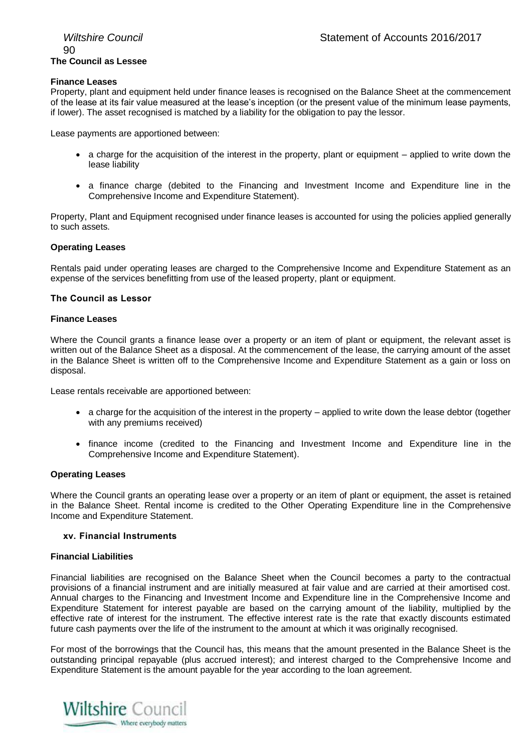#### **Finance Leases**

Property, plant and equipment held under finance leases is recognised on the Balance Sheet at the commencement of the lease at its fair value measured at the lease's inception (or the present value of the minimum lease payments, if lower). The asset recognised is matched by a liability for the obligation to pay the lessor.

Lease payments are apportioned between:

- $\bullet$  a charge for the acquisition of the interest in the property, plant or equipment applied to write down the lease liability
- a finance charge (debited to the Financing and Investment Income and Expenditure line in the Comprehensive Income and Expenditure Statement).

Property, Plant and Equipment recognised under finance leases is accounted for using the policies applied generally to such assets.

#### **Operating Leases**

Rentals paid under operating leases are charged to the Comprehensive Income and Expenditure Statement as an expense of the services benefitting from use of the leased property, plant or equipment.

#### **The Council as Lessor**

#### **Finance Leases**

Where the Council grants a finance lease over a property or an item of plant or equipment, the relevant asset is written out of the Balance Sheet as a disposal. At the commencement of the lease, the carrying amount of the asset in the Balance Sheet is written off to the Comprehensive Income and Expenditure Statement as a gain or loss on disposal.

Lease rentals receivable are apportioned between:

- a charge for the acquisition of the interest in the property applied to write down the lease debtor (together with any premiums received)
- finance income (credited to the Financing and Investment Income and Expenditure line in the Comprehensive Income and Expenditure Statement).

#### **Operating Leases**

Where the Council grants an operating lease over a property or an item of plant or equipment, the asset is retained in the Balance Sheet. Rental income is credited to the Other Operating Expenditure line in the Comprehensive Income and Expenditure Statement.

#### **xv. Financial Instruments**

#### **Financial Liabilities**

Financial liabilities are recognised on the Balance Sheet when the Council becomes a party to the contractual provisions of a financial instrument and are initially measured at fair value and are carried at their amortised cost. Annual charges to the Financing and Investment Income and Expenditure line in the Comprehensive Income and Expenditure Statement for interest payable are based on the carrying amount of the liability, multiplied by the effective rate of interest for the instrument. The effective interest rate is the rate that exactly discounts estimated future cash payments over the life of the instrument to the amount at which it was originally recognised.

For most of the borrowings that the Council has, this means that the amount presented in the Balance Sheet is the outstanding principal repayable (plus accrued interest); and interest charged to the Comprehensive Income and Expenditure Statement is the amount payable for the year according to the loan agreement.

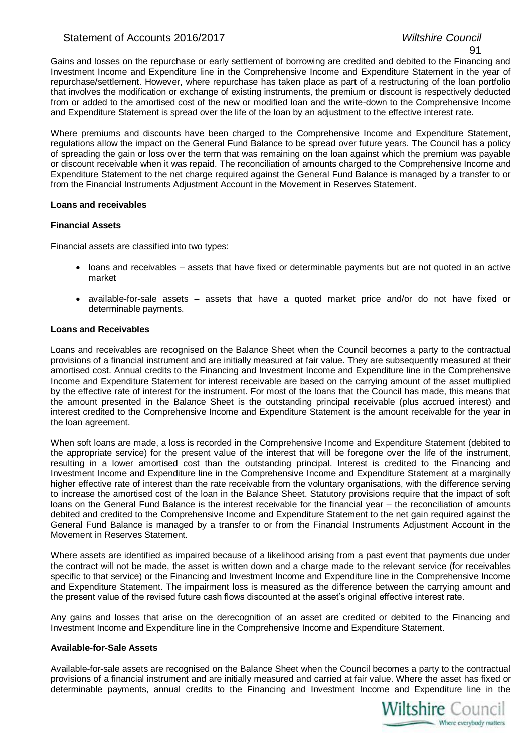### Statement of Accounts 2016/2017 *Wiltshire Council*

#### 91

Gains and losses on the repurchase or early settlement of borrowing are credited and debited to the Financing and Investment Income and Expenditure line in the Comprehensive Income and Expenditure Statement in the year of repurchase/settlement. However, where repurchase has taken place as part of a restructuring of the loan portfolio that involves the modification or exchange of existing instruments, the premium or discount is respectively deducted from or added to the amortised cost of the new or modified loan and the write-down to the Comprehensive Income and Expenditure Statement is spread over the life of the loan by an adjustment to the effective interest rate.

Where premiums and discounts have been charged to the Comprehensive Income and Expenditure Statement, regulations allow the impact on the General Fund Balance to be spread over future years. The Council has a policy of spreading the gain or loss over the term that was remaining on the loan against which the premium was payable or discount receivable when it was repaid. The reconciliation of amounts charged to the Comprehensive Income and Expenditure Statement to the net charge required against the General Fund Balance is managed by a transfer to or from the Financial Instruments Adjustment Account in the Movement in Reserves Statement.

#### **Loans and receivables**

#### **Financial Assets**

Financial assets are classified into two types:

- loans and receivables assets that have fixed or determinable payments but are not quoted in an active market
- available-for-sale assets assets that have a quoted market price and/or do not have fixed or determinable payments.

#### **Loans and Receivables**

Loans and receivables are recognised on the Balance Sheet when the Council becomes a party to the contractual provisions of a financial instrument and are initially measured at fair value. They are subsequently measured at their amortised cost. Annual credits to the Financing and Investment Income and Expenditure line in the Comprehensive Income and Expenditure Statement for interest receivable are based on the carrying amount of the asset multiplied by the effective rate of interest for the instrument. For most of the loans that the Council has made, this means that the amount presented in the Balance Sheet is the outstanding principal receivable (plus accrued interest) and interest credited to the Comprehensive Income and Expenditure Statement is the amount receivable for the year in the loan agreement.

When soft loans are made, a loss is recorded in the Comprehensive Income and Expenditure Statement (debited to the appropriate service) for the present value of the interest that will be foregone over the life of the instrument, resulting in a lower amortised cost than the outstanding principal. Interest is credited to the Financing and Investment Income and Expenditure line in the Comprehensive Income and Expenditure Statement at a marginally higher effective rate of interest than the rate receivable from the voluntary organisations, with the difference serving to increase the amortised cost of the loan in the Balance Sheet. Statutory provisions require that the impact of soft loans on the General Fund Balance is the interest receivable for the financial year – the reconciliation of amounts debited and credited to the Comprehensive Income and Expenditure Statement to the net gain required against the General Fund Balance is managed by a transfer to or from the Financial Instruments Adjustment Account in the Movement in Reserves Statement.

Where assets are identified as impaired because of a likelihood arising from a past event that payments due under the contract will not be made, the asset is written down and a charge made to the relevant service (for receivables specific to that service) or the Financing and Investment Income and Expenditure line in the Comprehensive Income and Expenditure Statement. The impairment loss is measured as the difference between the carrying amount and the present value of the revised future cash flows discounted at the asset's original effective interest rate.

Any gains and losses that arise on the derecognition of an asset are credited or debited to the Financing and Investment Income and Expenditure line in the Comprehensive Income and Expenditure Statement.

#### **Available-for-Sale Assets**

Available-for-sale assets are recognised on the Balance Sheet when the Council becomes a party to the contractual provisions of a financial instrument and are initially measured and carried at fair value. Where the asset has fixed or determinable payments, annual credits to the Financing and Investment Income and Expenditure line in the

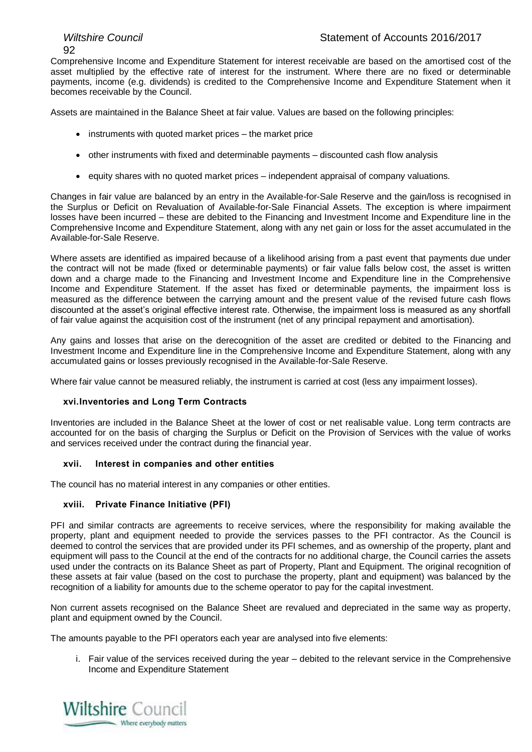# 92

Comprehensive Income and Expenditure Statement for interest receivable are based on the amortised cost of the asset multiplied by the effective rate of interest for the instrument. Where there are no fixed or determinable payments, income (e.g. dividends) is credited to the Comprehensive Income and Expenditure Statement when it becomes receivable by the Council.

Assets are maintained in the Balance Sheet at fair value. Values are based on the following principles:

- instruments with quoted market prices the market price
- $\bullet$  other instruments with fixed and determinable payments discounted cash flow analysis
- equity shares with no quoted market prices independent appraisal of company valuations.

Changes in fair value are balanced by an entry in the Available-for-Sale Reserve and the gain/loss is recognised in the Surplus or Deficit on Revaluation of Available-for-Sale Financial Assets. The exception is where impairment losses have been incurred – these are debited to the Financing and Investment Income and Expenditure line in the Comprehensive Income and Expenditure Statement, along with any net gain or loss for the asset accumulated in the Available-for-Sale Reserve.

Where assets are identified as impaired because of a likelihood arising from a past event that payments due under the contract will not be made (fixed or determinable payments) or fair value falls below cost, the asset is written down and a charge made to the Financing and Investment Income and Expenditure line in the Comprehensive Income and Expenditure Statement. If the asset has fixed or determinable payments, the impairment loss is measured as the difference between the carrying amount and the present value of the revised future cash flows discounted at the asset's original effective interest rate. Otherwise, the impairment loss is measured as any shortfall of fair value against the acquisition cost of the instrument (net of any principal repayment and amortisation).

Any gains and losses that arise on the derecognition of the asset are credited or debited to the Financing and Investment Income and Expenditure line in the Comprehensive Income and Expenditure Statement, along with any accumulated gains or losses previously recognised in the Available-for-Sale Reserve.

Where fair value cannot be measured reliably, the instrument is carried at cost (less any impairment losses).

#### **xvi.Inventories and Long Term Contracts**

Inventories are included in the Balance Sheet at the lower of cost or net realisable value. Long term contracts are accounted for on the basis of charging the Surplus or Deficit on the Provision of Services with the value of works and services received under the contract during the financial year.

#### **xvii. Interest in companies and other entities**

The council has no material interest in any companies or other entities.

#### **xviii. Private Finance Initiative (PFI)**

PFI and similar contracts are agreements to receive services, where the responsibility for making available the property, plant and equipment needed to provide the services passes to the PFI contractor. As the Council is deemed to control the services that are provided under its PFI schemes, and as ownership of the property, plant and equipment will pass to the Council at the end of the contracts for no additional charge, the Council carries the assets used under the contracts on its Balance Sheet as part of Property, Plant and Equipment. The original recognition of these assets at fair value (based on the cost to purchase the property, plant and equipment) was balanced by the recognition of a liability for amounts due to the scheme operator to pay for the capital investment.

Non current assets recognised on the Balance Sheet are revalued and depreciated in the same way as property, plant and equipment owned by the Council.

The amounts payable to the PFI operators each year are analysed into five elements:

i. Fair value of the services received during the year – debited to the relevant service in the Comprehensive Income and Expenditure Statement

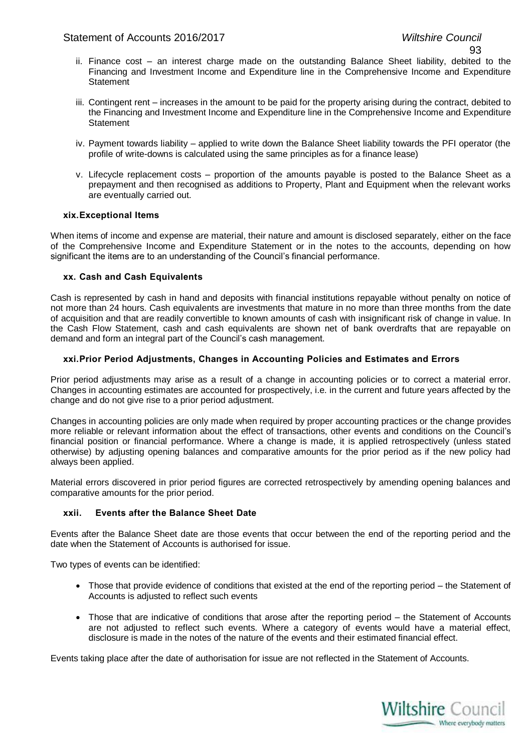- ii. Finance cost an interest charge made on the outstanding Balance Sheet liability, debited to the Financing and Investment Income and Expenditure line in the Comprehensive Income and Expenditure **Statement**
- iii. Contingent rent increases in the amount to be paid for the property arising during the contract, debited to the Financing and Investment Income and Expenditure line in the Comprehensive Income and Expenditure **Statement**
- iv. Payment towards liability applied to write down the Balance Sheet liability towards the PFI operator (the profile of write-downs is calculated using the same principles as for a finance lease)
- v. Lifecycle replacement costs proportion of the amounts payable is posted to the Balance Sheet as a prepayment and then recognised as additions to Property, Plant and Equipment when the relevant works are eventually carried out.

#### **xix.Exceptional Items**

When items of income and expense are material, their nature and amount is disclosed separately, either on the face of the Comprehensive Income and Expenditure Statement or in the notes to the accounts, depending on how significant the items are to an understanding of the Council's financial performance.

#### **xx. Cash and Cash Equivalents**

Cash is represented by cash in hand and deposits with financial institutions repayable without penalty on notice of not more than 24 hours. Cash equivalents are investments that mature in no more than three months from the date of acquisition and that are readily convertible to known amounts of cash with insignificant risk of change in value. In the Cash Flow Statement, cash and cash equivalents are shown net of bank overdrafts that are repayable on demand and form an integral part of the Council's cash management.

#### **xxi.Prior Period Adjustments, Changes in Accounting Policies and Estimates and Errors**

Prior period adjustments may arise as a result of a change in accounting policies or to correct a material error. Changes in accounting estimates are accounted for prospectively, i.e. in the current and future years affected by the change and do not give rise to a prior period adjustment.

Changes in accounting policies are only made when required by proper accounting practices or the change provides more reliable or relevant information about the effect of transactions, other events and conditions on the Council's financial position or financial performance. Where a change is made, it is applied retrospectively (unless stated otherwise) by adjusting opening balances and comparative amounts for the prior period as if the new policy had always been applied.

Material errors discovered in prior period figures are corrected retrospectively by amending opening balances and comparative amounts for the prior period.

#### **xxii. Events after the Balance Sheet Date**

Events after the Balance Sheet date are those events that occur between the end of the reporting period and the date when the Statement of Accounts is authorised for issue.

Two types of events can be identified:

- Those that provide evidence of conditions that existed at the end of the reporting period the Statement of Accounts is adjusted to reflect such events
- Those that are indicative of conditions that arose after the reporting period the Statement of Accounts are not adjusted to reflect such events. Where a category of events would have a material effect, disclosure is made in the notes of the nature of the events and their estimated financial effect.

Events taking place after the date of authorisation for issue are not reflected in the Statement of Accounts.

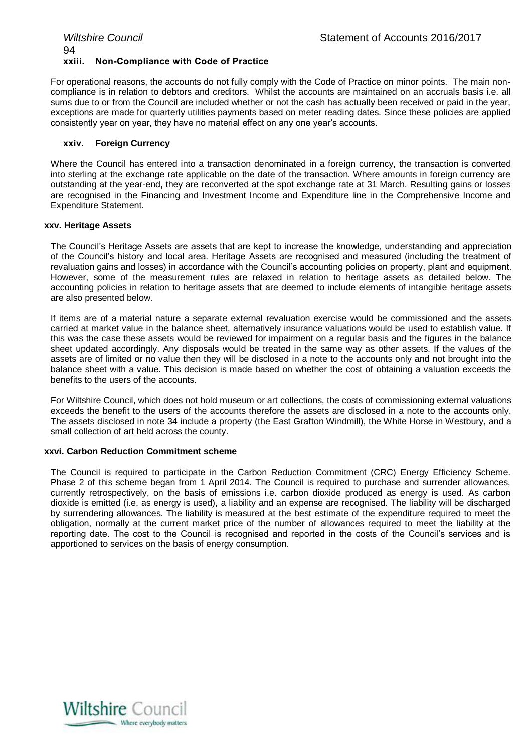#### *Wiltshire Council* Statement of Accounts 2016/2017 94 **xxiii. Non-Compliance with Code of Practice**

For operational reasons, the accounts do not fully comply with the Code of Practice on minor points. The main noncompliance is in relation to debtors and creditors. Whilst the accounts are maintained on an accruals basis i.e. all sums due to or from the Council are included whether or not the cash has actually been received or paid in the year, exceptions are made for quarterly utilities payments based on meter reading dates. Since these policies are applied consistently year on year, they have no material effect on any one year's accounts.

#### **xxiv. Foreign Currency**

Where the Council has entered into a transaction denominated in a foreign currency, the transaction is converted into sterling at the exchange rate applicable on the date of the transaction. Where amounts in foreign currency are outstanding at the year-end, they are reconverted at the spot exchange rate at 31 March. Resulting gains or losses are recognised in the Financing and Investment Income and Expenditure line in the Comprehensive Income and Expenditure Statement.

#### **xxv. Heritage Assets**

The Council's Heritage Assets are assets that are kept to increase the knowledge, understanding and appreciation of the Council's history and local area. Heritage Assets are recognised and measured (including the treatment of revaluation gains and losses) in accordance with the Council's accounting policies on property, plant and equipment. However, some of the measurement rules are relaxed in relation to heritage assets as detailed below. The accounting policies in relation to heritage assets that are deemed to include elements of intangible heritage assets are also presented below.

If items are of a material nature a separate external revaluation exercise would be commissioned and the assets carried at market value in the balance sheet, alternatively insurance valuations would be used to establish value. If this was the case these assets would be reviewed for impairment on a regular basis and the figures in the balance sheet updated accordingly. Any disposals would be treated in the same way as other assets. If the values of the assets are of limited or no value then they will be disclosed in a note to the accounts only and not brought into the balance sheet with a value. This decision is made based on whether the cost of obtaining a valuation exceeds the benefits to the users of the accounts.

For Wiltshire Council, which does not hold museum or art collections, the costs of commissioning external valuations exceeds the benefit to the users of the accounts therefore the assets are disclosed in a note to the accounts only. The assets disclosed in note 34 include a property (the East Grafton Windmill), the White Horse in Westbury, and a small collection of art held across the county.

#### **xxvi. Carbon Reduction Commitment scheme**

The Council is required to participate in the Carbon Reduction Commitment (CRC) Energy Efficiency Scheme. Phase 2 of this scheme began from 1 April 2014. The Council is required to purchase and surrender allowances, currently retrospectively, on the basis of emissions i.e. carbon dioxide produced as energy is used. As carbon dioxide is emitted (i.e. as energy is used), a liability and an expense are recognised. The liability will be discharged by surrendering allowances. The liability is measured at the best estimate of the expenditure required to meet the obligation, normally at the current market price of the number of allowances required to meet the liability at the reporting date. The cost to the Council is recognised and reported in the costs of the Council's services and is apportioned to services on the basis of energy consumption.

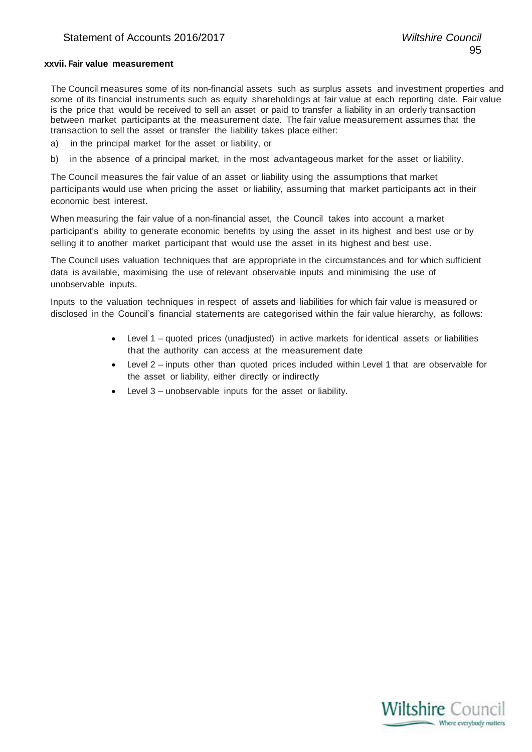# **xxvii. Fair value measurement**

The Council measures some of its non-financial assets such as surplus assets and investment properties and some of its financial instruments such as equity shareholdings at fair value at each reporting date. Fair value is the price that would be received to sell an asset or paid to transfer a liability in an orderly transaction between market participants at the measurement date. The fair value measurement assumes that the transaction to sell the asset or transfer the liability takes place either:

- a) in the principal market for the asset or liability, or
- b) in the absence of a principal market, in the most advantageous market for the asset or liability.

The Council measures the fair value of an asset or liability using the assumptions that market participants would use when pricing the asset or liability, assuming that market participants act in their economic best interest.

When measuring the fair value of a non-financial asset, the Council takes into account a market participant's ability to generate economic benefits by using the asset in its highest and best use or by selling it to another market participant that would use the asset in its highest and best use.

The Council uses valuation techniques that are appropriate in the circumstances and for which sufficient data is available, maximising the use of relevant observable inputs and minimising the use of unobservable inputs.

Inputs to the valuation techniques in respect of assets and liabilities for which fair value is measured or disclosed in the Council's financial statements are categorised within the fair value hierarchy, as follows:

- Level 1 quoted prices (unadjusted) in active markets for identical assets or liabilities that the authority can access at the measurement date
- Level 2 inputs other than quoted prices included within Level 1 that are observable for the asset or liability, either directly or indirectly
- Level 3 unobservable inputs for the asset or liability.

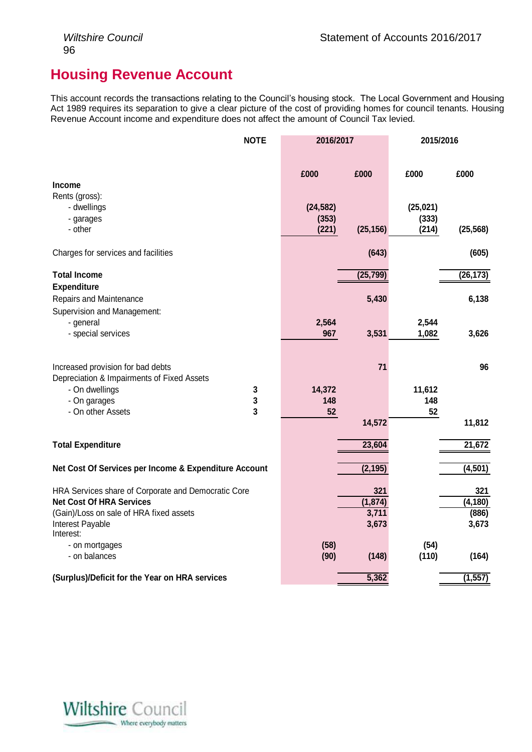# **Housing Revenue Account**

This account records the transactions relating to the Council's housing stock. The Local Government and Housing Act 1989 requires its separation to give a clear picture of the cost of providing homes for council tenants. Housing Revenue Account income and expenditure does not affect the amount of Council Tax levied.

|                                                       | <b>NOTE</b> | 2016/2017 |           | 2015/2016 |           |
|-------------------------------------------------------|-------------|-----------|-----------|-----------|-----------|
|                                                       |             | £000      | £000      | £000      | £000      |
| <b>Income</b>                                         |             |           |           |           |           |
| Rents (gross):                                        |             |           |           |           |           |
| - dwellings                                           |             | (24, 582) |           | (25, 021) |           |
| - garages                                             |             | (353)     |           | (333)     |           |
| - other                                               |             | (221)     | (25, 156) | (214)     | (25, 568) |
| Charges for services and facilities                   |             |           | (643)     |           | (605)     |
| <b>Total Income</b>                                   |             |           | (25, 799) |           | (26, 173) |
| <b>Expenditure</b>                                    |             |           |           |           |           |
| Repairs and Maintenance                               |             |           | 5,430     |           | 6,138     |
| Supervision and Management:                           |             |           |           |           |           |
| - general                                             |             | 2,564     |           | 2,544     |           |
| - special services                                    |             | 967       | 3,531     | 1,082     | 3,626     |
|                                                       |             |           |           |           |           |
| Increased provision for bad debts                     |             |           | 71        |           | 96        |
| Depreciation & Impairments of Fixed Assets            |             |           |           |           |           |
| - On dwellings                                        | 3           | 14,372    |           | 11,612    |           |
| - On garages                                          | 3           | 148       |           | 148       |           |
| - On other Assets                                     | 3           | 52        |           | 52        |           |
|                                                       |             |           | 14,572    |           | 11,812    |
| <b>Total Expenditure</b>                              |             |           | 23,604    |           | 21,672    |
|                                                       |             |           |           |           |           |
| Net Cost Of Services per Income & Expenditure Account |             |           | (2, 195)  |           | (4, 501)  |
| HRA Services share of Corporate and Democratic Core   |             |           | 321       |           | 321       |
| <b>Net Cost Of HRA Services</b>                       |             |           | (1, 874)  |           | (4, 180)  |
| (Gain)/Loss on sale of HRA fixed assets               |             |           | 3,711     |           | (886)     |
| Interest Payable                                      |             |           | 3,673     |           | 3,673     |
| Interest:                                             |             |           |           |           |           |
| - on mortgages                                        |             | (58)      |           | (54)      |           |
| - on balances                                         |             | (90)      | (148)     | (110)     | (164)     |
| (Surplus)/Deficit for the Year on HRA services        |             |           | 5,362     |           | (1, 557)  |

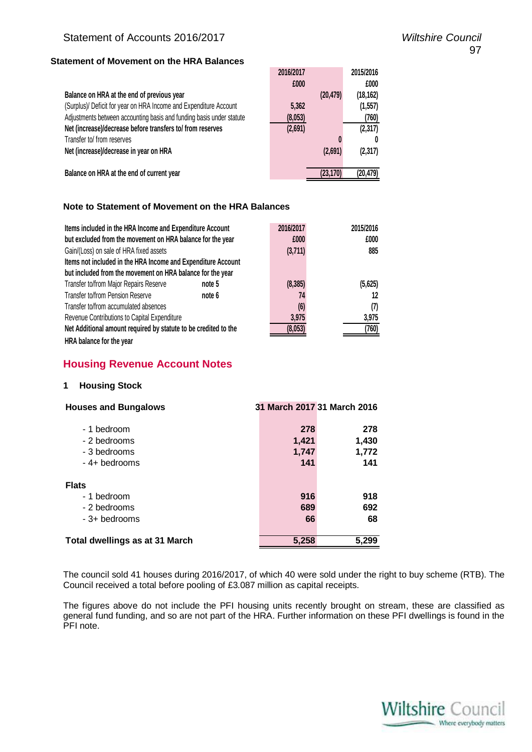# **Statement of Movement on the HRA Balances**

|                                                                      | 2016/2017<br>£000 |           | 2015/2016<br>£000 |
|----------------------------------------------------------------------|-------------------|-----------|-------------------|
| Balance on HRA at the end of previous year                           |                   | (20, 479) | (18, 162)         |
| (Surplus)/ Deficit for year on HRA Income and Expenditure Account    | 5,362             |           | (1, 557)          |
| Adjustments between accounting basis and funding basis under statute | (8,053)           |           | (760)             |
| Net (increase)/decrease before transfers to/ from reserves           | (2,691)           |           | (2, 317)          |
| Transfer to/ from reserves                                           |                   |           |                   |
| Net (increase)/decrease in year on HRA                               |                   | (2,691)   | (2, 317)          |
|                                                                      |                   |           |                   |
| Balance on HRA at the end of current year                            |                   | (23, 170) | (20, 479)         |

# **Note to Statement of Movement on the HRA Balances**

| Items included in the HRA Income and Expenditure Account        |        |          | 2015/2016 |  |  |
|-----------------------------------------------------------------|--------|----------|-----------|--|--|
| but excluded from the movement on HRA balance for the year      |        | £000     | £000      |  |  |
| Gain/(Loss) on sale of HRA fixed assets                         |        | (3,711)  | 885       |  |  |
| Items not included in the HRA Income and Expenditure Account    |        |          |           |  |  |
| but included from the movement on HRA balance for the year      |        |          |           |  |  |
| Transfer to/from Major Repairs Reserve                          | note 5 | (8, 385) | (5,625)   |  |  |
| Transfer to/from Pension Reserve                                | note 6 | 74       | 12        |  |  |
| Transfer to/from accumulated absences                           | (6)    | (7)      |           |  |  |
| Revenue Contributions to Capital Expenditure                    | 3,975  | 3,975    |           |  |  |
| Net Additional amount required by statute to be credited to the |        | (8.053)  | (760)     |  |  |
| HRA balance for the year                                        |        |          |           |  |  |

# **Housing Revenue Account Notes**

# **1 Housing Stock**

| <b>Houses and Bungalows</b>    |       | 31 March 2017 31 March 2016 |
|--------------------------------|-------|-----------------------------|
| - 1 bedroom                    | 278   | 278                         |
| - 2 bedrooms                   | 1,421 | 1,430                       |
| - 3 bedrooms                   | 1,747 | 1,772                       |
| - 4+ bedrooms                  | 141   | 141                         |
| <b>Flats</b>                   |       |                             |
| - 1 bedroom                    | 916   | 918                         |
| - 2 bedrooms                   | 689   | 692                         |
| - 3+ bedrooms                  | 66    | 68                          |
| Total dwellings as at 31 March | 5,258 | 5,299                       |

The council sold 41 houses during 2016/2017, of which 40 were sold under the right to buy scheme (RTB). The Council received a total before pooling of £3.087 million as capital receipts.

The figures above do not include the PFI housing units recently brought on stream, these are classified as general fund funding, and so are not part of the HRA. Further information on these PFI dwellings is found in the PFI note.

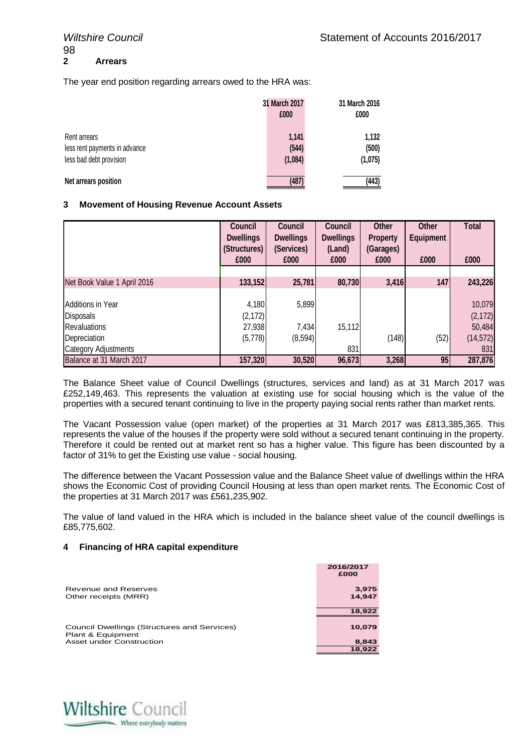The year end position regarding arrears owed to the HRA was:

|                                                                          | 31 March 2017<br>£000     | 31 March 2016<br>£000     |
|--------------------------------------------------------------------------|---------------------------|---------------------------|
| Rent arrears<br>less rent payments in advance<br>less bad debt provision | 1,141<br>(544)<br>(1,084) | 1,132<br>(500)<br>(1,075) |
| Net arrears position                                                     | (487)                     | (443)                     |

# **3 Movement of Housing Revenue Account Assets**

|                             | Council          | Council          | Council          | <b>Other</b>    | Other            | <b>Total</b> |
|-----------------------------|------------------|------------------|------------------|-----------------|------------------|--------------|
|                             | <b>Dwellings</b> | <b>Dwellings</b> | <b>Dwellings</b> | <b>Property</b> | <b>Equipment</b> |              |
|                             | (Structures)     | (Services)       | (Land)           | (Garages)       |                  |              |
|                             | £000             | £000             | £000             | £000            | £000             | £000         |
|                             |                  |                  |                  |                 |                  |              |
| Net Book Value 1 April 2016 | 133,152          | 25,781           | 80,730           | 3,416           | 147              | 243,226      |
|                             |                  |                  |                  |                 |                  |              |
| <b>Additions in Year</b>    | 4,180            | 5,899            |                  |                 |                  | 10,079       |
| <b>Disposals</b>            | (2, 172)         |                  |                  |                 |                  | (2, 172)     |
| <b>Revaluations</b>         | 27,938           | 7,434            | 15,112           |                 |                  | 50,484       |
| Depreciation                | (5,778)          | (8, 594)         |                  | (148)           | (52)             | (14, 572)    |
| <b>Category Adjustments</b> |                  |                  | 831              |                 |                  | 831          |
| Balance at 31 March 2017    | 157,320          | 30,520           | 96,673           | 3,268           | 95               | 287,876      |

The Balance Sheet value of Council Dwellings (structures, services and land) as at 31 March 2017 was £252,149,463. This represents the valuation at existing use for social housing which is the value of the properties with a secured tenant continuing to live in the property paying social rents rather than market rents.

The Vacant Possession value (open market) of the properties at 31 March 2017 was £813,385,365. This represents the value of the houses if the property were sold without a secured tenant continuing in the property. Therefore it could be rented out at market rent so has a higher value. This figure has been discounted by a factor of 31% to get the Existing use value - social housing.

The difference between the Vacant Possession value and the Balance Sheet value of dwellings within the HRA shows the Economic Cost of providing Council Housing at less than open market rents. The Economic Cost of the properties at 31 March 2017 was £561,235,902.

The value of land valued in the HRA which is included in the balance sheet value of the council dwellings is £85,775,602.

#### **4 Financing of HRA capital expenditure**

|                                                                  | 2016/2017<br>£000 |
|------------------------------------------------------------------|-------------------|
| Revenue and Reserves                                             | 3,975             |
| Other receipts (MRR)                                             | 14,947            |
|                                                                  |                   |
|                                                                  | 18,922            |
| Council Dwellings (Structures and Services)<br>Plant & Equipment | 10,079            |
| Asset under Construction                                         | 8,843             |
|                                                                  | 18.922            |

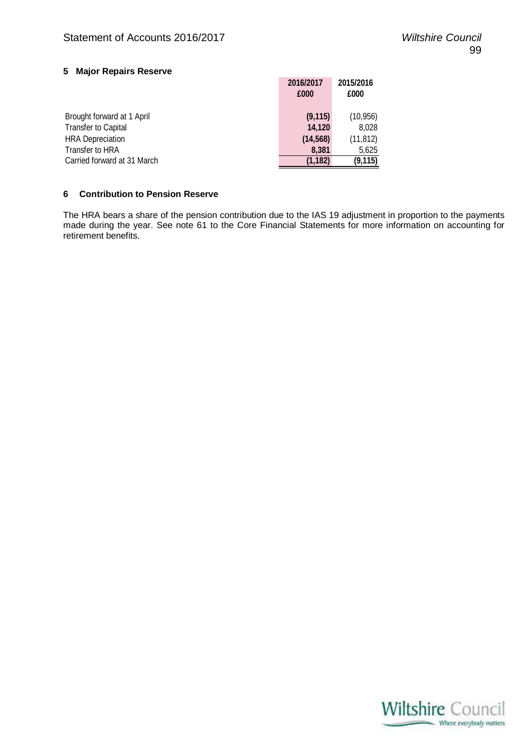# **5 Major Repairs Reserve**

|                             | 2016/2017 | 2015/2016 |
|-----------------------------|-----------|-----------|
|                             | £000      | £000      |
|                             |           |           |
| Brought forward at 1 April  | (9, 115)  | (10, 956) |
| <b>Transfer to Capital</b>  | 14,120    | 8,028     |
| <b>HRA Depreciation</b>     | (14, 568) | (11, 812) |
| Transfer to HRA             | 8.381     | 5,625     |
| Carried forward at 31 March | (1,182)   | (9, 115)  |

# **6 Contribution to Pension Reserve**

The HRA bears a share of the pension contribution due to the IAS 19 adjustment in proportion to the payments made during the year. See note 61 to the Core Financial Statements for more information on accounting for retirement benefits.

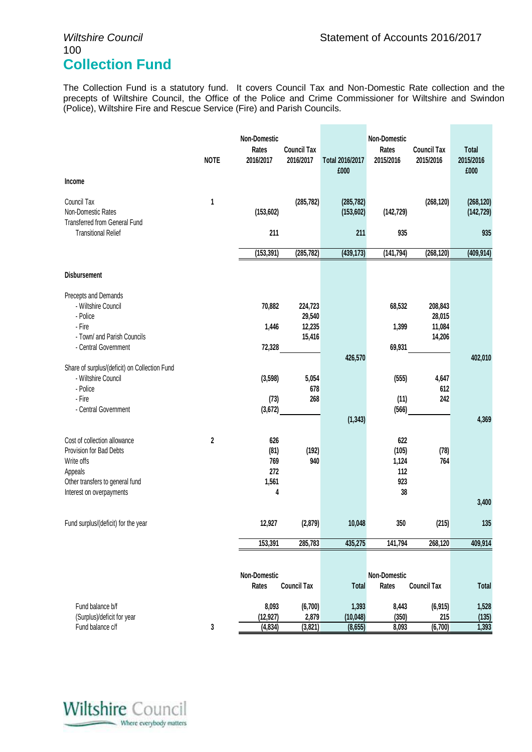# 100 **Collection Fund**

The Collection Fund is a statutory fund. It covers Council Tax and Non-Domestic Rate collection and the precepts of Wiltshire Council, the Office of the Police and Crime Commissioner for Wiltshire and Swindon (Police), Wiltshire Fire and Rescue Service (Fire) and Parish Councils.

| Income                                                               | <b>NOTE</b> | <b>Non-Domestic</b><br>Rates<br>2016/2017 | <b>Council Tax</b><br>2016/2017 | Total 2016/2017<br>£000 | Non-Domestic<br>Rates<br>2015/2016 | <b>Council Tax</b><br>2015/2016 | <b>Total</b><br>2015/2016<br>£000 |
|----------------------------------------------------------------------|-------------|-------------------------------------------|---------------------------------|-------------------------|------------------------------------|---------------------------------|-----------------------------------|
| Council Tax                                                          | 1           |                                           | (285, 782)                      | (285, 782)              |                                    | (268, 120)                      | (268, 120)                        |
| Non-Domestic Rates                                                   |             | (153, 602)                                |                                 | (153, 602)              | (142, 729)                         |                                 | (142, 729)                        |
| Transferred from General Fund<br><b>Transitional Relief</b>          |             | 211                                       |                                 | 211                     | 935                                |                                 | 935                               |
|                                                                      |             | (153, 391)                                | (285, 782)                      | (439, 173)              | (141, 794)                         | (268, 120)                      | (409, 914)                        |
| <b>Disbursement</b>                                                  |             |                                           |                                 |                         |                                    |                                 |                                   |
| Precepts and Demands                                                 |             |                                           |                                 |                         |                                    |                                 |                                   |
| - Wiltshire Council                                                  |             | 70,882                                    | 224,723                         |                         | 68,532                             | 208,843                         |                                   |
| - Police<br>- Fire                                                   |             | 1,446                                     | 29,540                          |                         | 1,399                              | 28,015<br>11,084                |                                   |
| - Town/ and Parish Councils                                          |             |                                           | 12,235<br>15,416                |                         |                                    | 14,206                          |                                   |
| - Central Government                                                 |             | 72,328                                    |                                 |                         | 69,931                             |                                 |                                   |
|                                                                      |             |                                           |                                 | 426,570                 |                                    |                                 | 402,010                           |
| Share of surplus/(deficit) on Collection Fund<br>- Wiltshire Council |             | (3,598)                                   | 5,054                           |                         | (555)                              | 4,647                           |                                   |
| - Police                                                             |             |                                           | 678                             |                         |                                    | 612                             |                                   |
| - Fire                                                               |             | (73)                                      | 268                             |                         | (11)                               | 242                             |                                   |
| - Central Government                                                 |             | (3,672)                                   |                                 | (1, 343)                | (566)                              |                                 | 4,369                             |
|                                                                      |             |                                           |                                 |                         |                                    |                                 |                                   |
| Cost of collection allowance                                         | 2           | 626                                       |                                 |                         | 622                                |                                 |                                   |
| Provision for Bad Debts<br>Write offs                                |             | (81)<br>769                               | (192)<br>940                    |                         | (105)<br>1,124                     | (78)<br>764                     |                                   |
| Appeals                                                              |             | 272                                       |                                 |                         | 112                                |                                 |                                   |
| Other transfers to general fund                                      |             | 1,561                                     |                                 |                         | 923                                |                                 |                                   |
| Interest on overpayments                                             |             | 4                                         |                                 |                         | 38                                 |                                 |                                   |
|                                                                      |             |                                           |                                 |                         |                                    |                                 | 3,400                             |
| Fund surplus/(deficit) for the year                                  |             | 12,927                                    | (2,879)                         | 10,048                  | 350                                | (215)                           | 135                               |
|                                                                      |             | 153,391                                   | 285,783                         | 435,275                 | 141,794                            | 268,120                         | 409,914                           |
|                                                                      |             |                                           |                                 |                         |                                    |                                 |                                   |
|                                                                      |             | Non-Domestic                              |                                 |                         | <b>Non-Domestic</b>                |                                 |                                   |
|                                                                      |             | Rates                                     | <b>Council Tax</b>              | <b>Total</b>            | Rates                              | <b>Council Tax</b>              | <b>Total</b>                      |
| Fund balance b/f                                                     |             | 8,093                                     | (6,700)                         | 1,393                   | 8,443                              | (6, 915)                        | 1,528                             |
| (Surplus)/deficit for year                                           |             | (12, 927)                                 | 2,879                           | (10, 048)               | (350)                              | 215                             | (135)                             |
| Fund balance c/f                                                     | 3           | (4, 834)                                  | (3,821)                         | (8, 655)                | 8,093                              | (6,700)                         | 1,393                             |

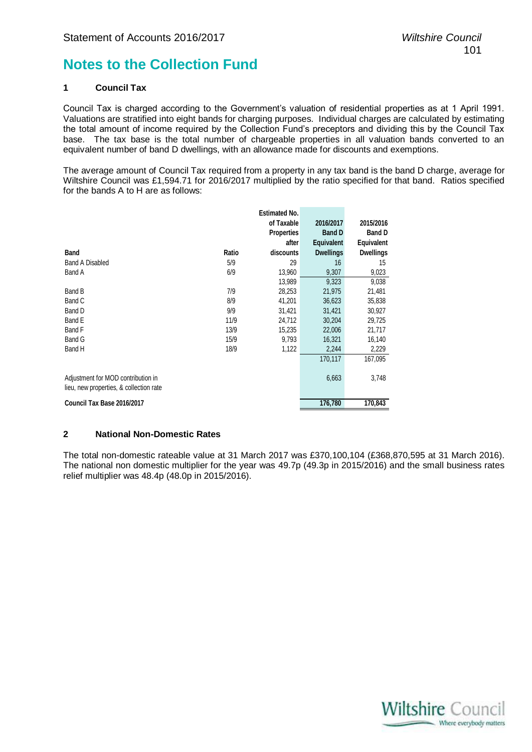# **Notes to the Collection Fund**

# **1 Council Tax**

Council Tax is charged according to the Government's valuation of residential properties as at 1 April 1991. Valuations are stratified into eight bands for charging purposes. Individual charges are calculated by estimating the total amount of income required by the Collection Fund's preceptors and dividing this by the Council Tax base. The tax base is the total number of chargeable properties in all valuation bands converted to an equivalent number of band D dwellings, with an allowance made for discounts and exemptions.

The average amount of Council Tax required from a property in any tax band is the band D charge, average for Wiltshire Council was £1,594.71 for 2016/2017 multiplied by the ratio specified for that band. Ratios specified for the bands A to H are as follows:

|                                                                               |       | <b>Estimated No.</b> |                   |                  |
|-------------------------------------------------------------------------------|-------|----------------------|-------------------|------------------|
|                                                                               |       | of Taxable           | 2016/2017         | 2015/2016        |
|                                                                               |       | <b>Properties</b>    | <b>Band D</b>     | <b>Band D</b>    |
|                                                                               |       | after                | <b>Equivalent</b> | Equivalent       |
| <b>Band</b>                                                                   | Ratio | discounts            | <b>Dwellings</b>  | <b>Dwellings</b> |
| <b>Band A Disabled</b>                                                        | 5/9   | 29                   | 16                | 15               |
| Band A                                                                        | 6/9   | 13,960               | 9,307             | 9,023            |
|                                                                               |       | 13,989               | 9,323             | 9,038            |
| Band B                                                                        | 7/9   | 28,253               | 21,975            | 21,481           |
| Band C                                                                        | 8/9   | 41,201               | 36,623            | 35,838           |
| Band D                                                                        | 9/9   | 31,421               | 31,421            | 30,927           |
| Band E                                                                        | 11/9  | 24,712               | 30,204            | 29,725           |
| Band F                                                                        | 13/9  | 15,235               | 22,006            | 21,717           |
| Band G                                                                        | 15/9  | 9,793                | 16,321            | 16,140           |
| Band H                                                                        | 18/9  | 1,122                | 2,244             | 2,229            |
|                                                                               |       |                      | 170,117           | 167,095          |
| Adjustment for MOD contribution in<br>lieu, new properties, & collection rate |       |                      | 6,663             | 3,748            |
| Council Tax Base 2016/2017                                                    |       |                      | 176,780           | 170,843          |

#### **2 National Non-Domestic Rates**

The total non-domestic rateable value at 31 March 2017 was £370,100,104 (£368,870,595 at 31 March 2016). The national non domestic multiplier for the year was 49.7p (49.3p in 2015/2016) and the small business rates relief multiplier was 48.4p (48.0p in 2015/2016).

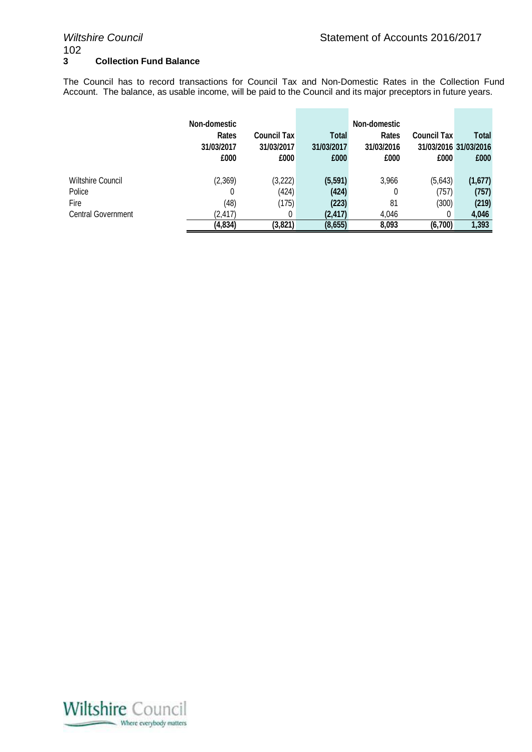**College** 

 $\mathcal{L}_{\mathcal{A}}$ 

# $\frac{102}{3}$ **3 Collection Fund Balance**

The Council has to record transactions for Council Tax and Non-Domestic Rates in the Collection Fund Account. The balance, as usable income, will be paid to the Council and its major preceptors in future years.

**College** 

÷.

|                                                                  | Non-domestic<br>Rates<br>31/03/2017<br>£000 | <b>Council Tax</b><br>31/03/2017<br>£000 | Total<br>31/03/2017<br>£000            | Non-domestic<br>Rates<br>31/03/2016<br>£000 | <b>Council Tax</b><br>£000     | <b>Total</b><br>31/03/2016 31/03/2016<br>£000 |
|------------------------------------------------------------------|---------------------------------------------|------------------------------------------|----------------------------------------|---------------------------------------------|--------------------------------|-----------------------------------------------|
| Wiltshire Council<br>Police<br>Fire<br><b>Central Government</b> | (2,369)<br>0<br>(48)<br>(2, 417)            | (3,222)<br>(424)<br>(175)<br>0           | (5, 591)<br>(424)<br>(223)<br>(2, 417) | 3,966<br>0<br>81<br>4.046                   | (5,643)<br>(757)<br>(300)<br>0 | (1,677)<br>(757)<br>(219)<br>4,046            |
|                                                                  | (4,834)                                     | (3,821)                                  | (8,655)                                | 8,093                                       | (6,700)                        | 1,393                                         |

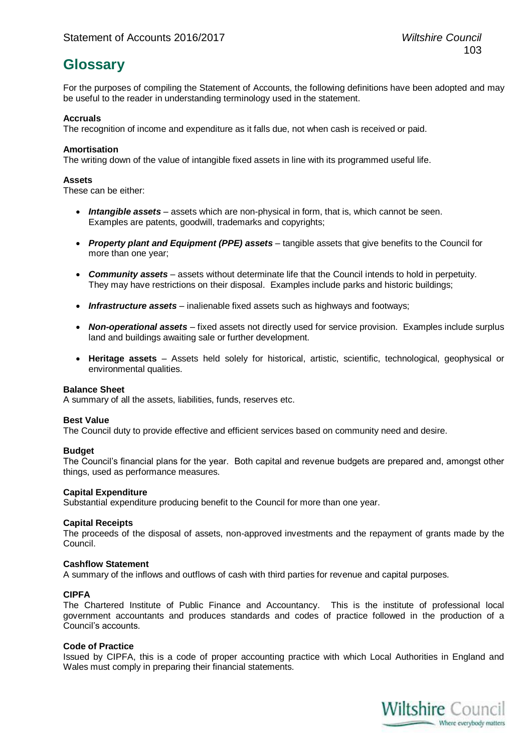# **Glossary**

For the purposes of compiling the Statement of Accounts, the following definitions have been adopted and may be useful to the reader in understanding terminology used in the statement.

# **Accruals**

The recognition of income and expenditure as it falls due, not when cash is received or paid.

# **Amortisation**

The writing down of the value of intangible fixed assets in line with its programmed useful life.

# **Assets**

These can be either:

- *Intangible assets* assets which are non-physical in form, that is, which cannot be seen. Examples are patents, goodwill, trademarks and copyrights;
- *Property plant and Equipment (PPE) assets* tangible assets that give benefits to the Council for more than one year;
- *Community assets* assets without determinate life that the Council intends to hold in perpetuity. They may have restrictions on their disposal. Examples include parks and historic buildings;
- **Infrastructure assets** inalienable fixed assets such as highways and footways;
- *Non-operational assets* fixed assets not directly used for service provision. Examples include surplus land and buildings awaiting sale or further development.
- **Heritage assets** Assets held solely for historical, artistic, scientific, technological, geophysical or environmental qualities.

#### **Balance Sheet**

A summary of all the assets, liabilities, funds, reserves etc.

#### **Best Value**

The Council duty to provide effective and efficient services based on community need and desire.

#### **Budget**

The Council's financial plans for the year. Both capital and revenue budgets are prepared and, amongst other things, used as performance measures.

#### **Capital Expenditure**

Substantial expenditure producing benefit to the Council for more than one year.

# **Capital Receipts**

The proceeds of the disposal of assets, non-approved investments and the repayment of grants made by the Council.

#### **Cashflow Statement**

A summary of the inflows and outflows of cash with third parties for revenue and capital purposes.

#### **CIPFA**

The Chartered Institute of Public Finance and Accountancy. This is the institute of professional local government accountants and produces standards and codes of practice followed in the production of a Council's accounts.

#### **Code of Practice**

Issued by CIPFA, this is a code of proper accounting practice with which Local Authorities in England and Wales must comply in preparing their financial statements.

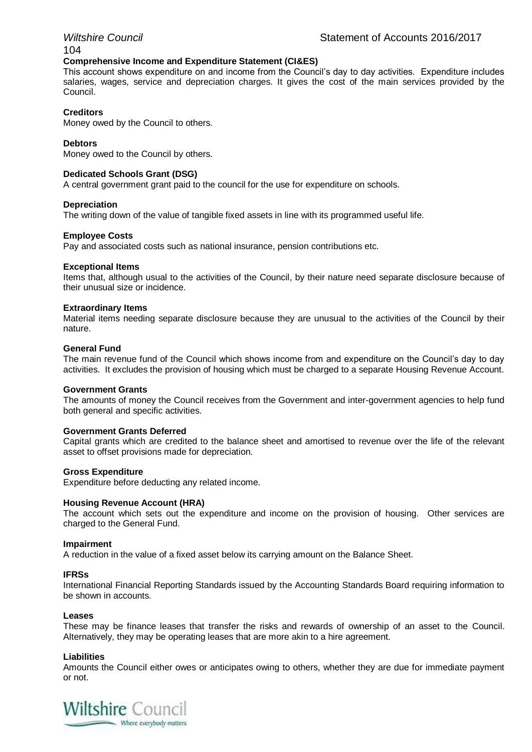# 104

# **Comprehensive Income and Expenditure Statement (CI&ES)**

This account shows expenditure on and income from the Council's day to day activities. Expenditure includes salaries, wages, service and depreciation charges. It gives the cost of the main services provided by the Council.

# **Creditors**

Money owed by the Council to others.

# **Debtors**

Money owed to the Council by others.

#### **Dedicated Schools Grant (DSG)**

A central government grant paid to the council for the use for expenditure on schools.

#### **Depreciation**

The writing down of the value of tangible fixed assets in line with its programmed useful life.

#### **Employee Costs**

Pay and associated costs such as national insurance, pension contributions etc.

#### **Exceptional Items**

Items that, although usual to the activities of the Council, by their nature need separate disclosure because of their unusual size or incidence.

#### **Extraordinary Items**

Material items needing separate disclosure because they are unusual to the activities of the Council by their nature.

#### **General Fund**

The main revenue fund of the Council which shows income from and expenditure on the Council's day to day activities. It excludes the provision of housing which must be charged to a separate Housing Revenue Account.

#### **Government Grants**

The amounts of money the Council receives from the Government and inter-government agencies to help fund both general and specific activities.

#### **Government Grants Deferred**

Capital grants which are credited to the balance sheet and amortised to revenue over the life of the relevant asset to offset provisions made for depreciation.

#### **Gross Expenditure**

Expenditure before deducting any related income.

#### **Housing Revenue Account (HRA)**

The account which sets out the expenditure and income on the provision of housing. Other services are charged to the General Fund.

#### **Impairment**

A reduction in the value of a fixed asset below its carrying amount on the Balance Sheet.

#### **IFRSs**

International Financial Reporting Standards issued by the Accounting Standards Board requiring information to be shown in accounts.

#### **Leases**

These may be finance leases that transfer the risks and rewards of ownership of an asset to the Council. Alternatively, they may be operating leases that are more akin to a hire agreement.

#### **Liabilities**

Amounts the Council either owes or anticipates owing to others, whether they are due for immediate payment or not.

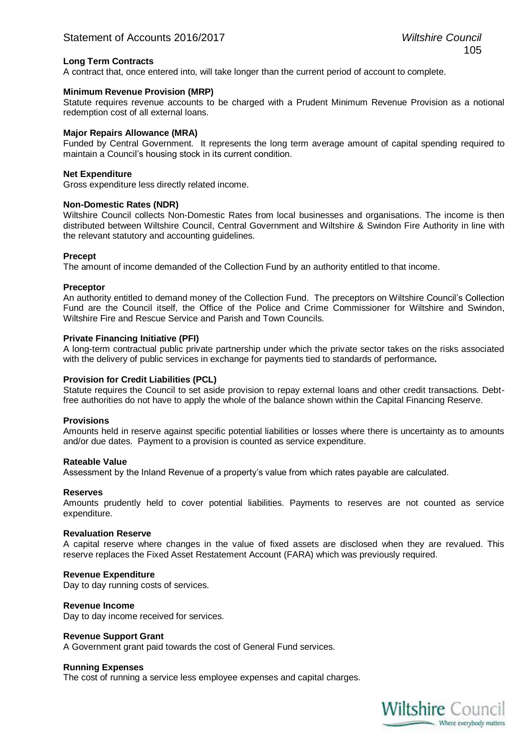# **Long Term Contracts**

A contract that, once entered into, will take longer than the current period of account to complete.

#### **Minimum Revenue Provision (MRP)**

Statute requires revenue accounts to be charged with a Prudent Minimum Revenue Provision as a notional redemption cost of all external loans.

# **Major Repairs Allowance (MRA)**

Funded by Central Government. It represents the long term average amount of capital spending required to maintain a Council's housing stock in its current condition.

#### **Net Expenditure**

Gross expenditure less directly related income.

#### **Non-Domestic Rates (NDR)**

Wiltshire Council collects Non-Domestic Rates from local businesses and organisations. The income is then distributed between Wiltshire Council, Central Government and Wiltshire & Swindon Fire Authority in line with the relevant statutory and accounting guidelines.

#### **Precept**

The amount of income demanded of the Collection Fund by an authority entitled to that income.

#### **Preceptor**

An authority entitled to demand money of the Collection Fund. The preceptors on Wiltshire Council's Collection Fund are the Council itself, the Office of the Police and Crime Commissioner for Wiltshire and Swindon, Wiltshire Fire and Rescue Service and Parish and Town Councils.

# **Private Financing Initiative (PFI)**

A long-term contractual public private partnership under which the private sector takes on the risks associated with the delivery of public services in exchange for payments tied to standards of performance**.**

#### **Provision for Credit Liabilities (PCL)**

Statute requires the Council to set aside provision to repay external loans and other credit transactions. Debtfree authorities do not have to apply the whole of the balance shown within the Capital Financing Reserve.

#### **Provisions**

Amounts held in reserve against specific potential liabilities or losses where there is uncertainty as to amounts and/or due dates. Payment to a provision is counted as service expenditure.

#### **Rateable Value**

Assessment by the Inland Revenue of a property's value from which rates payable are calculated.

#### **Reserves**

Amounts prudently held to cover potential liabilities. Payments to reserves are not counted as service expenditure.

#### **Revaluation Reserve**

A capital reserve where changes in the value of fixed assets are disclosed when they are revalued. This reserve replaces the Fixed Asset Restatement Account (FARA) which was previously required.

#### **Revenue Expenditure**

Day to day running costs of services.

#### **Revenue Income**

Day to day income received for services.

#### **Revenue Support Grant**

A Government grant paid towards the cost of General Fund services.

#### **Running Expenses**

The cost of running a service less employee expenses and capital charges.